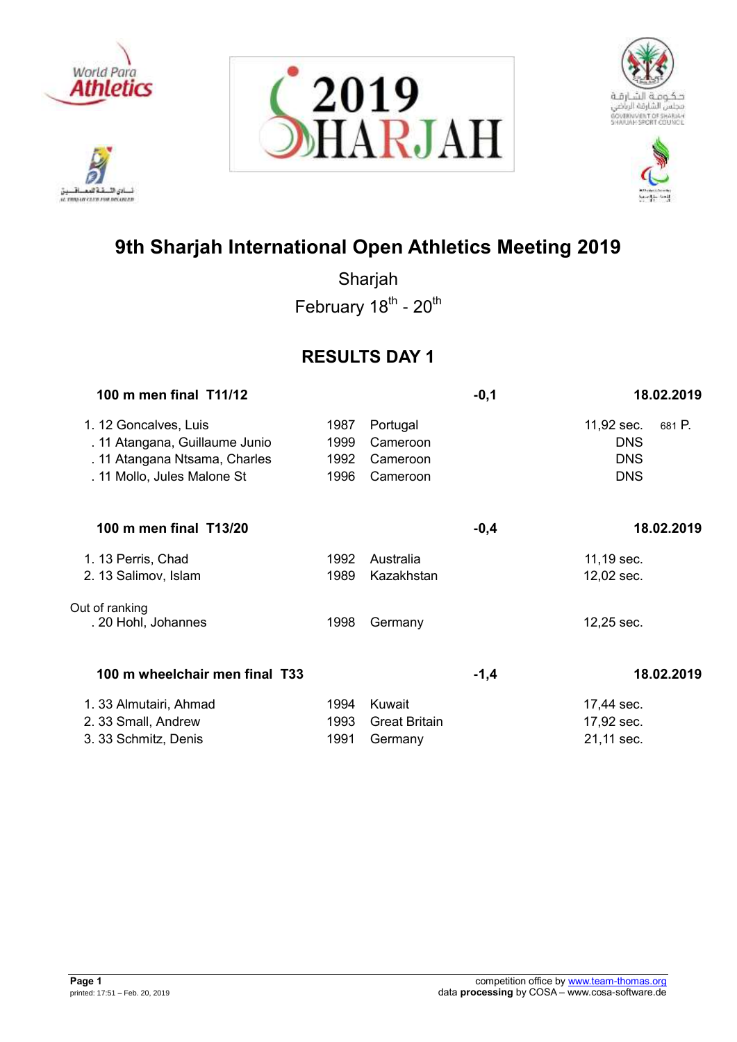

.<br>نائي الأ تلافيد نسادي النسفية العمسافيين<br>ac responsive care response







# **9th Sharjah International Open Athletics Meeting 2019**

Sharjah February 18<sup>th</sup> - 20<sup>th</sup>

## **RESULTS DAY 1**

| 100 m men final T11/12                                                                                                  |                              |                                              | $-0,1$ | 18.02.2019                                                     |
|-------------------------------------------------------------------------------------------------------------------------|------------------------------|----------------------------------------------|--------|----------------------------------------------------------------|
| 1. 12 Goncalves, Luis<br>. 11 Atangana, Guillaume Junio<br>. 11 Atangana Ntsama, Charles<br>. 11 Mollo, Jules Malone St | 1987<br>1999<br>1992<br>1996 | Portugal<br>Cameroon<br>Cameroon<br>Cameroon |        | 11,92 sec.<br>681 P.<br><b>DNS</b><br><b>DNS</b><br><b>DNS</b> |
| 100 m men final T13/20                                                                                                  |                              |                                              | $-0,4$ | 18.02.2019                                                     |
| 1. 13 Perris, Chad                                                                                                      | 1992                         | Australia                                    |        | 11,19 sec.                                                     |
| 2. 13 Salimov, Islam                                                                                                    | 1989                         | Kazakhstan                                   |        | 12,02 sec.                                                     |
| Out of ranking<br>. 20 Hohl, Johannes                                                                                   | 1998                         | Germany                                      |        | 12,25 sec.                                                     |
| 100 m wheelchair men final T33                                                                                          |                              |                                              | $-1,4$ | 18.02.2019                                                     |
| 1. 33 Almutairi, Ahmad                                                                                                  | 1994                         | Kuwait                                       |        | 17,44 sec.                                                     |
| 2. 33 Small, Andrew                                                                                                     | 1993                         | <b>Great Britain</b>                         |        | 17,92 sec.                                                     |
| 3. 33 Schmitz, Denis                                                                                                    | 1991                         | Germany                                      |        | 21,11 sec.                                                     |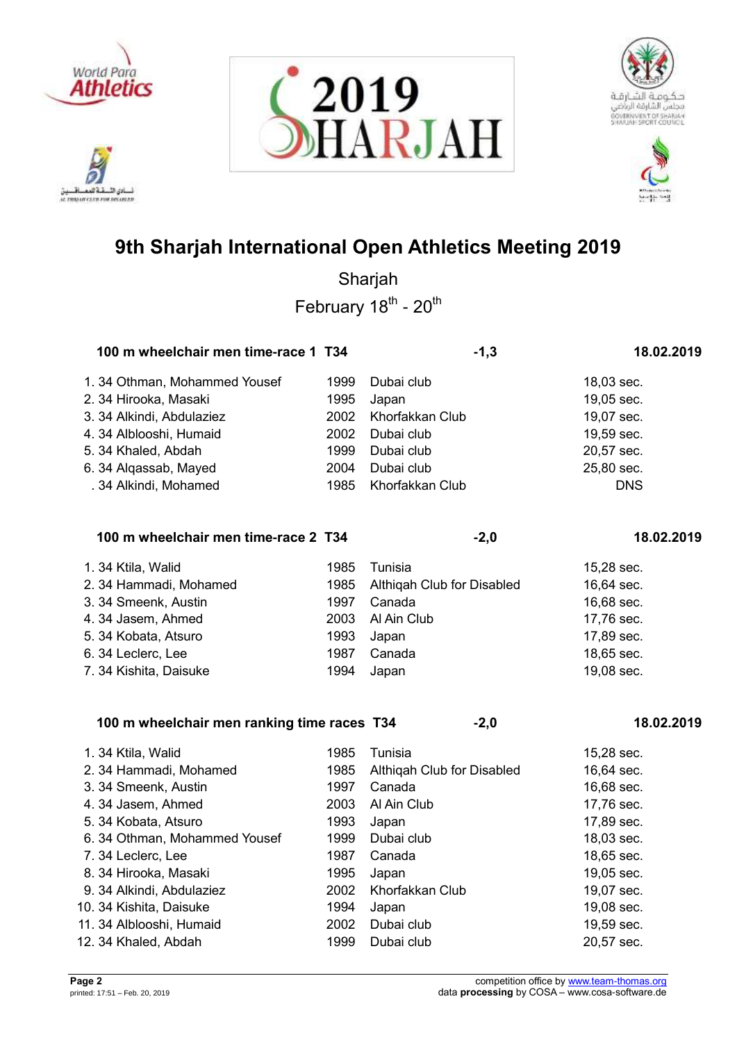

ادي الأ. تلافيد it mourcures exposure







# **9th Sharjah International Open Athletics Meeting 2019**

Sharjah February 18<sup>th</sup> - 20<sup>th</sup>

| 100 m wheelchair men time-race 1 T34 |      | $-1,3$          | 18.02.2019 |  |
|--------------------------------------|------|-----------------|------------|--|
| 1.34 Othman, Mohammed Yousef         | 1999 | Dubai club      | 18,03 sec. |  |
| 2. 34 Hirooka, Masaki                | 1995 | Japan           | 19,05 sec. |  |
| 3. 34 Alkindi, Abdulaziez            | 2002 | Khorfakkan Club | 19,07 sec. |  |
| 4. 34 Alblooshi, Humaid              | 2002 | Dubai club      | 19,59 sec. |  |
| 5. 34 Khaled, Abdah                  | 1999 | Dubai club      | 20,57 sec. |  |
| 6. 34 Alqassab, Mayed                | 2004 | Dubai club      | 25,80 sec. |  |
| . 34 Alkindi, Mohamed                | 1985 | Khorfakkan Club | <b>DNS</b> |  |
|                                      |      |                 |            |  |

## **100 m wheelchair men time-race 2 T34 -2,0 18.02.2019**

| 1.34 Ktila, Walid<br>2. 34 Hammadi, Mohamed<br>3. 34 Smeenk, Austin<br>4.34 Jasem, Ahmed<br>5. 34 Kobata, Atsuro<br>6. 34 Leclerc, Lee | 1985<br>1997<br>1993<br>1987 | Tunisia<br>1985 Althigah Club for Disabled<br>Canada<br>2003 Al Ain Club<br>Japan<br>Canada | 15,28 sec.<br>16,64 sec.<br>16,68 sec.<br>17,76 sec.<br>17,89 sec.<br>18,65 sec. |
|----------------------------------------------------------------------------------------------------------------------------------------|------------------------------|---------------------------------------------------------------------------------------------|----------------------------------------------------------------------------------|
| 7. 34 Kishita, Daisuke                                                                                                                 | 1994                         | Japan                                                                                       | 19,08 sec.                                                                       |
|                                                                                                                                        |                              |                                                                                             |                                                                                  |

## **100 m wheelchair men ranking time races T34 -2,0 18.02.2019**

| 1.34 Ktila, Walid             | 1985 | Tunisia                    | 15,28 sec. |
|-------------------------------|------|----------------------------|------------|
| 2. 34 Hammadi, Mohamed        | 1985 | Althigah Club for Disabled | 16,64 sec. |
| 3. 34 Smeenk, Austin          | 1997 | Canada                     | 16,68 sec. |
| 4.34 Jasem, Ahmed             | 2003 | Al Ain Club                | 17,76 sec. |
| 5. 34 Kobata, Atsuro          | 1993 | Japan                      | 17,89 sec. |
| 6. 34 Othman, Mohammed Yousef | 1999 | Dubai club                 | 18,03 sec. |
| 7.34 Leclerc, Lee             | 1987 | Canada                     | 18,65 sec. |
| 8. 34 Hirooka, Masaki         | 1995 | Japan                      | 19,05 sec. |
| 9. 34 Alkindi, Abdulaziez     | 2002 | Khorfakkan Club            | 19,07 sec. |
| 10. 34 Kishita, Daisuke       | 1994 | Japan                      | 19,08 sec. |
| 11. 34 Alblooshi, Humaid      | 2002 | Dubai club                 | 19,59 sec. |
| 12. 34 Khaled, Abdah          | 1999 | Dubai club                 | 20,57 sec. |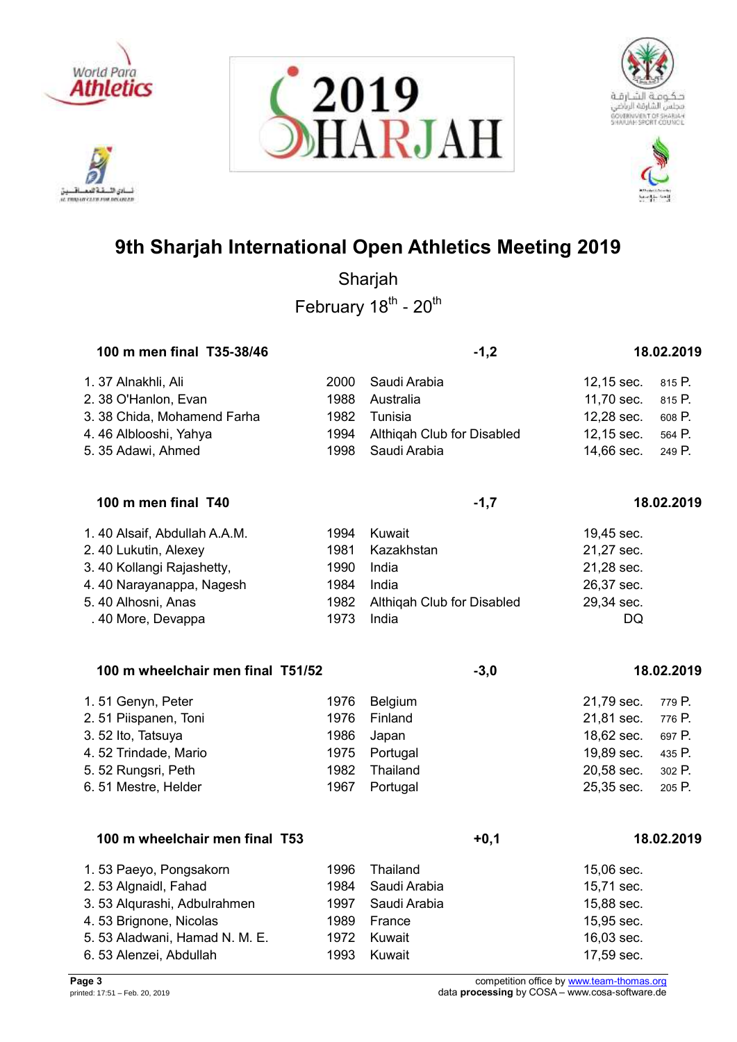

.<br>تانو الأ. تلافيد نسادي النسفية العمسافيين<br>ac responsive care response







# **9th Sharjah International Open Athletics Meeting 2019**

| 100 m men final T35-38/46         |      | $-1,2$                     |            | 18.02.2019 |
|-----------------------------------|------|----------------------------|------------|------------|
| 1. 37 Alnakhli, Ali               | 2000 | Saudi Arabia               | 12,15 sec. | 815 P.     |
| 2. 38 O'Hanlon, Evan              | 1988 | Australia                  | 11,70 sec. | 815 P.     |
| 3. 38 Chida, Mohamend Farha       | 1982 | Tunisia                    | 12,28 sec. | 608 P.     |
| 4.46 Alblooshi, Yahya             | 1994 | Althiqah Club for Disabled | 12,15 sec. | 564 P.     |
| 5. 35 Adawi, Ahmed                | 1998 | Saudi Arabia               | 14,66 sec. | 249 P.     |
| 100 m men final T40               |      | $-1,7$                     |            | 18.02.2019 |
| 1.40 Alsaif, Abdullah A.A.M.      | 1994 | Kuwait                     | 19,45 sec. |            |
| 2. 40 Lukutin, Alexey             | 1981 | Kazakhstan                 | 21,27 sec. |            |
| 3. 40 Kollangi Rajashetty,        | 1990 | India                      | 21,28 sec. |            |
| 4.40 Narayanappa, Nagesh          | 1984 | India                      | 26,37 sec. |            |
| 5.40 Alhosni, Anas                | 1982 | Althiqah Club for Disabled | 29,34 sec. |            |
| . 40 More, Devappa                | 1973 | India                      | <b>DQ</b>  |            |
| 100 m wheelchair men final T51/52 |      | $-3,0$                     |            | 18.02.2019 |
| 1.51 Genyn, Peter                 | 1976 | Belgium                    | 21,79 sec. | 779 P.     |
| 2.51 Piispanen, Toni              | 1976 | Finland                    | 21,81 sec. | 776 P.     |
| 3.52 Ito, Tatsuya                 | 1986 | Japan                      | 18,62 sec. | 697 P.     |
| 4.52 Trindade, Mario              | 1975 | Portugal                   | 19,89 sec. | 435 P.     |
| 5.52 Rungsri, Peth                | 1982 | Thailand                   | 20,58 sec. | 302 P.     |
| 6.51 Mestre, Helder               | 1967 | Portugal                   | 25,35 sec. | 205 P.     |
| 100 m wheelchair men final T53    |      | $+0,1$                     |            | 18.02.2019 |
| 1.53 Paeyo, Pongsakorn            | 1996 | Thailand                   | 15,06 sec. |            |
| 2. 53 Algnaidl, Fahad             | 1984 | Saudi Arabia               | 15,71 sec. |            |
| 3.53 Alqurashi, Adbulrahmen       | 1997 | Saudi Arabia               | 15,88 sec. |            |
| 4.53 Brignone, Nicolas            | 1989 | France                     | 15,95 sec. |            |
| 5.53 Aladwani, Hamad N. M. E.     | 1972 | Kuwait                     | 16,03 sec. |            |
| 6.53 Alenzei, Abdullah            | 1993 | Kuwait                     | 17,59 sec. |            |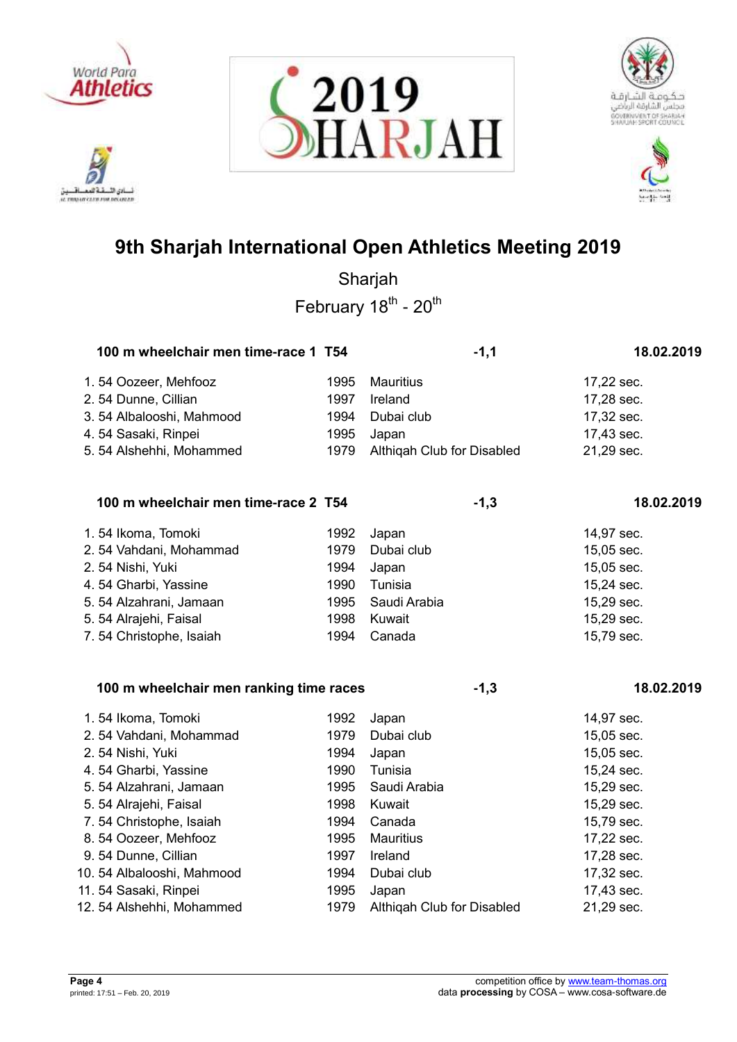







| 100 m wheelchair men time-race 1 T54 |      | $-1,1$                     | 18.02.2019 |
|--------------------------------------|------|----------------------------|------------|
| 1.54 Oozeer, Mehfooz                 | 1995 | <b>Mauritius</b>           | 17,22 sec. |
| 2.54 Dunne, Cillian                  | 1997 | Ireland                    | 17,28 sec. |
| 3.54 Albalooshi, Mahmood             | 1994 | Dubai club                 | 17,32 sec. |
| 4.54 Sasaki, Rinpei                  | 1995 | Japan                      | 17,43 sec. |
| 5.54 Alshehhi, Mohammed              | 1979 | Althiqah Club for Disabled | 21,29 sec. |
| 100 m wheelchair men time-race 2 T54 |      | $-1,3$                     | 18.02.2019 |
| 1.54 Ikoma, Tomoki                   | 1992 | Japan                      | 14,97 sec. |
| 2.54 Vahdani, Mohammad               | 1979 | Dubai club                 | 15,05 sec. |
| 2.54 Nishi, Yuki                     | 1994 | Japan                      | 15,05 sec. |

| 4.54 Gharbi, Yassine    | 1990- | Tunisia           | 15,24 sec. |
|-------------------------|-------|-------------------|------------|
| 5.54 Alzahrani, Jamaan  |       | 1995 Saudi Arabia | 15,29 sec. |
| 5. 54 Alrajehi, Faisal  |       | 1998 Kuwait       | 15,29 sec. |
| 7.54 Christophe, Isaiah |       | 1994 Canada       | 15,79 sec. |

| 100 m wheelchair men ranking time races |      | $-1,3$                     | 18.02.2019 |
|-----------------------------------------|------|----------------------------|------------|
| 1.54 Ikoma, Tomoki                      | 1992 | Japan                      | 14,97 sec. |
| 2.54 Vahdani, Mohammad                  | 1979 | Dubai club                 | 15,05 sec. |
| 2.54 Nishi, Yuki                        | 1994 | Japan                      | 15,05 sec. |
| 4.54 Gharbi, Yassine                    | 1990 | Tunisia                    | 15,24 sec. |
| 5.54 Alzahrani, Jamaan                  | 1995 | Saudi Arabia               | 15,29 sec. |
| 5. 54 Alrajehi, Faisal                  | 1998 | Kuwait                     | 15,29 sec. |
| 7.54 Christophe, Isaiah                 | 1994 | Canada                     | 15,79 sec. |
| 8.54 Oozeer, Mehfooz                    | 1995 | Mauritius                  | 17,22 sec. |
| 9.54 Dunne, Cillian                     | 1997 | Ireland                    | 17,28 sec. |
| 10.54 Albalooshi, Mahmood               | 1994 | Dubai club                 | 17,32 sec. |
| 11. 54 Sasaki, Rinpei                   | 1995 | Japan                      | 17,43 sec. |
| 12.54 Alshehhi, Mohammed                | 1979 | Althigah Club for Disabled | 21,29 sec. |

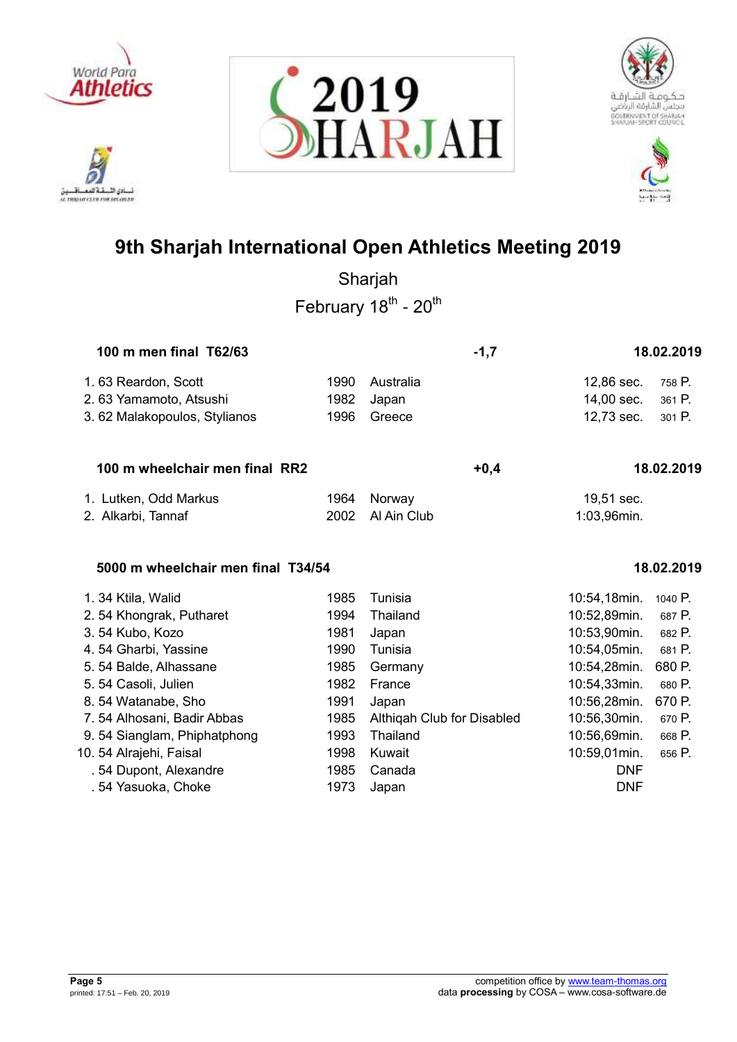

ادي الأ. تلافيد it mourcures exposure







# **9th Sharjah International Open Athletics Meeting 2019**

Sharjah February 18<sup>th</sup> - 20<sup>th</sup>

| 100 m men final T62/63       | $-1.7$ |           | 18.02.2019 |                   |  |
|------------------------------|--------|-----------|------------|-------------------|--|
| 1.63 Reardon, Scott          | 1990   | Australia |            | 12,86 sec. 758 P. |  |
| 2.63 Yamamoto, Atsushi       | 1982   | Japan     |            | 14,00 sec. 361 P. |  |
| 3.62 Malakopoulos, Stylianos | 1996   | Greece    |            | 12,73 sec. 301 P. |  |
|                              |        |           |            |                   |  |

## **100 m wheelchair men final RR2 +0,4 18.02.2019**

| 1. Lutken, Odd Markus | 1964 Norway      | 19,51 sec.  |
|-----------------------|------------------|-------------|
| 2. Alkarbi, Tannaf    | 2002 Al Ain Club | 1:03,96min. |

## **5000 m wheelchair men final T34/54 18.02.2019**

| 1.34 Ktila, Walid           | 1985 | Tunisia                    | 10:54,18min. | 1040 P. |
|-----------------------------|------|----------------------------|--------------|---------|
| 2.54 Khongrak, Putharet     | 1994 | Thailand                   | 10:52,89min. | 687 P.  |
| 3.54 Kubo, Kozo             | 1981 | Japan                      | 10:53,90min. | 682 P.  |
| 4.54 Gharbi, Yassine        | 1990 | Tunisia                    | 10:54,05min. | 681 P.  |
| 5.54 Balde, Alhassane       | 1985 | Germany                    | 10:54,28min. | 680 P.  |
| 5.54 Casoli, Julien         | 1982 | France                     | 10:54,33min. | 680 P.  |
| 8.54 Watanabe, Sho          | 1991 | Japan                      | 10:56,28min. | 670 P.  |
| 7.54 Alhosani, Badir Abbas  | 1985 | Althigah Club for Disabled | 10:56,30min. | 670 P.  |
| 9.54 Sianglam, Phiphatphong | 1993 | Thailand                   | 10:56,69min. | 668 P.  |
| 10. 54 Alrajehi, Faisal     | 1998 | Kuwait                     | 10:59,01min. | 656 P.  |
| . 54 Dupont, Alexandre      | 1985 | Canada                     | <b>DNF</b>   |         |
| . 54 Yasuoka, Choke         | 1973 | Japan                      | <b>DNF</b>   |         |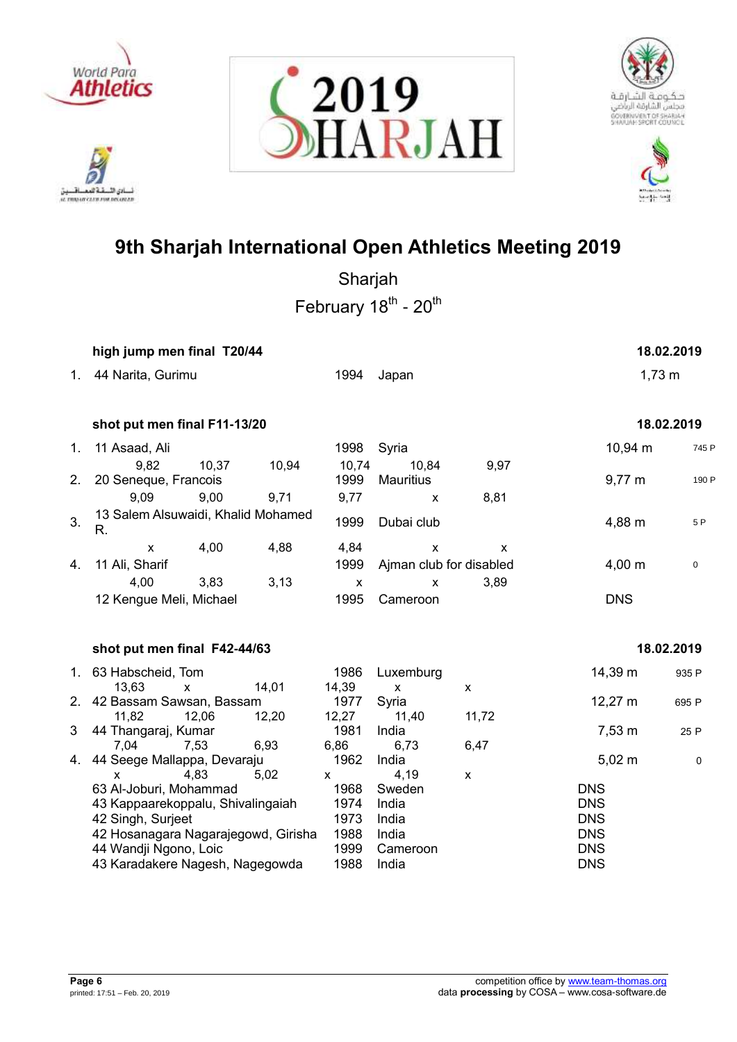









|    | high jump men final T20/44                                                                                                                                                          |                                              |                                                        |                    |                                                                                  | 18.02.2019 |
|----|-------------------------------------------------------------------------------------------------------------------------------------------------------------------------------------|----------------------------------------------|--------------------------------------------------------|--------------------|----------------------------------------------------------------------------------|------------|
| 1. | 44 Narita, Gurimu                                                                                                                                                                   | 1994                                         | Japan                                                  |                    | $1,73 \; m$                                                                      |            |
|    | shot put men final F11-13/20                                                                                                                                                        |                                              |                                                        |                    |                                                                                  | 18.02.2019 |
| 1. | 11 Asaad, Ali                                                                                                                                                                       | 1998                                         | Syria                                                  |                    | $10,94 \text{ m}$                                                                | 745 P      |
| 2. | 9,82<br>10,37<br>10,94<br>20 Seneque, Francois                                                                                                                                      | 10,74<br>1999                                | 10,84<br><b>Mauritius</b>                              | 9,97               | $9,77 \; m$                                                                      | 190 P      |
|    | 9,09<br>9,00<br>9,71                                                                                                                                                                | 9,77                                         | X                                                      | 8,81               |                                                                                  |            |
| 3. | 13 Salem Alsuwaidi, Khalid Mohamed<br>R.                                                                                                                                            | 1999                                         | Dubai club                                             |                    | 4,88 m                                                                           | 5P         |
| 4. | 4,00<br>4,88<br>$\mathsf{x}$<br>11 Ali, Sharif                                                                                                                                      | 4,84<br>1999                                 | X<br>Ajman club for disabled                           | X                  | 4,00 m                                                                           | $\pmb{0}$  |
|    | 4,00<br>3,83<br>3,13<br>12 Kengue Meli, Michael                                                                                                                                     | $\boldsymbol{\mathsf{X}}$<br>1995            | X<br>Cameroon                                          | 3,89               | <b>DNS</b>                                                                       |            |
|    | shot put men final F42-44/63                                                                                                                                                        |                                              |                                                        |                    |                                                                                  | 18.02.2019 |
|    | 1. 63 Habscheid, Tom<br>14,01<br>13,63<br>$\mathsf{x}$                                                                                                                              | 1986<br>14,39                                | Luxemburg<br>X                                         | $\pmb{\mathsf{x}}$ | 14,39 m                                                                          | 935 P      |
|    | 2. 42 Bassam Sawsan, Bassam<br>12,20<br>11,82<br>12,06                                                                                                                              | 1977<br>12,27                                | Syria<br>11,40                                         | 11,72              | $12,27 \; m$                                                                     | 695 P      |
| 3  | 44 Thangaraj, Kumar<br>7,04<br>7,53<br>6,93                                                                                                                                         | 1981<br>6,86                                 | India<br>6,73                                          | 6,47               | 7,53 m                                                                           | 25 P       |
| 4. | 44 Seege Mallappa, Devaraju<br>4,83<br>5,02<br>$\mathsf{x}$                                                                                                                         | 1962<br>X                                    | India<br>4,19                                          | X                  | $5,02 \; m$                                                                      | 0          |
|    | 63 Al-Joburi, Mohammad<br>43 Kappaarekoppalu, Shivalingaiah<br>42 Singh, Surjeet<br>42 Hosanagara Nagarajegowd, Girisha<br>44 Wandji Ngono, Loic<br>43 Karadakere Nagesh, Nagegowda | 1968<br>1974<br>1973<br>1988<br>1999<br>1988 | Sweden<br>India<br>India<br>India<br>Cameroon<br>India |                    | <b>DNS</b><br><b>DNS</b><br><b>DNS</b><br><b>DNS</b><br><b>DNS</b><br><b>DNS</b> |            |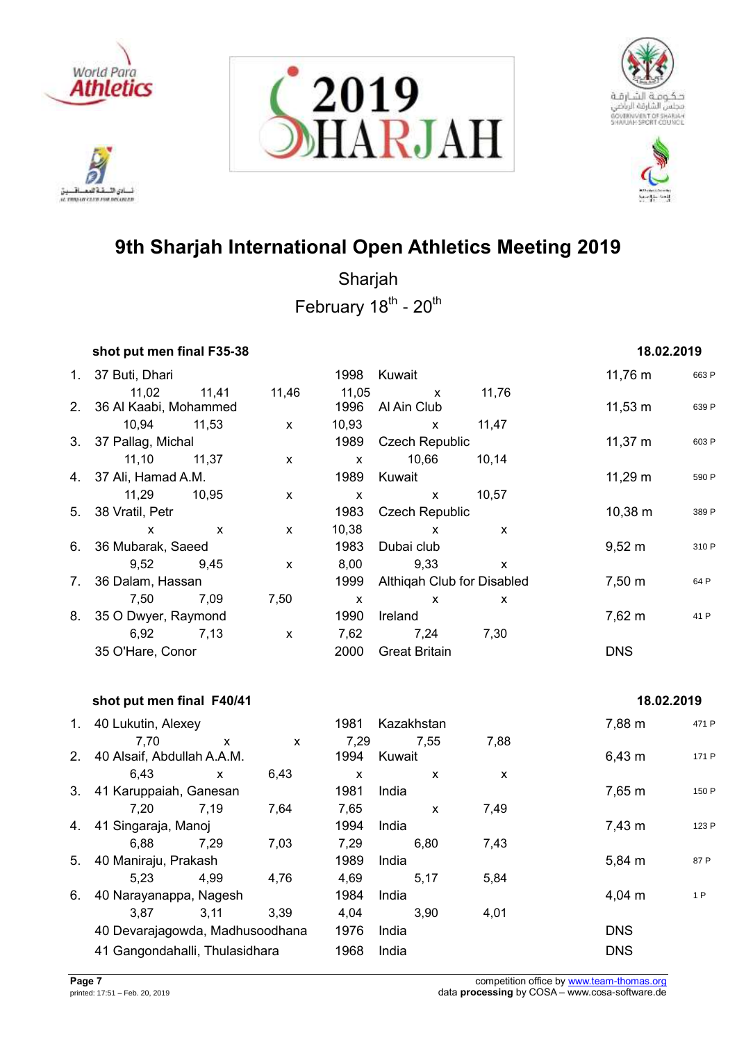

.<br>نائي الأ تلافيد نسادي النسفية العمسافيين<br>ac responsive care response







# **9th Sharjah International Open Athletics Meeting 2019**

| shot put men final F35-38 |                           |              |              |                            |                           | 18.02.2019         |       |
|---------------------------|---------------------------|--------------|--------------|----------------------------|---------------------------|--------------------|-------|
| 1. 37 Buti, Dhari         |                           |              |              | 1998 Kuwait                |                           | $11,76 \; m$       | 663 P |
| 11,02                     | 11,41                     | 11,46        | 11,05        | $\mathsf{X}$               | 11,76                     |                    |       |
| 2. 36 Al Kaabi, Mohammed  |                           |              | 1996         | Al Ain Club                |                           | $11,53 \; m$       | 639 P |
| 10,94 11,53               |                           | $\mathsf{x}$ | 10,93        | $\mathsf{x}$               | 11,47                     |                    |       |
| 3. 37 Pallag, Michal      |                           |              | 1989         | <b>Czech Republic</b>      |                           | $11,37 \; m$       | 603 P |
| 11,10                     | 11,37                     | $\mathsf{x}$ | $\mathsf{x}$ | 10,66                      | 10,14                     |                    |       |
| 4. 37 Ali, Hamad A.M.     |                           |              | 1989         | Kuwait                     |                           | $11,29 \; m$       | 590 P |
| 11,29                     | 10,95                     | $\mathsf{x}$ | $\mathsf{x}$ | $\mathsf{x}$               | 10,57                     |                    |       |
| 5. 38 Vratil, Petr        |                           |              | 1983         | <b>Czech Republic</b>      |                           | $10,38 \; m$       | 389 P |
| $\mathsf{x}$              | $\boldsymbol{\mathsf{x}}$ | $\mathsf{x}$ | 10,38        | $\mathsf{x}$               | $\boldsymbol{\mathsf{x}}$ |                    |       |
| 6. 36 Mubarak, Saeed      |                           |              | 1983         | Dubai club                 |                           | $9,52 \; m$        | 310 P |
| 9,52                      | 9.45                      | $\mathsf{x}$ | 8,00         | 9,33                       | X                         |                    |       |
| 7. 36 Dalam, Hassan       |                           |              | 1999         | Althigah Club for Disabled |                           | $7,50 \; \text{m}$ | 64 P  |
| 7,50                      | 7,09                      | 7,50         | X            | $\mathsf{x}$               | X                         |                    |       |
| 8. 35 O Dwyer, Raymond    |                           |              | 1990         | Ireland                    |                           | $7,62 \; m$        | 41 P  |
| 6,92                      | 7,13                      | $\mathsf{x}$ | 7,62         | 7,24                       | 7,30                      |                    |       |
| 35 O'Hare, Conor          |                           |              | 2000         | <b>Great Britain</b>       |                           | <b>DNS</b>         |       |

|                |                                    | shot put men final F40/41 |      |              |                |        |             |       |  |
|----------------|------------------------------------|---------------------------|------|--------------|----------------|--------|-------------|-------|--|
| 1.             | 40 Lukutin, Alexey                 |                           |      | 1981         | Kazakhstan     |        | 7,88 m      | 471 P |  |
| 2 <sub>1</sub> | 7,70<br>40 Alsaif, Abdullah A.A.M. | X                         | X    | 7,29<br>1994 | 7.55<br>Kuwait | 7,88   | $6,43 \; m$ | 171 P |  |
|                | 6,43                               | $\mathsf{x}$              | 6,43 | X            | X              | X      |             |       |  |
|                | 3. 41 Karuppaiah, Ganesan          |                           | 1981 | India        |                | 7,65 m | 150 P       |       |  |
|                | 7.20                               | 7.19                      | 7,64 | 7,65         | X              | 7,49   |             |       |  |
| 4.             | 41 Singaraja, Manoj                |                           |      | 1994         | India          |        | $7,43 \; m$ | 123 P |  |
|                | 6.88                               | 7.29                      | 7,03 | 7,29         | 6,80           | 7,43   |             |       |  |
| 5.             | 40 Maniraju, Prakash               |                           |      | 1989         | India          |        | 5,84 m      | 87 P  |  |
|                | 5.23                               | 4,99                      | 4,76 | 4,69         | 5,17           | 5,84   |             |       |  |
| 6.             | 40 Narayanappa, Nagesh             |                           |      | 1984         | India          |        | $4,04 \; m$ | 1 P   |  |
|                | 3.87                               | 3,11                      | 3.39 | 4,04         | 3.90           | 4,01   |             |       |  |
|                | 40 Devarajagowda, Madhusoodhana    |                           |      | 1976         | India          |        | <b>DNS</b>  |       |  |
|                | 41 Gangondahalli, Thulasidhara     |                           |      | 1968         | India          |        | <b>DNS</b>  |       |  |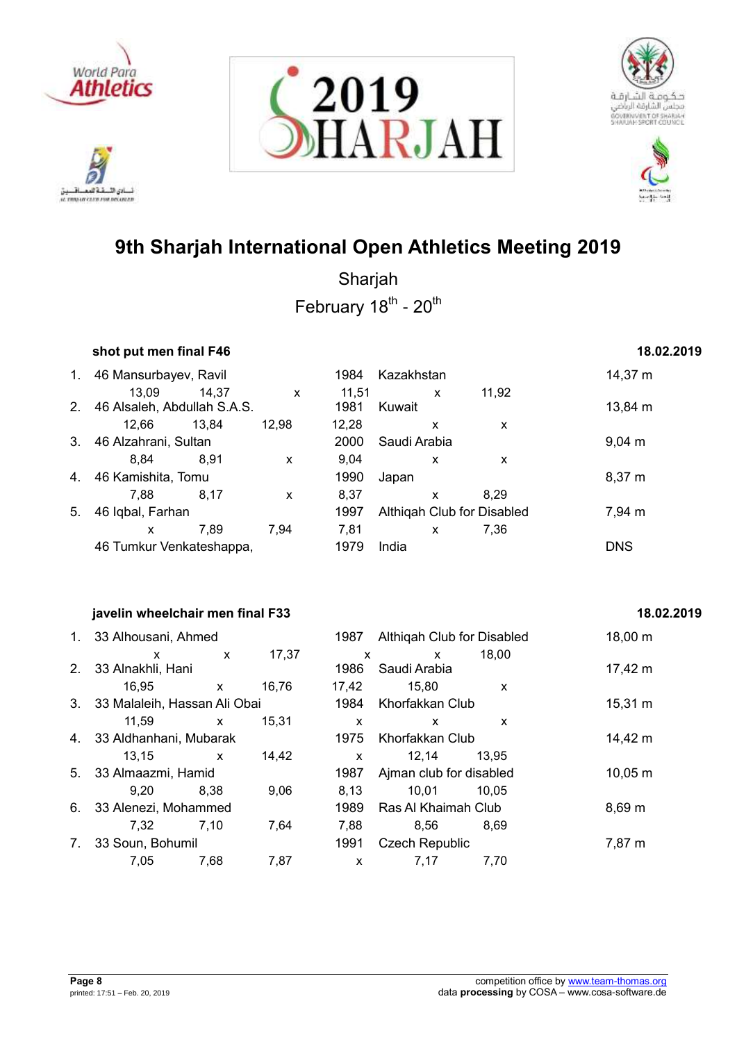

دی اللہ **IL TRANSIT CLED FOR DELINIER** 







# **9th Sharjah International Open Athletics Meeting 2019**

Sharjah February 18<sup>th</sup> - 20<sup>th</sup>

## **shot put men final F46 18.02.2019**

| 1.                       | 46 Mansurbayev, Ravil       |       |                           | 1984  | Kazakhstan   |              |                            | 14,37 m            |
|--------------------------|-----------------------------|-------|---------------------------|-------|--------------|--------------|----------------------------|--------------------|
|                          | 13,09                       | 14,37 | $\boldsymbol{\mathsf{x}}$ | 11.51 |              | X            | 11,92                      |                    |
| 2 <sub>1</sub>           | 46 Alsaleh, Abdullah S.A.S. |       |                           | 1981  | Kuwait       |              |                            | $13,84 \; m$       |
|                          | 12.66                       | 13,84 | 12,98                     | 12,28 |              | x            | X                          |                    |
| 3.                       | 46 Alzahrani, Sultan        |       |                           | 2000  | Saudi Arabia |              |                            | $9,04 \, \text{m}$ |
|                          | 8.84                        | 8,91  | X                         | 9.04  |              | X            | X                          |                    |
| 4.                       | 46 Kamishita, Tomu          |       |                           | 1990  | Japan        |              |                            | 8,37 m             |
|                          | 7.88                        | 8.17  | X                         | 8,37  |              | X            | 8.29                       |                    |
| 5.                       | 46 Iqbal, Farhan            |       |                           | 1997  |              |              | Althigah Club for Disabled | 7,94 m             |
|                          | X                           | 7.89  | 7.94                      | 7,81  |              | $\mathsf{x}$ | 7,36                       |                    |
| 46 Tumkur Venkateshappa, |                             |       |                           | 1979  | India        |              |                            | <b>DNS</b>         |

## **javelin wheelchair men final F33 18.02.2019**

| 1. 33 Alhousani, Ahmed          |         |      | 1987 Althiqah Club for Disal |                           |
|---------------------------------|---------|------|------------------------------|---------------------------|
| X.                              | x 17,37 | x    | $\mathsf{X}$                 | 18,00                     |
| 2. 33 Alnakhli, Hani            |         |      | 1986 Saudi Arabia            |                           |
| $16,95$ x                       | 16,76   |      | 17.42 15.80                  | $\boldsymbol{\mathsf{x}}$ |
| 3. 33 Malaleih, Hassan Ali Obai |         |      | 1984 Khorfakkan Club         |                           |
| 11.59 x                         | 15,31   | X.   | X                            | $\mathbf{x}$              |
| 4. 33 Aldhanhani, Mubarak       |         |      | 1975 Khorfakkan Club         |                           |
| $13,15$ x                       | 14,42   | X.   | 12,14 13,95                  |                           |
| 5. 33 Almaazmi, Hamid           |         | 1987 | Ajman club for disable       |                           |
| 9.20 8.38                       | 9.06    | 8,13 | 10,01 10,05                  |                           |
| 6. 33 Alenezi, Mohammed         |         |      | 1989 Ras Al Khaimah Club     |                           |
| 7,32 7,10                       | 7,64    | 7,88 | 8,56 8,69                    |                           |
| 7. 33 Soun, Bohumil             |         | 1991 | <b>Czech Republic</b>        |                           |
| 7,05 7,68 7,87                  |         |      | x 7,17 7,70                  |                           |

## 1987 Althiqah Club for Disabled 18,00 m x x 17,37 x x 18,00 1986 Saudi Arabia 17,42 m 16,95 x 16,76 17,42 15,80 x 1984 Khorfakkan Club 15,31 m 11,59 x 15,31 x x x 1975 Khorfakkan Club 14,42 m 13,15 x 14,42 x 12,14 13,95 1987 Ajman club for disabled 10,05 m 9,20 8,38 9,06 8,13 10,01 10,05 1989 Ras Al Khaimah Club 8,69 m 7,32 7,10 7,64 7,88 8,56 8,69 1991 Czech Republic 7,87 m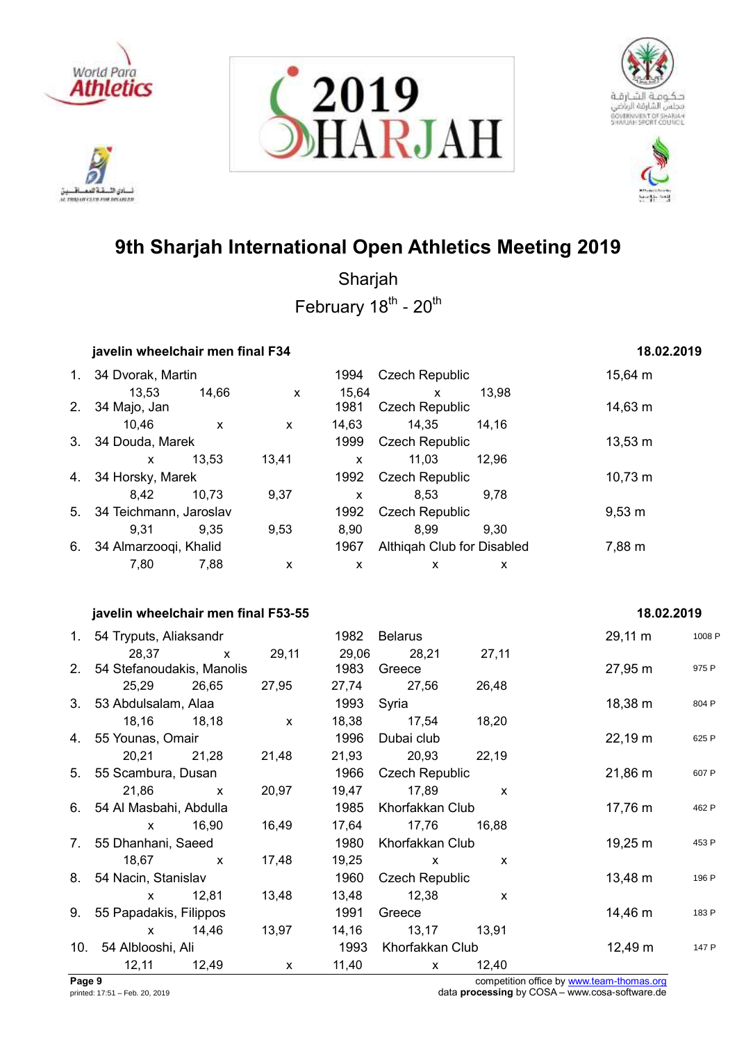

222 أدي الأ نسادي النسفية العمسافيين<br>ac responsive care response







# **9th Sharjah International Open Athletics Meeting 2019**

Sharjah February 18<sup>th</sup> - 20<sup>th</sup>

|     | javelin wheelchair men final F34    |                    | 18.02.2019         |                                |             |        |
|-----|-------------------------------------|--------------------|--------------------|--------------------------------|-------------|--------|
|     | 1. 34 Dvorak, Martin                |                    | 1994               | <b>Czech Republic</b>          | 15,64 m     |        |
|     | 13,53<br>14,66                      | X                  | 15,64              | 13,98<br>X                     |             |        |
| 2.  | 34 Majo, Jan                        |                    | 1981               | <b>Czech Republic</b>          | 14,63 m     |        |
|     | 10,46<br>X                          | $\pmb{\mathsf{X}}$ | 14,63              | 14,35<br>14,16                 |             |        |
| 3.  | 34 Douda, Marek                     |                    | 1999               | <b>Czech Republic</b>          | 13,53 m     |        |
|     | 13,53<br>X                          | 13,41              | X                  | 11,03<br>12,96                 |             |        |
| 4.  | 34 Horsky, Marek                    |                    | 1992               | <b>Czech Republic</b>          | 10,73 m     |        |
|     | 10,73<br>8,42                       | 9,37               | X                  | 8,53<br>9,78                   |             |        |
| 5.  | 34 Teichmann, Jaroslav              |                    | 1992               | <b>Czech Republic</b>          | $9,53 \; m$ |        |
|     | 9,31<br>9,35                        | 9,53               | 8,90               | 8,99<br>9,30                   |             |        |
| 6.  | 34 Almarzooqi, Khalid               |                    | 1967               | Althiqah Club for Disabled     | 7,88 m      |        |
|     | 7,80<br>7,88                        | X                  | $\pmb{\mathsf{X}}$ | X<br>X                         |             |        |
|     |                                     |                    |                    |                                |             |        |
|     | javelin wheelchair men final F53-55 |                    |                    |                                | 18.02.2019  |        |
|     | 1. 54 Tryputs, Aliaksandr           |                    | 1982               | <b>Belarus</b>                 | 29,11 m     | 1008 P |
|     | 28,37<br>X                          | 29,11              | 29,06              | 28,21<br>27,11                 |             |        |
| 2.  | 54 Stefanoudakis, Manolis           |                    | 1983               | Greece                         | 27,95 m     | 975 P  |
|     | 25,29<br>26,65                      | 27,95              | 27,74              | 27,56<br>26,48                 |             |        |
| 3.  | 53 Abdulsalam, Alaa                 |                    | 1993               | Syria                          | 18,38 m     | 804 P  |
|     | 18,16<br>18,18                      | $\pmb{\mathsf{X}}$ | 18,38              | 17,54<br>18,20                 |             |        |
| 4.  | 55 Younas, Omair                    |                    | 1996               | Dubai club                     | 22,19 m     | 625 P  |
|     | 20,21<br>21,28                      | 21,48              | 21,93              | 20,93<br>22,19                 |             |        |
| 5.  | 55 Scambura, Dusan                  |                    | 1966               | <b>Czech Republic</b>          | 21,86 m     | 607 P  |
|     | 21,86<br>X                          | 20,97              | 19,47              | 17,89<br>X                     |             |        |
| 6.  | 54 Al Masbahi, Abdulla              |                    | 1985               | Khorfakkan Club                | 17,76 m     | 462 P  |
|     | 16,90<br>X                          | 16,49              | 17,64              | 17,76<br>16,88                 |             |        |
| 7.  | 55 Dhanhani, Saeed                  |                    | 1980               | Khorfakkan Club                | 19,25 m     | 453 P  |
|     | 18,67<br>X                          | 17,48              | 19,25              | $\boldsymbol{\mathsf{x}}$<br>X |             |        |
| 8.  | 54 Nacin, Stanislav                 |                    | 1960               | <b>Czech Republic</b>          | 13,48 m     | 196 P  |
|     | 12,81<br>$\pmb{\mathsf{x}}$         | 13,48              | 13,48              | 12,38<br>X                     |             |        |
| 9.  | 55 Papadakis, Filippos              |                    | 1991               | Greece                         | 14,46 m     | 183 P  |
|     | 14,46<br>X                          | 13,97              | 14,16              | 13,17<br>13,91                 |             |        |
| 10. | 54 Alblooshi, Ali                   |                    | 1993               | Khorfakkan Club                | 12,49 m     | 147 P  |
|     | 12,11<br>12,49                      | X                  | 11,40              | 12,40<br>X                     |             |        |

**Page 9** competition office by [www.team-thomas.org](http://www.team-thomas.org/)<br>
printed: 17:51 – Feb. 20, 2019<br>
data **processing** by COSA – www.cosa-software.de data **processing** by COSA – www.cosa-software.de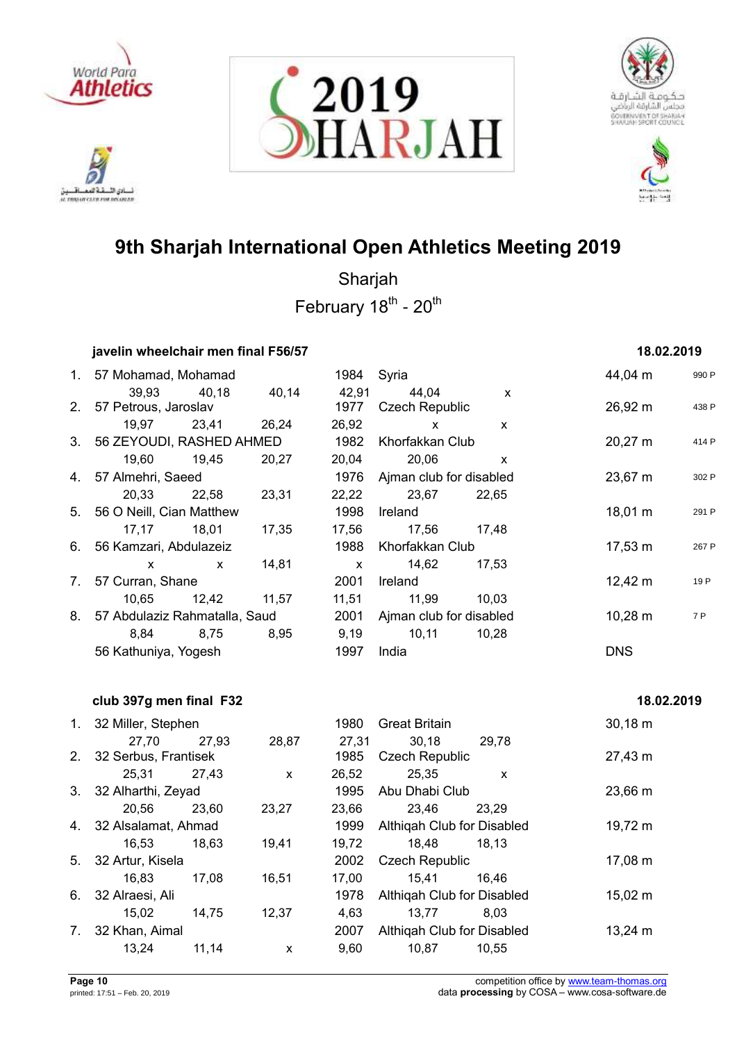

ادي الأ. تلافيد ئسادي اللسفة المعساقسين<br>a mourcane measures







# **9th Sharjah International Open Athletics Meeting 2019**

Sharjah February 18<sup>th</sup> - 20<sup>th</sup>

## **javelin wheelchair men final F56/57 18.02.2019**

| 1. 57 Mohamad, Mohamad                                        |                   |  |                              | 1984 Syria                      |                     | 44,04 m             | 990 F |
|---------------------------------------------------------------|-------------------|--|------------------------------|---------------------------------|---------------------|---------------------|-------|
|                                                               | 39,93 40,18 40,14 |  |                              | 42,91 44,04                     | $\mathsf{x}$        |                     |       |
| 2. 57 Petrous, Jaroslav                                       |                   |  |                              | 1977 Czech Republic             |                     | $26,92 \; m$        | 438 F |
|                                                               | 19,97 23,41 26,24 |  | 26,92                        | $\mathsf{X}$                    | $\mathsf{x}$        |                     |       |
| 3. 56 ZEYOUDI, RASHED AHMED                                   |                   |  |                              | 1982 Khorfakkan Club            |                     | $20,27 \; \text{m}$ | 414 F |
|                                                               | 19,60 19,45 20,27 |  |                              | 20,04 20,06                     | $\mathsf{X}$        |                     |       |
| 4. 57 Almehri, Saeed                                          |                   |  | 1976 Ajman club for disabled |                                 | $23,67 \; \text{m}$ | 302 F               |       |
|                                                               | 20,33 22,58 23,31 |  |                              | 22,22 23,67 22,65               |                     |                     |       |
| 5. 56 O Neill, Cian Matthew                                   |                   |  |                              | 1998 Ireland                    |                     | $18,01 \; \text{m}$ | 291 F |
|                                                               | 17,17 18,01 17,35 |  |                              | 17,56 17,56 17,48               |                     |                     |       |
| 6. 56 Kamzari, Abdulazeiz                                     |                   |  |                              | 1988 Khorfakkan Club            |                     | $17,53 \; \text{m}$ | 267 F |
|                                                               | x x 14,81         |  |                              |                                 |                     |                     |       |
| 7. 57 Curran, Shane                                           |                   |  |                              | 2001 Ireland                    |                     | $12,42 \text{ m}$   | 19 P  |
|                                                               | 10,65 12,42 11,57 |  |                              | 11,51 11,99 10,03               |                     |                     |       |
| 8. 57 Abdulaziz Rahmatalla, Saud 2001 Ajman club for disabled |                   |  |                              |                                 |                     | $10,28 \; \rm{m}$   | 7 P   |
|                                                               |                   |  |                              | 8,84 8,75 8,95 9,19 10,11 10,28 |                     |                     |       |
| 56 Kathuniya, Yogesh                                          |                   |  | 1997 India                   |                                 |                     | <b>DNS</b>          |       |

## **club 397g men final F32 18.02.2019**

| $1_{\cdot}$ |                         | 32 Miller, Stephen |       | 1980                  | <b>Great Britain</b>       | $30,18 \; m$      |
|-------------|-------------------------|--------------------|-------|-----------------------|----------------------------|-------------------|
|             | 27,70                   | 27,93              | 28,87 | 27,31                 | 30,18<br>29,78             |                   |
|             | 2. 32 Serbus, Frantisek |                    | 1985  | <b>Czech Republic</b> | 27,43 m                    |                   |
|             | 25,31                   | 27,43              | X     | 26,52                 | 25,35<br>X                 |                   |
|             | 3. 32 Alharthi, Zeyad   |                    |       | 1995                  | Abu Dhabi Club             | 23,66 m           |
|             | 20,56                   | 23,60              | 23,27 | 23,66                 | 23,46<br>23.29             |                   |
|             | 4. 32 Alsalamat, Ahmad  |                    |       | 1999                  | Althigah Club for Disabled | 19,72 m           |
|             | 16.53                   | 18.63              | 19,41 | 19.72                 | 18,48<br>18.13             |                   |
|             | 5. 32 Artur, Kisela     |                    |       | 2002                  | <b>Czech Republic</b>      | $17,08 \; m$      |
|             | 16,83                   | 17.08              | 16,51 | 17,00                 | 15,41<br>16,46             |                   |
| 6.          | 32 Alraesi, Ali         |                    |       | 1978                  | Althigah Club for Disabled | $15,02 \; m$      |
|             | 15.02                   | 14.75              | 12,37 | 4,63                  | 13.77<br>8.03              |                   |
| 7.          | 32 Khan, Aimal          |                    |       | 2007                  | Althigah Club for Disabled | $13,24 \text{ m}$ |
|             | 13,24                   | 11,14              | X     | 9,60                  | 10,87<br>10,55             |                   |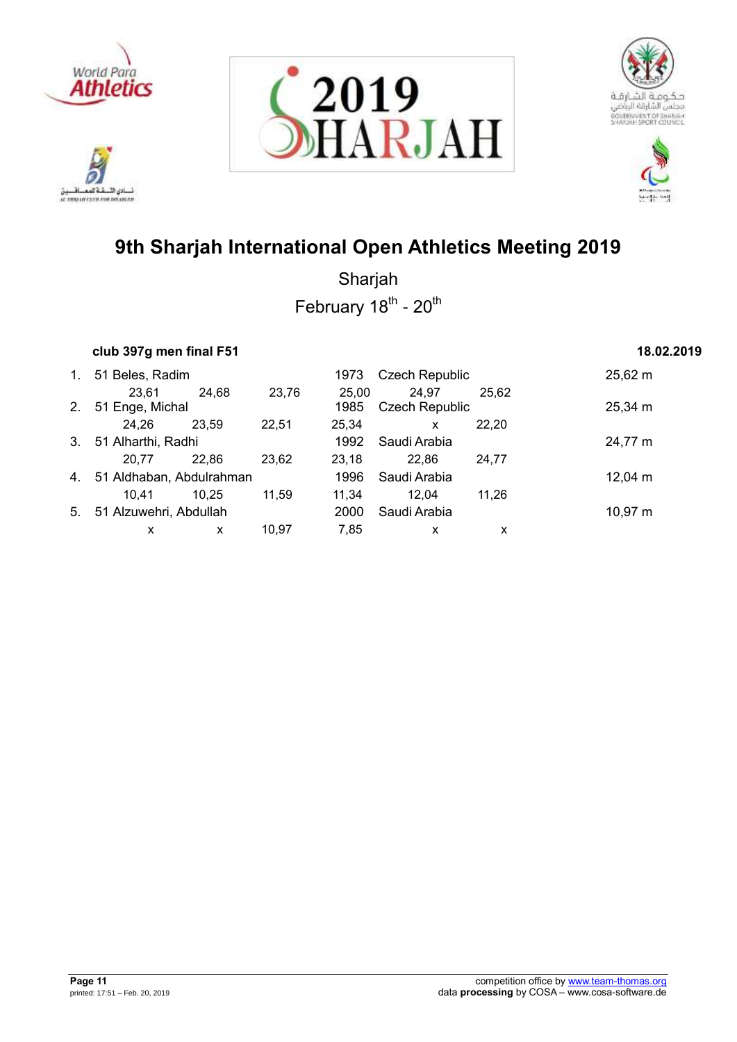

.<br>نائي الأ تلافيد نسادي النسفية العمسافيين<br>ac responsive care response







# **9th Sharjah International Open Athletics Meeting 2019**

| club 397g men final F51 | 18.02.2019 |
|-------------------------|------------|
|                         |            |

| $1_{\cdot}$    | 51 Beles, Radim             |       | <b>Czech Republic</b><br>1973 |       |                       | $25,62 \; m$ |                     |
|----------------|-----------------------------|-------|-------------------------------|-------|-----------------------|--------------|---------------------|
|                | 23,61                       | 24,68 | 23,76                         | 25.00 | 24,97                 | 25,62        |                     |
| 2 <sub>1</sub> | 51 Enge, Michal             |       |                               | 1985  | <b>Czech Republic</b> |              | $25,34 \, \text{m}$ |
|                | 24,26                       | 23,59 | 22,51                         | 25,34 | X                     | 22,20        |                     |
|                | 3. 51 Alharthi, Radhi       |       |                               | 1992  | Saudi Arabia          |              | 24,77 m             |
|                | 20.77                       | 22,86 | 23,62                         | 23.18 | 22.86                 | 24.77        |                     |
|                | 4. 51 Aldhaban, Abdulrahman |       |                               | 1996  | Saudi Arabia          |              | $12,04 \; m$        |
|                | 10.41                       | 10,25 | 11.59                         | 11.34 | 12,04                 | 11.26        |                     |
| 5.             | 51 Alzuwehri, Abdullah      |       |                               | 2000  | Saudi Arabia          |              | $10,97 \; m$        |
|                | x                           | x     | 10.97                         | 7.85  | x                     | х            |                     |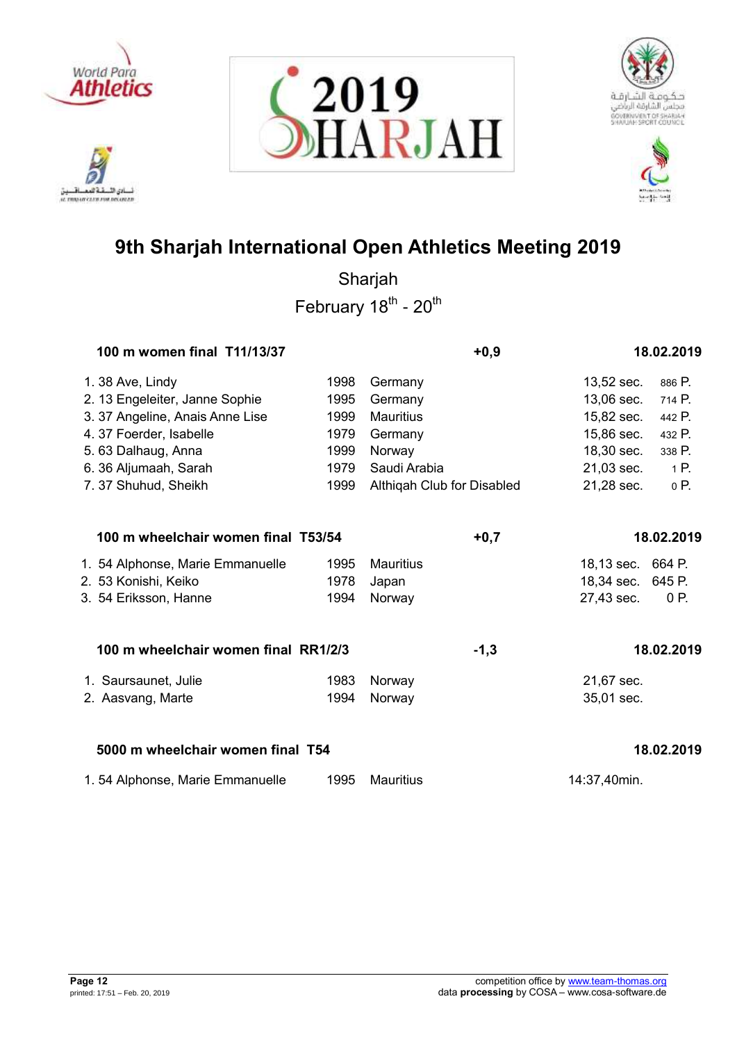







|                        | 100 m women final T11/13/37          |      | $+0,9$                     |                   | 18.02.2019 |
|------------------------|--------------------------------------|------|----------------------------|-------------------|------------|
| 1.38 Ave, Lindy        |                                      | 1998 | Germany                    | 13,52 sec.        | 886 P.     |
|                        | 2. 13 Engeleiter, Janne Sophie       | 1995 | Germany                    | 13,06 sec.        | 714 P.     |
|                        | 3. 37 Angeline, Anais Anne Lise      | 1999 | <b>Mauritius</b>           | 15,82 sec.        | 442 P.     |
| 4.37 Foerder, Isabelle |                                      | 1979 | Germany                    | 15,86 sec.        | 432 P.     |
| 5.63 Dalhaug, Anna     |                                      | 1999 | Norway                     | 18,30 sec.        | 338 P.     |
| 6. 36 Aljumaah, Sarah  |                                      | 1979 | Saudi Arabia               | 21,03 sec.        | 1 P.       |
| 7.37 Shuhud, Sheikh    |                                      | 1999 | Althiqah Club for Disabled | 21,28 sec.        | 0 P.       |
|                        | 100 m wheelchair women final T53/54  |      | $+0,7$                     |                   | 18.02.2019 |
|                        | 1. 54 Alphonse, Marie Emmanuelle     | 1995 | <b>Mauritius</b>           | 18,13 sec. 664 P. |            |
| 2. 53 Konishi, Keiko   |                                      | 1978 | Japan                      | 18,34 sec. 645 P. |            |
| 3. 54 Eriksson, Hanne  |                                      | 1994 | Norway                     | 27,43 sec.        | 0 P.       |
|                        | 100 m wheelchair women final RR1/2/3 |      | $-1,3$                     |                   | 18.02.2019 |
| 1. Saursaunet, Julie   |                                      | 1983 | Norway                     | 21,67 sec.        |            |
| 2. Aasvang, Marte      |                                      | 1994 | Norway                     | 35,01 sec.        |            |
|                        | 5000 m wheelchair women final T54    |      |                            |                   | 18.02.2019 |
|                        | 1.54 Alphonse, Marie Emmanuelle      | 1995 | <b>Mauritius</b>           | 14:37,40min.      |            |

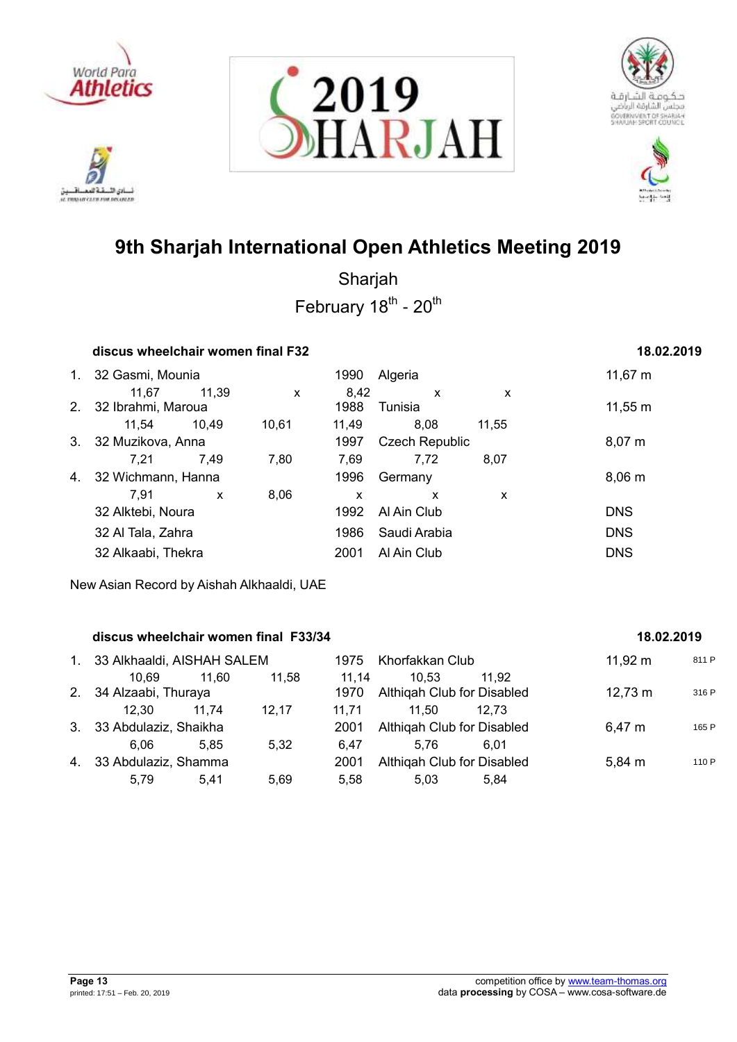

ادي الأ. تلافيد it mourcures exposure







# **9th Sharjah International Open Athletics Meeting 2019**

Sharjah February 18<sup>th</sup> - 20<sup>th</sup>

|                |                    | discus wheelchair women final F32 |       |       |                       |       |              |  |  |  |  |  |
|----------------|--------------------|-----------------------------------|-------|-------|-----------------------|-------|--------------|--|--|--|--|--|
| $1_{\cdot}$    | 32 Gasmi, Mounia   |                                   |       | 1990  | Algeria               |       | 11,67 $m$    |  |  |  |  |  |
|                | 11.67              | 11,39                             | X     | 8,42  | X                     | x     |              |  |  |  |  |  |
| 2 <sub>1</sub> | 32 Ibrahmi, Maroua |                                   |       | 1988  | Tunisia               |       | $11,55 \; m$ |  |  |  |  |  |
|                | 11.54              | 10,49                             | 10.61 | 11,49 | 8,08                  | 11,55 |              |  |  |  |  |  |
| 3.             | 32 Muzikova, Anna  |                                   |       | 1997  | <b>Czech Republic</b> |       | $8,07 \; m$  |  |  |  |  |  |
|                | 7.21               | 7,49                              | 7,80  | 7,69  | 7.72                  | 8,07  |              |  |  |  |  |  |
| 4.             | 32 Wichmann, Hanna |                                   |       | 1996  | Germany               |       | 8,06 m       |  |  |  |  |  |
|                | 7.91               | $\mathsf{x}$                      | 8,06  | X     | x                     | X     |              |  |  |  |  |  |
|                | 32 Alktebi, Noura  |                                   |       | 1992  | Al Ain Club           |       | <b>DNS</b>   |  |  |  |  |  |
|                | 32 Al Tala, Zahra  |                                   |       | 1986  | Saudi Arabia          |       | <b>DNS</b>   |  |  |  |  |  |
|                | 32 Alkaabi, Thekra |                                   |       | 2001  | Al Ain Club           |       | <b>DNS</b>   |  |  |  |  |  |
|                |                    |                                   |       |       |                       |       |              |  |  |  |  |  |

New Asian Record by Aishah Alkhaaldi, UAE

## **discus wheelchair women final F33/34 18.02.2019**

| 1. 33 Alkhaaldi, AISHAH SALEM |       |       |       | 1975 Khorfakkan Club       |       | $11,92 \; m$      | 811 P |
|-------------------------------|-------|-------|-------|----------------------------|-------|-------------------|-------|
| 10.69                         | 11.60 | 11.58 | 11.14 | 10.53                      | 11.92 |                   |       |
| 2. 34 Alzaabi, Thuraya        |       |       | 1970  | Althigah Club for Disabled |       | $12,73 \text{ m}$ | 316 P |
| 12.30                         | 11.74 | 12.17 | 11.71 | 11.50                      | 12.73 |                   |       |
| 3. 33 Abdulaziz, Shaikha      |       |       | 2001  | Althigah Club for Disabled |       | 6,47 m            | 165 P |
| 6.06                          | 5.85  | 5.32  | 6.47  | 5.76                       | 6.01  |                   |       |
| 4. 33 Abdulaziz, Shamma       |       |       | 2001  | Althigah Club for Disabled |       | 5,84 m            | 110 P |
| 5.79                          | 5.41  | 5.69  | 5.58  | 5.03                       | 5.84  |                   |       |
|                               |       |       |       |                            |       |                   |       |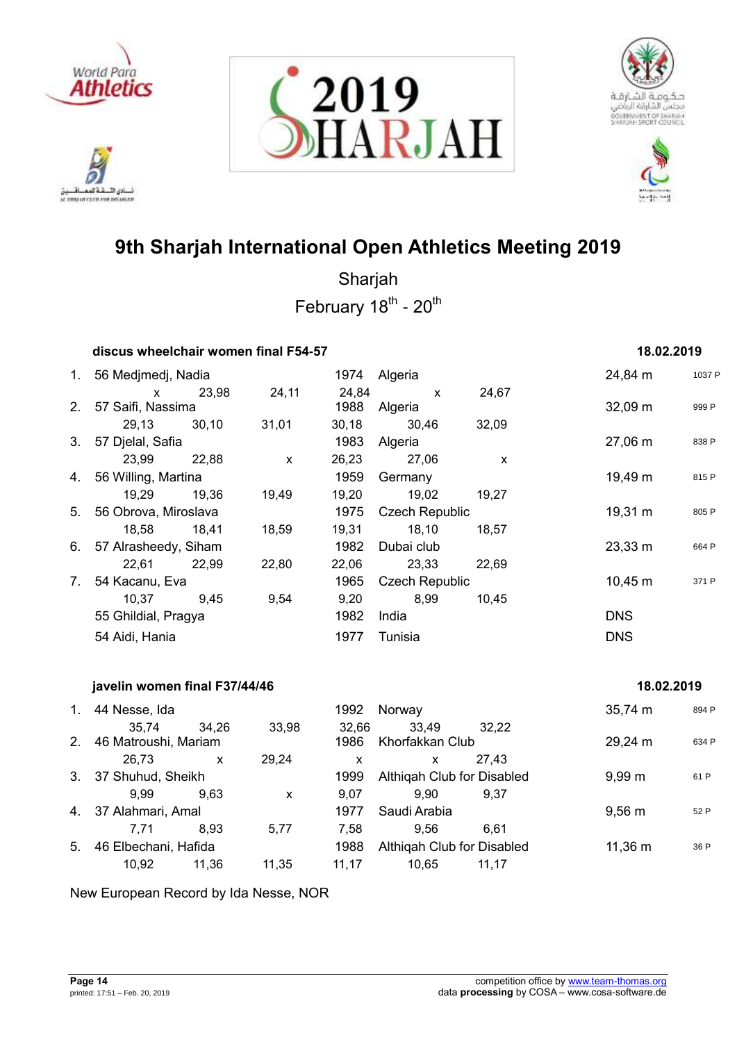

ادي الأ. تلافيد نسادي النسفية العمسافيين<br>ac responsive care response







# **9th Sharjah International Open Athletics Meeting 2019**

Sharjah February 18<sup>th</sup> - 20<sup>th</sup>

|    | discus wheelchair women final F54-57 |       |              |       |                       |              | 18.02.2019          |        |
|----|--------------------------------------|-------|--------------|-------|-----------------------|--------------|---------------------|--------|
|    | 1. 56 Medjmedj, Nadia                |       |              |       | 1974 Algeria          |              | 24,84 m             | 1037 P |
|    | $\mathsf{x}$                         | 23,98 | 24,11        | 24,84 | $\mathsf{x}$          | 24,67        |                     |        |
|    | 2. 57 Saifi, Nassima                 |       |              | 1988  | Algeria               |              | $32,09 \; m$        | 999 P  |
|    | 29,13 30,10                          |       | 31,01        | 30,18 | 30,46                 | 32,09        |                     |        |
|    | 3. 57 Djelal, Safia                  |       |              | 1983  | Algeria               |              | 27,06 m             | 838 P  |
|    | 23,99 22,88                          |       | $\mathsf{x}$ | 26,23 | 27,06                 | $\mathsf{x}$ |                     |        |
|    | 4. 56 Willing, Martina               |       |              | 1959  | Germany               |              | 19,49 m             | 815 P  |
|    | 19,29 19,36                          |       | 19,49        | 19,20 | 19,02                 | 19,27        |                     |        |
|    | 5. 56 Obrova, Miroslava              |       |              | 1975  | <b>Czech Republic</b> |              | 19,31 m             | 805 P  |
|    | 18,58 18,41                          |       | 18,59        | 19,31 | 18,10                 | 18,57        |                     |        |
|    | 6. 57 Alrasheedy, Siham              |       |              | 1982  | Dubai club            |              | $23,33 \, \text{m}$ | 664 P  |
|    | 22,61 22,99                          |       | 22,80        | 22,06 | 23,33                 | 22,69        |                     |        |
| 7. | 54 Kacanu, Eva                       |       |              | 1965  | <b>Czech Republic</b> |              | $10,45 \; m$        | 371 P  |
|    | 10,37                                | 9,45  | 9,54         | 9,20  | 8,99                  | 10,45        |                     |        |
|    | 55 Ghildial, Pragya                  |       |              | 1982  | India                 |              | <b>DNS</b>          |        |
|    | 54 Aidi, Hania                       |       |              | 1977  | Tunisia               |              | <b>DNS</b>          |        |
|    | javelin women final F37/44/46        |       |              |       |                       |              | 18.02.2019          |        |
|    | 1. 44 Nesse, Ida                     |       |              | 1992  | Norway                |              | $35,74 \; m$        | 894 P  |
|    | 35,74                                | 34,26 | 33,98        | 32,66 | 33,49                 | 32,22        |                     |        |
| 2. | 46 Matroushi, Mariam                 |       |              | 1986  | Khorfakkan Club       |              | 29,24 m             | 634 P  |
|    | 26,73                                | X     | 29,24        | X     | x                     | 27,43        |                     |        |

|    | 20.IJ                |       | 29.Z4 |       |                            | 21. <del>4</del> 0 |                  |      |
|----|----------------------|-------|-------|-------|----------------------------|--------------------|------------------|------|
|    | 3. 37 Shuhud, Sheikh |       |       | 1999  | Althigah Club for Disabled |                    | $9.99 \text{ m}$ | 61 F |
|    | 9.99                 | 9.63  | X     | 9.07  | 9.90                       | 9.37               |                  |      |
|    | 4. 37 Alahmari, Amal |       |       | 1977  | Saudi Arabia               |                    | $9.56 \text{ m}$ | 52 F |
|    | 7.71                 | 8.93  | 5.77  | 7.58  | 9.56                       | 6.61               |                  |      |
| 5. | 46 Elbechani, Hafida |       |       | 1988  | Althigah Club for Disabled |                    | 11,36 m          | 36 F |
|    | 10.92                | 11.36 | 11,35 | 11.17 | 10.65                      | 11.17              |                  |      |
|    |                      |       |       |       |                            |                    |                  |      |

New European Record by Ida Nesse, NOR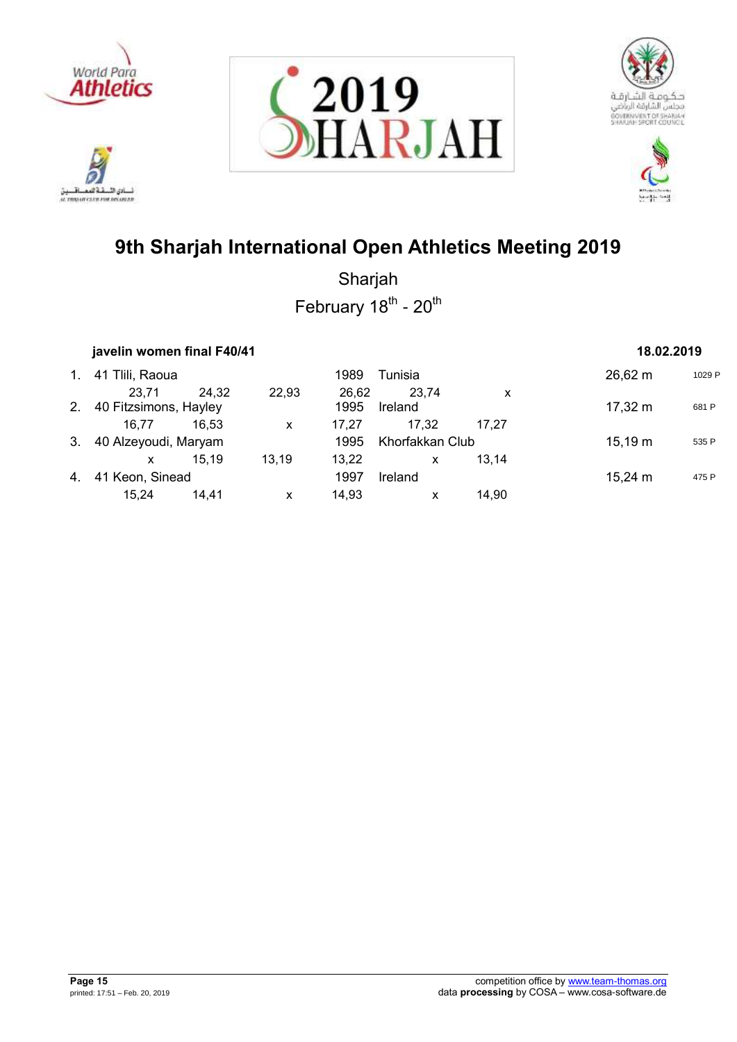









|                | javelin women final F40/41 | 18.02.2019 |       |       |                 |       |              |        |
|----------------|----------------------------|------------|-------|-------|-----------------|-------|--------------|--------|
| $\mathbf{1}$ . | 41 Tlili, Raoua            |            |       | 1989  | Tunisia         |       | 26,62 m      | 1029 P |
|                | 23.71                      | 24.32      | 22,93 | 26.62 | 23,74           | x     |              |        |
| 2.             | 40 Fitzsimons, Hayley      |            |       | 1995  | Ireland         |       | 17,32 m      | 681 P  |
|                | 16.77                      | 16.53      | X     | 17.27 | 17.32           | 17.27 |              |        |
| 3.             | 40 Alzeyoudi, Maryam       |            |       | 1995  | Khorfakkan Club |       | $15,19 \; m$ | 535 P  |
|                | x                          | 15.19      | 13.19 | 13.22 | X               | 13.14 |              |        |
| 4.             | 41 Keon, Sinead            |            |       | 1997  | Ireland         |       | $15,24 \; m$ | 475 P  |
|                | 15.24                      | 14.41      | X     | 14,93 | X               | 14,90 |              |        |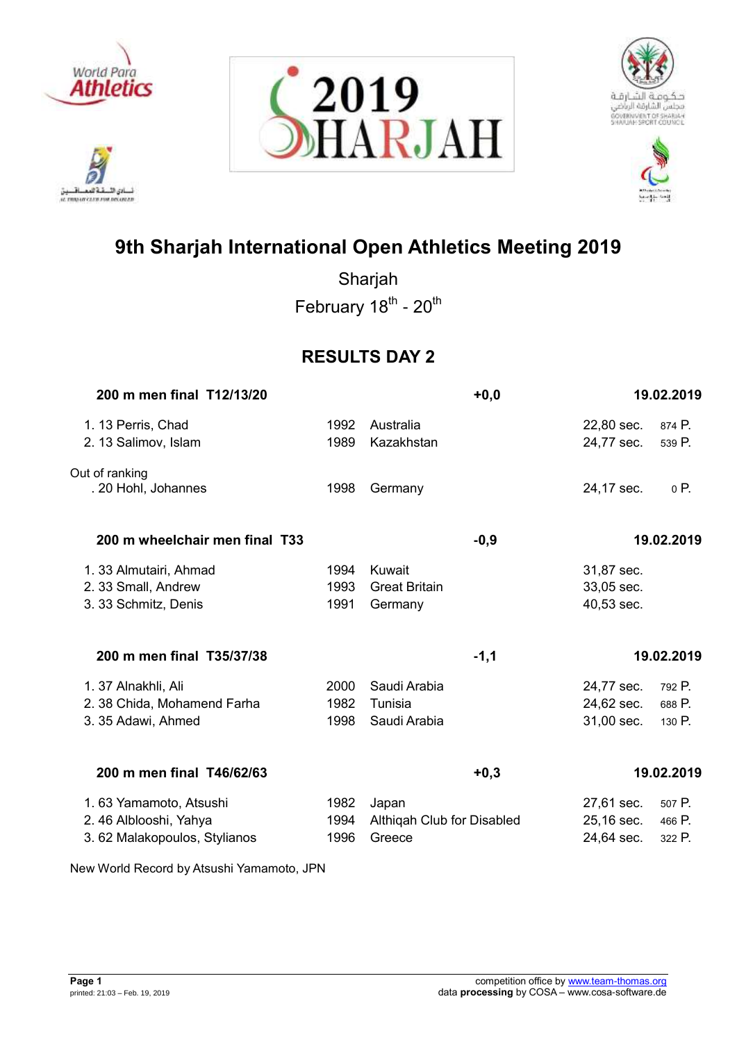

ادي الأ. تلافيد لسائق اللسفة العصافسين<br>a monocara rocrana







# **9th Sharjah International Open Athletics Meeting 2019**

Sharjah February 18<sup>th</sup> - 20<sup>th</sup>

## **RESULTS DAY 2**

| 200 m men final T12/13/20                                                       |                      | $+0,0$                                        |                                        | 19.02.2019                 |
|---------------------------------------------------------------------------------|----------------------|-----------------------------------------------|----------------------------------------|----------------------------|
| 1. 13 Perris, Chad<br>2. 13 Salimov, Islam                                      | 1992<br>1989         | Australia<br>Kazakhstan                       | 22,80 sec.<br>24,77 sec.               | 874 P.<br>539 P.           |
| Out of ranking<br>. 20 Hohl, Johannes                                           | 1998                 | Germany                                       | 24,17 sec.                             | 0 P.                       |
| 200 m wheelchair men final T33                                                  |                      | $-0,9$                                        |                                        | 19.02.2019                 |
| 1. 33 Almutairi, Ahmad<br>2. 33 Small, Andrew<br>3. 33 Schmitz, Denis           | 1994<br>1993<br>1991 | Kuwait<br><b>Great Britain</b><br>Germany     | 31,87 sec.<br>33,05 sec.<br>40,53 sec. |                            |
| 200 m men final T35/37/38                                                       |                      | $-1,1$                                        |                                        | 19.02.2019                 |
| 1. 37 Alnakhli, Ali<br>2. 38 Chida, Mohamend Farha<br>3. 35 Adawi, Ahmed        | 2000<br>1982<br>1998 | Saudi Arabia<br>Tunisia<br>Saudi Arabia       | 24,77 sec.<br>24,62 sec.<br>31,00 sec. | 792 P.<br>688 P.<br>130 P. |
| 200 m men final T46/62/63                                                       |                      | $+0,3$                                        |                                        | 19.02.2019                 |
| 1.63 Yamamoto, Atsushi<br>2.46 Alblooshi, Yahya<br>3.62 Malakopoulos, Stylianos | 1982<br>1994<br>1996 | Japan<br>Althiqah Club for Disabled<br>Greece | 27,61 sec.<br>25,16 sec.<br>24,64 sec. | 507 P.<br>466 P.<br>322 P. |

New World Record by Atsushi Yamamoto, JPN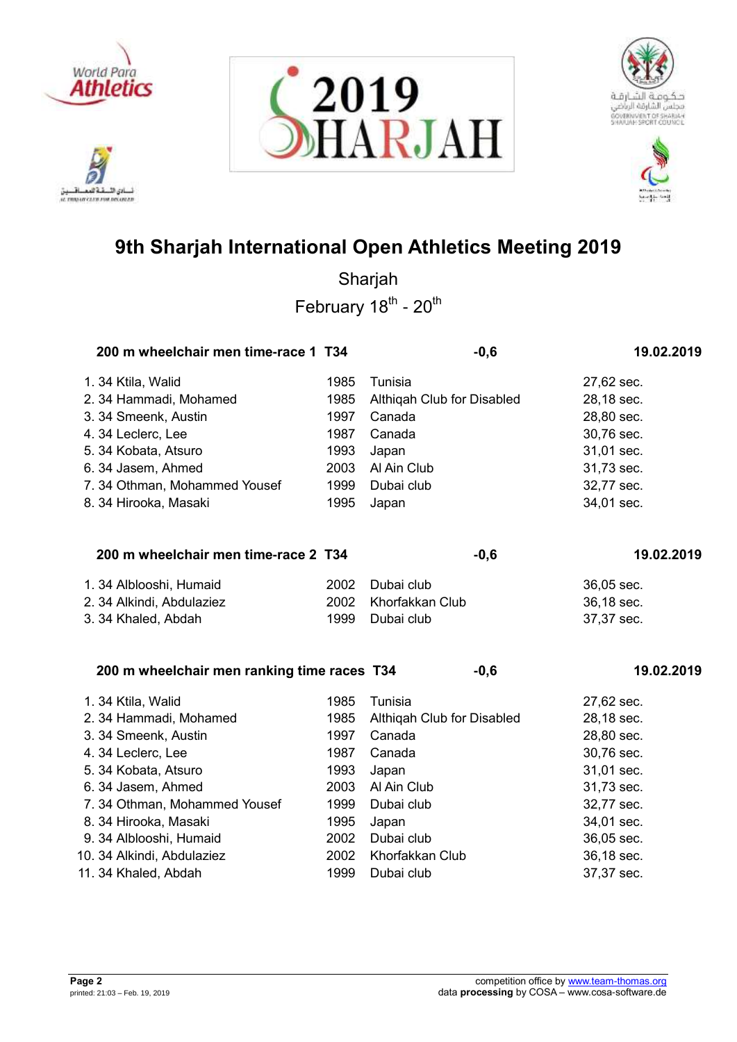







| 200 m wheelchair men time-race 1 T34        |      |                            | $-0,6$ | 19.02.2019 |
|---------------------------------------------|------|----------------------------|--------|------------|
| 1.34 Ktila, Walid                           | 1985 | Tunisia                    |        | 27,62 sec. |
| 2. 34 Hammadi, Mohamed                      | 1985 | Althiqah Club for Disabled |        | 28,18 sec. |
| 3. 34 Smeenk, Austin                        | 1997 | Canada                     |        | 28,80 sec. |
| 4.34 Leclerc, Lee                           | 1987 | Canada                     |        | 30,76 sec. |
| 5. 34 Kobata, Atsuro                        | 1993 | Japan                      |        | 31,01 sec. |
| 6. 34 Jasem, Ahmed                          | 2003 | Al Ain Club                |        | 31,73 sec. |
| 7.34 Othman, Mohammed Yousef                | 1999 | Dubai club                 |        | 32,77 sec. |
| 8. 34 Hirooka, Masaki                       | 1995 | Japan                      |        | 34,01 sec. |
| 200 m wheelchair men time-race 2 T34        |      |                            | $-0,6$ | 19.02.2019 |
| 1. 34 Alblooshi, Humaid                     | 2002 | Dubai club                 |        | 36,05 sec. |
| 2. 34 Alkindi, Abdulaziez                   | 2002 | Khorfakkan Club            |        | 36,18 sec. |
| 3. 34 Khaled, Abdah                         | 1999 | Dubai club                 |        | 37,37 sec. |
| 200 m wheelchair men ranking time races T34 |      |                            | $-0,6$ | 19.02.2019 |
| 1.34 Ktila, Walid                           | 1985 | Tunisia                    |        | 27,62 sec. |
| 2. 34 Hammadi, Mohamed                      | 1985 | Althiqah Club for Disabled |        | 28,18 sec. |
| 3. 34 Smeenk, Austin                        | 1997 | Canada                     |        | 28,80 sec. |
| 4.34 Leclerc, Lee                           | 1987 | Canada                     |        | 30,76 sec. |
| 5. 34 Kobata, Atsuro                        | 1993 | Japan                      |        | 31,01 sec. |
| 6. 34 Jasem, Ahmed                          | 2003 | Al Ain Club                |        | 31,73 sec. |
| 7.34 Othman, Mohammed Yousef                | 1999 | Dubai club                 |        | 32,77 sec. |
| 8. 34 Hirooka, Masaki                       | 1995 | Japan                      |        | 34,01 sec. |
| 9. 34 Alblooshi, Humaid                     | 2002 | Dubai club                 |        | 36,05 sec. |
| 10. 34 Alkindi, Abdulaziez                  | 2002 | Khorfakkan Club            |        | 36,18 sec. |
| 11. 34 Khaled, Abdah                        | 1999 | Dubai club                 |        | 37,37 sec. |

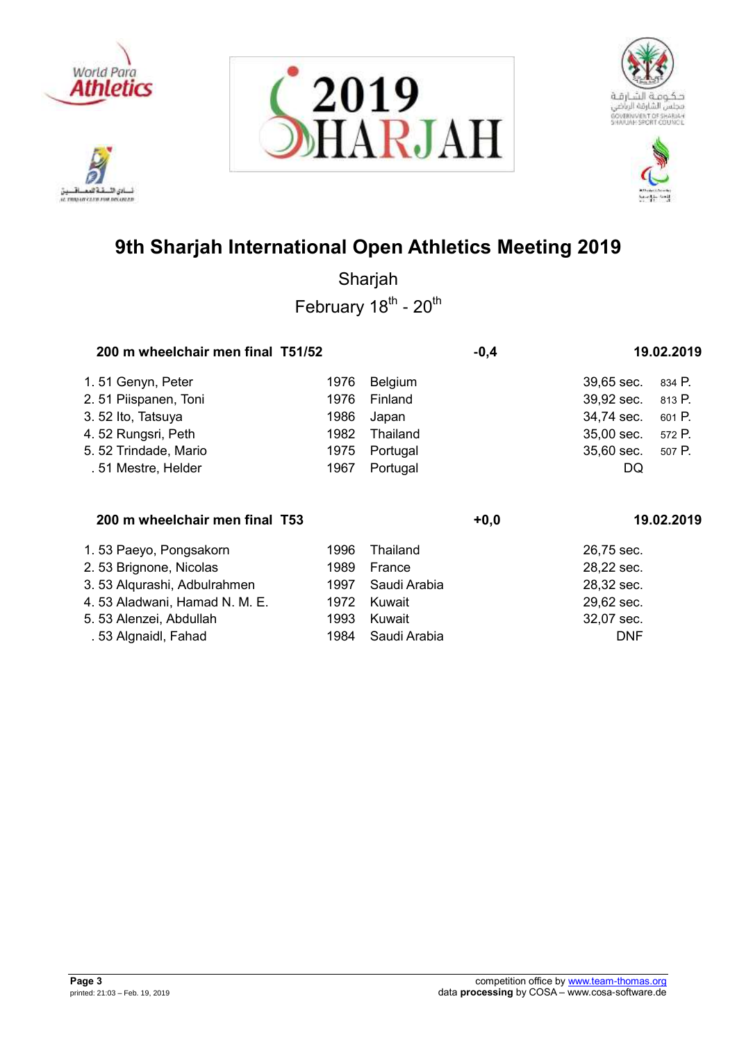

تلافيد أدي الأ نسادي النسفية العمسافيين<br>ac responsive care response







# **9th Sharjah International Open Athletics Meeting 2019**

| 200 m wheelchair men final T51/52 |      |          | $-0,4$ |            | 19.02.2019 |
|-----------------------------------|------|----------|--------|------------|------------|
| 1.51 Genyn, Peter                 | 1976 | Belgium  |        | 39,65 sec. | 834 P.     |
| 2.51 Piispanen, Toni              | 1976 | Finland  |        | 39,92 sec. | 813 P.     |
| 3.52 Ito, Tatsuya                 | 1986 | Japan    |        | 34,74 sec. | 601 P.     |
| 4.52 Rungsri, Peth                | 1982 | Thailand |        | 35,00 sec. | 572 P.     |
| 5.52 Trindade, Mario              | 1975 | Portugal |        | 35,60 sec. | 507 P.     |
| .51 Mestre, Helder                | 1967 | Portugal |        | DQ         |            |
| 200 m wheelchair men final T53    |      |          | $+0,0$ |            | 19.02.2019 |

| 1.53 Paeyo, Pongsakorn        | 1996 Thailand        | 26,75 sec. |
|-------------------------------|----------------------|------------|
| 2.53 Brignone, Nicolas        | France<br>1989       | 28,22 sec. |
| 3.53 Algurashi, Adbulrahmen   | 1997 Saudi Arabia    | 28,32 sec. |
| 4.53 Aladwani, Hamad N. M. E. | Kuwait<br>1972       | 29,62 sec. |
| 5. 53 Alenzei, Abdullah       | Kuwait<br>1993       | 32,07 sec. |
| .53 Algnaidl, Fahad           | Saudi Arabia<br>1984 | <b>DNF</b> |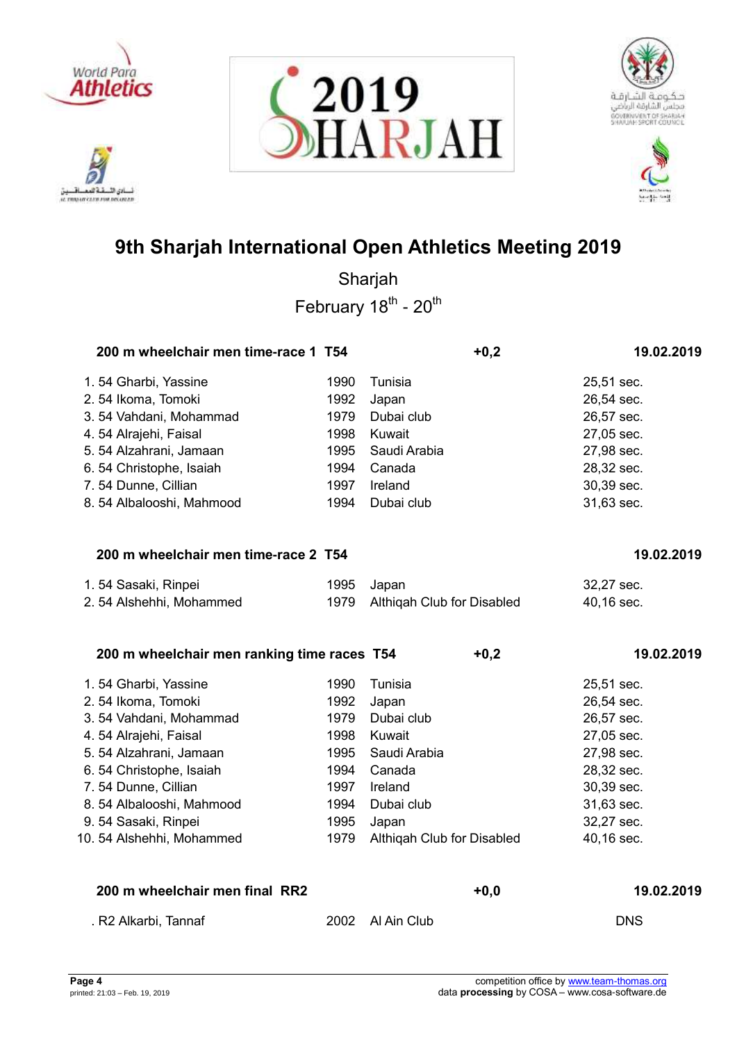

ادي الأ. تلافيد لسائن السقة العصافسين<br>st mosm cars rou recover







# **9th Sharjah International Open Athletics Meeting 2019**

Sharjah February 18<sup>th</sup> - 20<sup>th</sup>

| 200 m wheelchair men time-race 1 T54        |      | $+0,2$                     | 19.02.2019 |
|---------------------------------------------|------|----------------------------|------------|
| 1.54 Gharbi, Yassine                        | 1990 | Tunisia                    | 25,51 sec. |
| 2.54 Ikoma, Tomoki                          | 1992 | Japan                      | 26,54 sec. |
| 3.54 Vahdani, Mohammad                      | 1979 | Dubai club                 | 26,57 sec. |
| 4.54 Alrajehi, Faisal                       | 1998 | Kuwait                     | 27,05 sec. |
| 5.54 Alzahrani, Jamaan                      | 1995 | Saudi Arabia               | 27,98 sec. |
| 6.54 Christophe, Isaiah                     | 1994 | Canada                     | 28,32 sec. |
| 7.54 Dunne, Cillian                         | 1997 | Ireland                    | 30,39 sec. |
| 8.54 Albalooshi, Mahmood                    | 1994 | Dubai club                 | 31,63 sec. |
| 200 m wheelchair men time-race 2 T54        |      |                            | 19.02.2019 |
|                                             |      |                            |            |
| 1.54 Sasaki, Rinpei                         | 1995 | Japan                      | 32,27 sec. |
| 2.54 Alshehhi, Mohammed                     | 1979 | Althiqah Club for Disabled | 40,16 sec. |
| 200 m wheelchair men ranking time races T54 |      | $+0,2$                     | 19.02.2019 |
| 1.54 Gharbi, Yassine                        | 1990 | Tunisia                    | 25,51 sec. |
| 2.54 Ikoma, Tomoki                          | 1992 | Japan                      | 26,54 sec. |
| 3.54 Vahdani, Mohammad                      | 1979 | Dubai club                 | 26,57 sec. |
| 4.54 Alrajehi, Faisal                       | 1998 | Kuwait                     | 27,05 sec. |
| 5.54 Alzahrani, Jamaan                      | 1995 | Saudi Arabia               | 27,98 sec. |
| 6.54 Christophe, Isaiah                     | 1994 | Canada                     | 28,32 sec. |
| 7.54 Dunne, Cillian                         | 1997 | Ireland                    | 30,39 sec. |
| 8.54 Albalooshi, Mahmood                    | 1994 | Dubai club                 | 31,63 sec. |
| 9.54 Sasaki, Rinpei                         | 1995 | Japan                      | 32,27 sec. |
| 10. 54 Alshehhi, Mohammed                   | 1979 | Althiqah Club for Disabled | 40,16 sec. |
|                                             |      |                            |            |

| . R2 Alkarbi, Tannaf | 2002 Al Ain Club | <b>DNS</b> |
|----------------------|------------------|------------|

**200 m wheelchair men final RR2 +0,0 19.02.2019**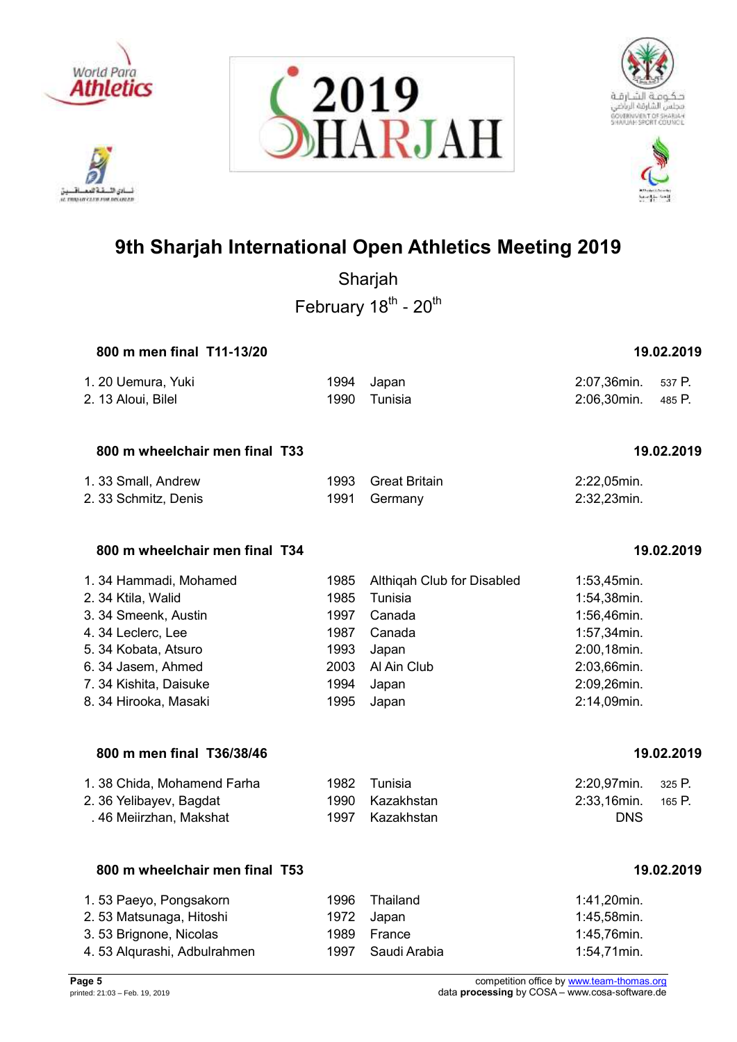

ادي الأ. **IL TRANSIT CLED FOR DELINIER** 









## **9th Sharjah International Open Athletics Meeting 2019**

Sharjah February 18<sup>th</sup> - 20<sup>th</sup>

## **800 m men final T11-13/20 19.02.2019**

| 1. 20 Uemura, Yuki | 1994 Japan   | 2:07,36min. 537 P. |  |
|--------------------|--------------|--------------------|--|
| 2. 13 Aloui, Bilel | 1990 Tunisia | 2:06,30min. 485 P. |  |

## **800 m wheelchair men final T33 19.02.2019**

| 1. 33 Small, Andrew  | 1993 Great Britain | 2:22,05min. |
|----------------------|--------------------|-------------|
| 2. 33 Schmitz, Denis | 1991 Germany       | 2:32,23min. |

## **800 m wheelchair men final T34 19.02.2019**

| 1.34 Hammadi, Mohamed  | 1985 | Althigah Club for Disabled | $1:53,45$ min. |
|------------------------|------|----------------------------|----------------|
| 2. 34 Ktila, Walid     | 1985 | Tunisia                    | 1:54,38min.    |
| 3. 34 Smeenk, Austin   | 1997 | Canada                     | 1:56,46min.    |
| 4.34 Leclerc, Lee      | 1987 | Canada                     | 1:57,34min.    |
| 5. 34 Kobata, Atsuro   | 1993 | Japan                      | 2:00,18min.    |
| 6.34 Jasem, Ahmed      | 2003 | Al Ain Club                | 2:03,66min.    |
| 7. 34 Kishita, Daisuke | 1994 | Japan                      | 2:09,26min.    |
| 8. 34 Hirooka, Masaki  | 1995 | Japan                      | 2:14,09min.    |

## **800 m men final T36/38/46 19.02.2019**

| 1.38 Chida, Mohamend Farha | 1982 Tunisia    | 2:20,97min. 325 P. |  |
|----------------------------|-----------------|--------------------|--|
| 2. 36 Yelibayev, Bagdat    | 1990 Kazakhstan | 2:33,16min. 165 P. |  |
| . 46 Meiirzhan, Makshat    | 1997 Kazakhstan | <b>DNS</b>         |  |

## **800 m wheelchair men final T53 19.02.2019**

## 1. 53 Paeyo, Pongsakorn 1996 Thailand 1:41,20min. 2. 53 Matsunaga, Hitoshi 1972 Japan 1:45,58min. 3. 53 Brignone, Nicolas 1989 France 1:45,76min. 4. 53 Alqurashi, Adbulrahmen 1997 Saudi Arabia 1:54,71min.

**Page 5** competition office by [www.team-thomas.org](http://www.team-thomas.org/)<br>
printed: 21:03 – Feb. 19, 2019<br>
data **processing** by COSA – www.cosa-software.de data **processing** by COSA – www.cosa-software.de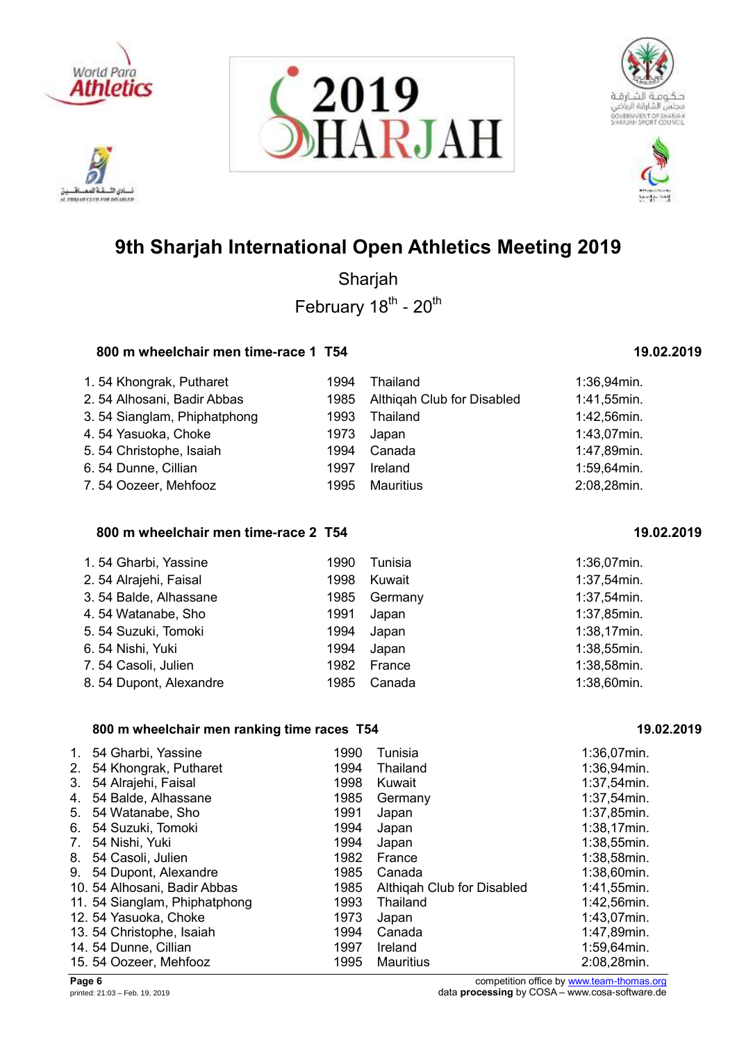

ادي الأ. تلافيد AL TRADAY CLEW FOR DELINIAR







# **9th Sharjah International Open Athletics Meeting 2019**

Sharjah February 18<sup>th</sup> - 20<sup>th</sup>

## **800 m wheelchair men time-race 1 T54 19.02.2019**

| 1.54 Khongrak, Putharet     | 1994 | Thailand                        | $1:36,94$ min. |
|-----------------------------|------|---------------------------------|----------------|
| 2.54 Alhosani, Badir Abbas  |      | 1985 Althigah Club for Disabled | 1:41,55min.    |
| 3.54 Sianglam, Phiphatphong | 1993 | Thailand                        | 1:42,56min.    |
| 4.54 Yasuoka, Choke         | 1973 | Japan                           | $1:43,07$ min. |
| 5.54 Christophe, Isaiah     | 1994 | Canada                          | 1:47,89min.    |
| 6.54 Dunne, Cillian         | 1997 | Ireland                         | 1:59,64min.    |
| 7.54 Oozeer, Mehfooz        | 1995 | <b>Mauritius</b>                | 2:08,28min.    |

## **800 m wheelchair men time-race 2 T54 19.02.2019**

| 1.54 Gharbi, Yassine   | 1990 | Tunisia | 1:36,07min.    |
|------------------------|------|---------|----------------|
| 2.54 Alrajehi, Faisal  | 1998 | Kuwait  | $1:37,54$ min. |
| 3.54 Balde, Alhassane  | 1985 | Germany | $1:37,54$ min. |
| 4.54 Watanabe, Sho     | 1991 | Japan   | 1:37,85min.    |
| 5. 54 Suzuki, Tomoki   | 1994 | Japan   | $1:38,17$ min. |
| 6.54 Nishi, Yuki       | 1994 | Japan   | $1:38,55$ min. |
| 7.54 Casoli, Julien    | 1982 | France  | $1:38,58$ min. |
| 8.54 Dupont, Alexandre | 1985 | Canada  | $1:38,60$ min. |

## **800 m wheelchair men ranking time races T54 19.02.2019**

| $\mathbf{1}$ . | 54 Gharbi, Yassine            | 1990 | Tunisia                    | 1:36,07min.    |
|----------------|-------------------------------|------|----------------------------|----------------|
| 2.             | 54 Khongrak, Putharet         | 1994 | Thailand                   | $1:36,94$ min. |
| 3.             | 54 Alrajehi, Faisal           | 1998 | Kuwait                     | $1:37,54$ min. |
| 4.             | 54 Balde, Alhassane           | 1985 | Germany                    | 1:37,54min.    |
| 5.             | 54 Watanabe, Sho              | 1991 | Japan                      | 1:37,85min.    |
| 6.             | 54 Suzuki, Tomoki             | 1994 | Japan                      | $1:38,17$ min. |
| 7.             | 54 Nishi, Yuki                | 1994 | Japan                      | $1:38,55$ min. |
| 8.             | 54 Casoli, Julien             | 1982 | France                     | 1:38,58min.    |
| 9.             | 54 Dupont, Alexandre          | 1985 | Canada                     | 1:38,60min.    |
|                | 10. 54 Alhosani, Badir Abbas  | 1985 | Althigah Club for Disabled | 1:41,55min.    |
|                | 11. 54 Sianglam, Phiphatphong | 1993 | Thailand                   | 1:42,56min.    |
|                | 12. 54 Yasuoka, Choke         | 1973 | Japan                      | 1:43,07min.    |
|                | 13. 54 Christophe, Isaiah     | 1994 | Canada                     | 1:47,89min.    |
|                | 14. 54 Dunne, Cillian         | 1997 | Ireland                    | 1:59,64min.    |
|                | 15. 54 Oozeer, Mehfooz        | 1995 | Mauritius                  | 2:08,28min.    |

**Page 6** competition office by [www.team-thomas.org](http://www.team-thomas.org/)<br>
printed: 21:03 – Feb. 19, 2019<br>
data **processing** by COSA – www.cosa-software.de data **processing** by COSA – www.cosa-software.de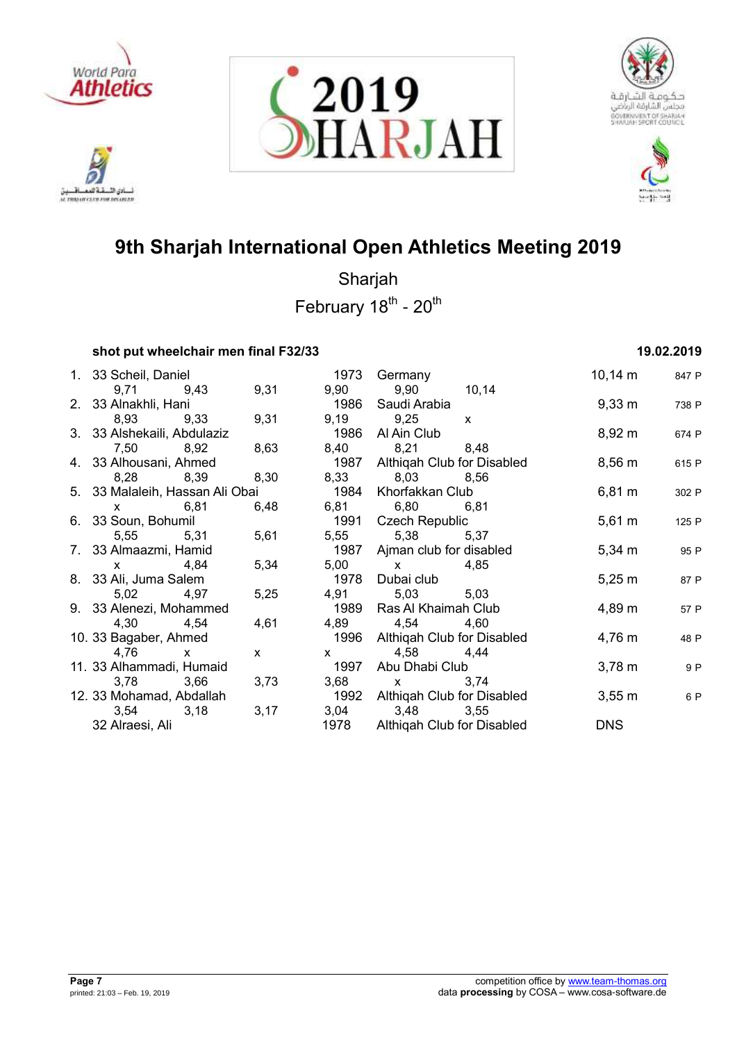

ادي الأ. تلافيد لسائن السقة العصافسين<br>st mosm cars rou recover







# **9th Sharjah International Open Athletics Meeting 2019**

Sharjah February 18<sup>th</sup> - 20<sup>th</sup>

## **shot put wheelchair men final F32/33 19.02.2019**

| 1. 33 Scheil, Daniel            |              |      | 1973 Germany                    | 10,14 m            | 847 P |
|---------------------------------|--------------|------|---------------------------------|--------------------|-------|
| 9,71 9,43                       | 9,31         |      | 9,90 9,90 10,14                 |                    |       |
| 2. 33 Alnakhli, Hani            |              |      | 1986  Saudi Arabia              | $9,33 \, \text{m}$ | 738 P |
| 8,93 9,33                       | 9,31         |      | 9,19 9,25 x                     |                    |       |
| 3. 33 Alshekaili, Abdulaziz     |              | 1986 | Al Ain Club                     | 8,92 m             | 674 P |
| 7,50 8,92                       | 8,63         |      | 8,40 8,21 8,48                  |                    |       |
| 4. 33 Alhousani, Ahmed          |              |      | 1987 Althiqah Club for Disabled | $8,56 \text{ m}$   | 615 P |
| 8,28 8,39                       | 8,30         |      | 8,33 8,03 8,56                  |                    |       |
| 5. 33 Malaleih, Hassan Ali Obai |              | 1984 | Khorfakkan Club                 | $6,81 \; m$        | 302 P |
| x 6,81                          | 6,48         |      | 6,81 6,80 6,81                  |                    |       |
| 6. 33 Soun, Bohumil             |              |      | 1991 Czech Republic             | $5,61 \; m$        | 125 P |
| 5,55 5,31                       | 5,61         |      | 5,55 5,38 5,37                  |                    |       |
| 7. 33 Almaazmi, Hamid           |              |      | 1987 Ajman club for disabled    | $5,34 \; m$        | 95 P  |
| $x = 4,84$                      | 5,34         |      | $5,00 \quad x \quad 4,85$       |                    |       |
| 8. 33 Ali, Juma Salem           |              |      | 1978 Dubai club                 | $5,25 \; m$        | 87 P  |
| 5,02 4,97                       | 5,25         |      | 4,91 5,03 5,03                  |                    |       |
| 9. 33 Alenezi, Mohammed         |              |      | 1989 Ras Al Khaimah Club        | 4,89 m             | 57 P  |
| 4,30 4,54                       | 4,61         |      | 4,89 4,54 4,60                  |                    |       |
| 10. 33 Bagaber, Ahmed           |              |      | 1996 Althiqah Club for Disabled | $4,76 \; m$        | 48 P  |
| 4,76<br>$\mathsf{X}$            | $\mathsf{x}$ |      | $x = 4,58$ 4,44                 |                    |       |
| 11. 33 Alhammadi, Humaid        |              |      | 1997 Abu Dhabi Club             | $3,78 \; m$        | 9 P   |
| 3,78 3,66                       | 3,73         |      | 3,68 x 3,74                     |                    |       |
| 12. 33 Mohamad, Abdallah        |              |      | 1992 Althigah Club for Disabled | $3,55 \, \text{m}$ | 6 P   |
| $3,54$ $3,18$                   | 3,17         |      | 3,04 3,48 3,55                  |                    |       |
| 32 Alraesi, Ali                 |              |      | 1978 Althigah Club for Disabled | <b>DNS</b>         |       |
|                                 |              |      |                                 |                    |       |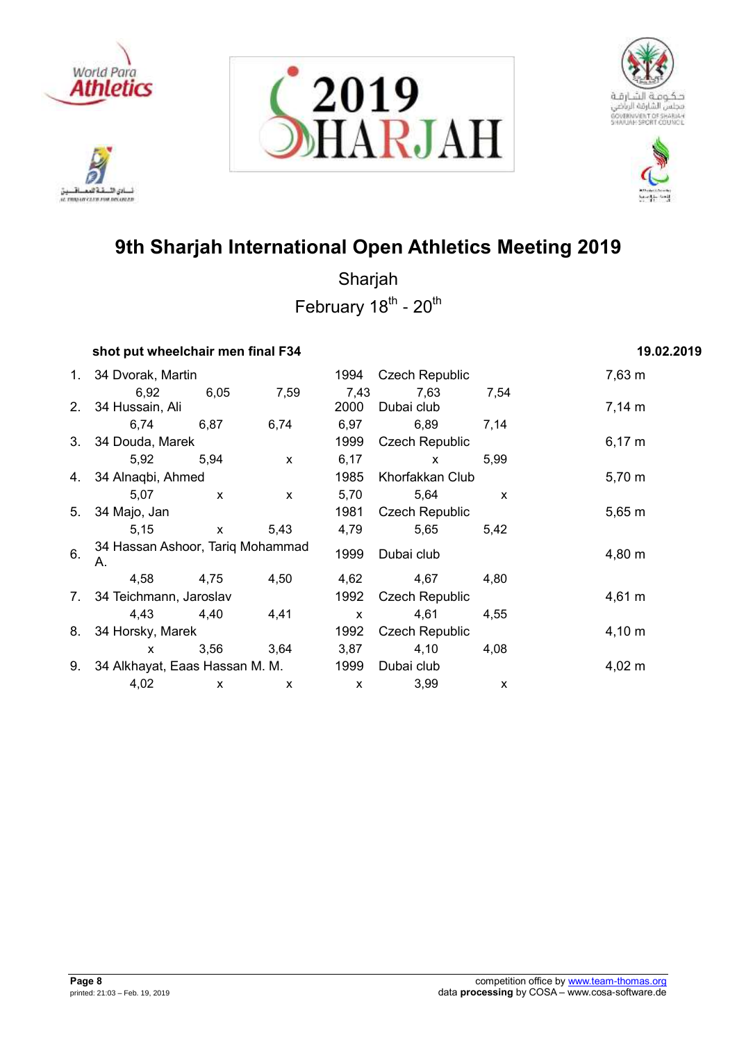

.<br>نائي الأ تلافيد لسائن السقة العصافسين<br>st mosm cars rou recover







# **9th Sharjah International Open Athletics Meeting 2019**

Sharjah February 18<sup>th</sup> - 20<sup>th</sup>

## **shot put wheelchair men final F34 19.02.2019**

|    | 1. 34 Dvorak, Martin                   |              |      | 1994         | <b>Czech Republic</b> | 7,63 m       |             |
|----|----------------------------------------|--------------|------|--------------|-----------------------|--------------|-------------|
|    | 6,92                                   | 6,05         | 7,59 | 7,43         | 7,63                  | 7,54         |             |
|    | 2. 34 Hussain, Ali                     |              |      | 2000         | Dubai club            |              | $7,14 \; m$ |
|    | 6,74                                   | 6,87         | 6,74 | 6,97         | 6,89                  | 7,14         |             |
|    | 3. 34 Douda, Marek                     |              |      | 1999         | <b>Czech Republic</b> |              | $6,17 \; m$ |
|    | 5,92                                   | 5,94         | X    | 6,17         | $\mathsf{x}$          | 5,99         |             |
|    | 4. 34 Alnaqbi, Ahmed                   |              |      | 1985         | Khorfakkan Club       |              | 5,70 m      |
|    | 5,07                                   | $\mathsf{x}$ | X    | 5,70         | 5,64                  | $\mathsf{x}$ |             |
| 5. | 34 Majo, Jan                           |              |      | 1981         | <b>Czech Republic</b> |              | $5,65 \; m$ |
|    | 5,15                                   | $\mathsf{x}$ | 5,43 | 4,79         | 5,65                  | 5,42         |             |
| 6. | 34 Hassan Ashoor, Tariq Mohammad<br>А. |              |      | 1999         | Dubai club            |              | 4,80 m      |
|    | 4,58                                   | 4,75         | 4,50 | 4,62         | 4,67                  | 4,80         |             |
|    | 7. 34 Teichmann, Jaroslav              |              |      | 1992         | <b>Czech Republic</b> |              | $4,61 \; m$ |
|    | 4,43                                   | 4,40         | 4,41 | $\mathsf{x}$ | 4,61                  | 4,55         |             |
| 8. | 34 Horsky, Marek                       |              |      | 1992         | <b>Czech Republic</b> |              | $4,10 \; m$ |
|    | $\mathsf{x}$                           | 3,56         | 3,64 | 3,87         | 4,10                  | 4,08         |             |
| 9. | 34 Alkhayat, Eaas Hassan M. M.         |              |      | 1999         | Dubai club            |              | $4,02 \; m$ |
|    | 4,02                                   | $\mathsf{x}$ | X    | $\mathsf{x}$ | 3,99                  | X            |             |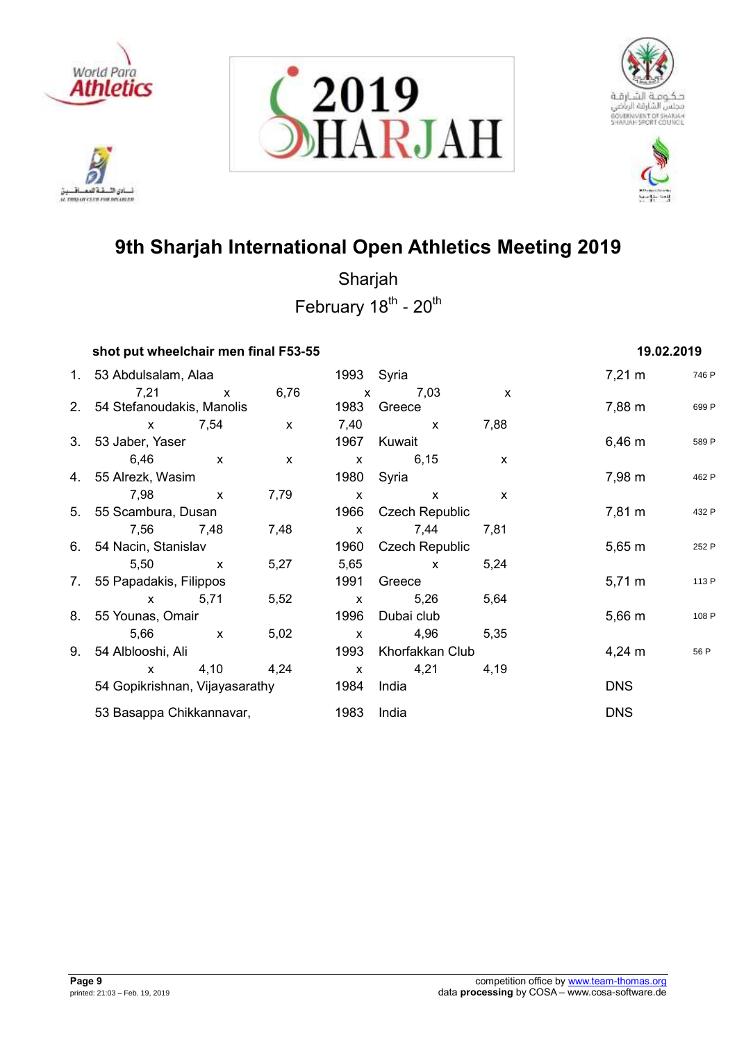









| shot put wheelchair men final F53-55 |              |              |              |                       |              | 19.02.2019          |       |
|--------------------------------------|--------------|--------------|--------------|-----------------------|--------------|---------------------|-------|
| 1. 53 Abdulsalam, Alaa               |              |              | 1993 Syria   |                       |              | $7,21 \text{ m}$    | 746 P |
| 7,21                                 | $\mathsf{x}$ | 6,76         | $\mathsf{x}$ | 7,03                  | $\mathsf{x}$ |                     |       |
| 2. 54 Stefanoudakis, Manolis         |              |              | 1983         | Greece                |              | 7,88 m              | 699 P |
| $\mathsf{x}$                         | 7,54         | $\mathsf{x}$ | 7,40         | $\mathsf{x}$          | 7,88         |                     |       |
| 3. 53 Jaber, Yaser                   |              |              |              | 1967 Kuwait           |              | $6,46 \; m$         | 589 P |
| 6,46                                 | $\mathsf{X}$ | $\mathsf{x}$ | $\mathsf{X}$ | 6,15                  | $\mathsf{x}$ |                     |       |
| 4. 55 Alrezk, Wasim                  |              |              | 1980         | Syria                 |              | 7,98 m              | 462 P |
| 7,98                                 | $\mathbf{x}$ | 7,79         | $\mathsf{X}$ | $\mathsf{x}$          | $\mathsf{x}$ |                     |       |
| 5. 55 Scambura, Dusan                |              |              | 1966         | <b>Czech Republic</b> |              | 7,81 m              | 432 P |
| 7,56 7,48                            |              | 7,48         | $\mathsf{X}$ | 7,44                  | 7,81         |                     |       |
| 6. 54 Nacin, Stanislav               |              |              | 1960         | <b>Czech Republic</b> |              | $5,65 \; m$         | 252 P |
| 5,50                                 | $\mathbf{x}$ | 5,27         | 5,65         | $\mathsf{x}$          | 5,24         |                     |       |
| 7. 55 Papadakis, Filippos            |              |              | 1991         | Greece                |              | $5,71 \,\mathrm{m}$ | 113 P |
| $\mathsf{x}$                         | 5,71         | 5,52         | $\mathsf{X}$ | 5,26                  | 5,64         |                     |       |
| 8. 55 Younas, Omair                  |              |              | 1996         | Dubai club            |              | $5,66 \; m$         | 108 P |
| 5,66                                 | $\mathsf{X}$ | 5,02         | $\mathsf{x}$ | 4,96                  | 5,35         |                     |       |
| 9. 54 Alblooshi, Ali                 |              |              | 1993         | Khorfakkan Club       |              | $4,24 \, m$         | 56 P  |
| $\mathsf{X}$                         | 4,10         | 4,24         | $\mathsf{X}$ | 4,21                  | 4,19         |                     |       |
| 54 Gopikrishnan, Vijayasarathy       |              |              | 1984         | India                 |              | <b>DNS</b>          |       |
| 53 Basappa Chikkannavar,             |              |              | 1983         | India                 |              | <b>DNS</b>          |       |
|                                      |              |              |              |                       |              |                     |       |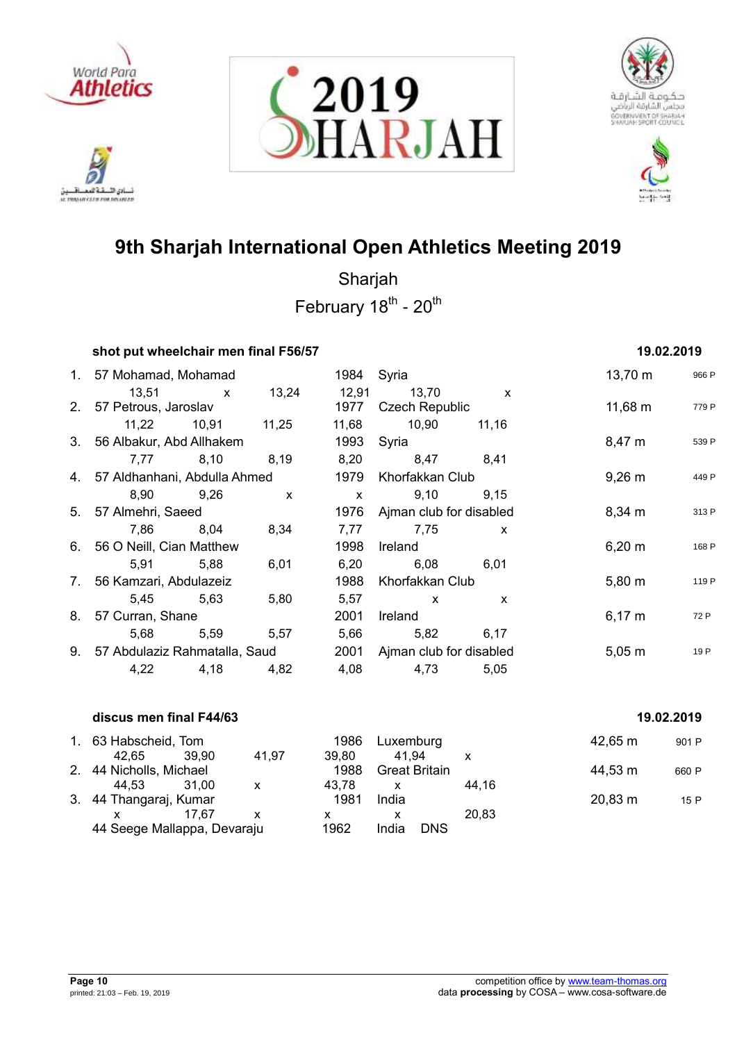

ادي الأ. تلافيد نسادي النسفية العمسافيين<br>ac responsive care response







# **9th Sharjah International Open Athletics Meeting 2019**

| shot put wheelchair men final F56/57 |             |                   |               |                                |                              | 19.02.2019          |       |
|--------------------------------------|-------------|-------------------|---------------|--------------------------------|------------------------------|---------------------|-------|
| 1. 57 Mohamad, Mohamad               |             |                   | 1984 Syria    |                                |                              | $13,70 \; \text{m}$ | 966 P |
| 13,51<br>2. 57 Petrous, Jaroslav     | $x = 13,24$ |                   | 12,91<br>1977 | 13,70<br><b>Czech Republic</b> | $\mathsf{X}$                 | $11,68 \; m$        | 779 P |
|                                      |             | 11,22 10,91 11,25 | 11,68         | 10,90                          | 11,16                        |                     |       |
| 3. 56 Albakur, Abd Allhakem          |             |                   |               | 1993 Syria                     |                              | 8,47 m              | 539 P |
|                                      | 7,77 8,10   | 8,19              | 8,20          | 8,47 8,41                      |                              |                     |       |
| 4. 57 Aldhanhani, Abdulla Ahmed      |             |                   | 1979          | Khorfakkan Club                |                              | $9,26 \, \text{m}$  | 449 P |
| 8,90                                 | 9,26        | $\mathbf{x}$      | $\mathsf{X}$  | 9,10                           | 9,15                         |                     |       |
| 5. 57 Almehri, Saeed                 |             |                   |               |                                | 1976 Ajman club for disabled |                     | 313 P |
|                                      | 7,86 8,04   | 8,34              | 7,77          | 7,75                           | $\mathsf{x}$                 |                     |       |
| 6. 56 O Neill, Cian Matthew          |             |                   | 1998          | Ireland                        |                              | 6,20 m              | 168 P |
| 5,91                                 | 5,88        | 6,01              | 6,20          | 6,08                           | 6,01                         |                     |       |
| 7. 56 Kamzari, Abdulazeiz            |             |                   | 1988          | Khorfakkan Club                |                              | $5,80 \; m$         | 119 P |
|                                      | 5,45 5,63   | 5,80              | 5,57          | $\mathsf{x}$                   | $\mathsf{x}$                 |                     |       |
| 8. 57 Curran, Shane                  |             |                   | 2001          | Ireland                        |                              | $6,17 \; m$         | 72 P  |
|                                      | 5,68 5,59   | 5,57              | 5,66          | 5,82                           | 6,17                         |                     |       |
| 9. 57 Abdulaziz Rahmatalla, Saud     |             |                   |               | 2001 Ajman club for disabled   |                              | $5,05 \; m$         | 19 P  |
|                                      | 4,22 4,18   | 4,82              | 4,08          | 4,73                           | 5,05                         |                     |       |
| discus men final F44/63              |             |                   |               |                                |                              | 19.02.2019          |       |

| 1. 63 Habscheid, Tom        |       |       | 1986  | Luxemburg            |       | $42,65 \; \mathrm{m}$ | 901 P |
|-----------------------------|-------|-------|-------|----------------------|-------|-----------------------|-------|
| 42.65                       | 39.90 | 41.97 | 39.80 | 41.94                |       |                       |       |
| 2. 44 Nicholls, Michael     |       |       | 1988  | <b>Great Britain</b> |       | 44,53 m               | 660 P |
| 44.53                       | 31.00 | x     | 43.78 | x                    | 44.16 |                       |       |
| 3. 44 Thangaraj, Kumar      |       |       | 1981  | India                |       | 20,83 m               | 15 P  |
|                             | 17.67 | x     | х     |                      | 20.83 |                       |       |
| 44 Seege Mallappa, Devaraju |       |       | 1962  | <b>DNS</b><br>India  |       |                       |       |
|                             |       |       |       |                      |       |                       |       |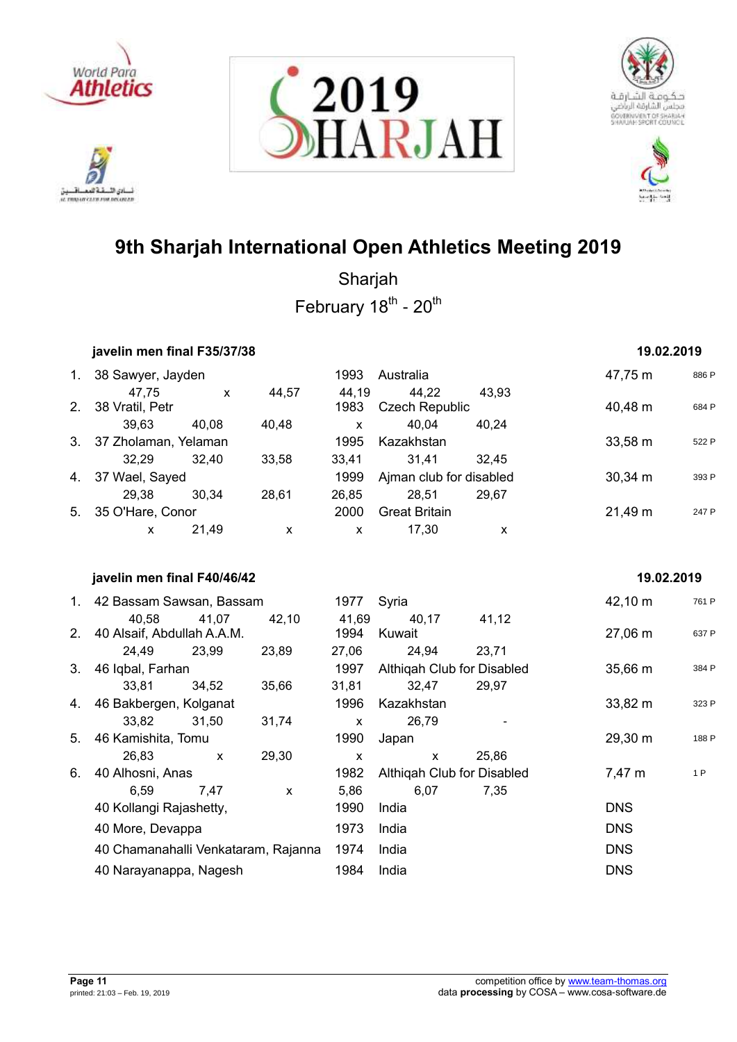

222 أدي الأ نسادي النسفية العمسافيين<br>ac responsive care response







# **9th Sharjah International Open Athletics Meeting 2019**

|    | javelin men final F35/37/38         |              |                    |               |                                |       | 19.02.2019   |       |
|----|-------------------------------------|--------------|--------------------|---------------|--------------------------------|-------|--------------|-------|
|    | 1. 38 Sawyer, Jayden                |              |                    | 1993          | Australia                      |       | 47,75 m      | 886 P |
| 2. | 47,75<br>38 Vratil, Petr            | $\mathsf{x}$ | 44,57              | 44,19<br>1983 | 44,22<br><b>Czech Republic</b> | 43,93 | 40,48 m      | 684 P |
|    | 39,63                               | 40,08        | 40,48              | X             | 40,04                          | 40,24 |              |       |
| 3. | 37 Zholaman, Yelaman                |              |                    | 1995          | Kazakhstan                     |       | 33,58 m      | 522 P |
|    | 32,29                               | 32,40        | 33,58              | 33,41         | 31,41                          | 32,45 |              |       |
| 4. | 37 Wael, Sayed                      |              |                    | 1999          | Ajman club for disabled        |       | $30,34 \; m$ | 393 P |
|    | 29,38                               | 30,34        | 28,61              | 26,85         | 28,51                          | 29,67 |              |       |
|    | 5. 35 O'Hare, Conor                 |              |                    | 2000          | <b>Great Britain</b>           |       | 21,49 m      | 247 P |
|    | X                                   | 21,49        | $\pmb{\mathsf{X}}$ | $\mathsf{x}$  | 17,30                          | X     |              |       |
|    |                                     |              |                    |               |                                |       |              |       |
|    | javelin men final F40/46/42         |              |                    |               |                                |       | 19.02.2019   |       |
|    | 1. 42 Bassam Sawsan, Bassam         |              |                    | 1977          | Syria                          |       | 42,10 m      | 761 P |
|    | 40,58                               | 41,07        | 42,10              | 41,69         | 40,17                          | 41,12 |              |       |
|    | 2. 40 Alsaif, Abdullah A.A.M.       |              |                    | 1994          | Kuwait                         |       | 27,06 m      | 637 P |
|    | 24,49                               | 23,99        | 23,89              | 27,06         | 24,94                          | 23,71 |              |       |
| 3. | 46 Iqbal, Farhan                    |              |                    | 1997          | Althiqah Club for Disabled     |       | 35,66 m      | 384 P |
|    | 33,81                               | 34,52        | 35,66              | 31,81         | 32,47                          | 29,97 |              |       |
|    | 4. 46 Bakbergen, Kolganat           |              |                    | 1996          | Kazakhstan                     |       | 33,82 m      | 323 P |
|    | 33,82                               | 31,50        | 31,74              | $\mathsf{x}$  | 26,79                          |       |              |       |
| 5. | 46 Kamishita, Tomu                  |              |                    | 1990          | Japan                          |       | 29,30 m      | 188 P |
|    | 26,83                               | $\mathsf{x}$ | 29,30              | $\mathsf{x}$  | $\mathsf{x}$                   | 25,86 |              |       |
| 6. | 40 Alhosni, Anas                    |              |                    | 1982          | Althiqah Club for Disabled     |       | 7,47 m       | 1 P   |
|    | 6,59                                | 7,47         | $\pmb{\mathsf{X}}$ | 5,86          | 6,07                           | 7,35  |              |       |
|    | 40 Kollangi Rajashetty,             |              |                    | 1990          | India                          |       | <b>DNS</b>   |       |
|    | 40 More, Devappa                    |              |                    | 1973          | India                          |       | <b>DNS</b>   |       |
|    | 40 Chamanahalli Venkataram, Rajanna |              |                    | 1974          | India                          |       | <b>DNS</b>   |       |
|    | 40 Narayanappa, Nagesh              |              |                    | 1984          | India                          |       | <b>DNS</b>   |       |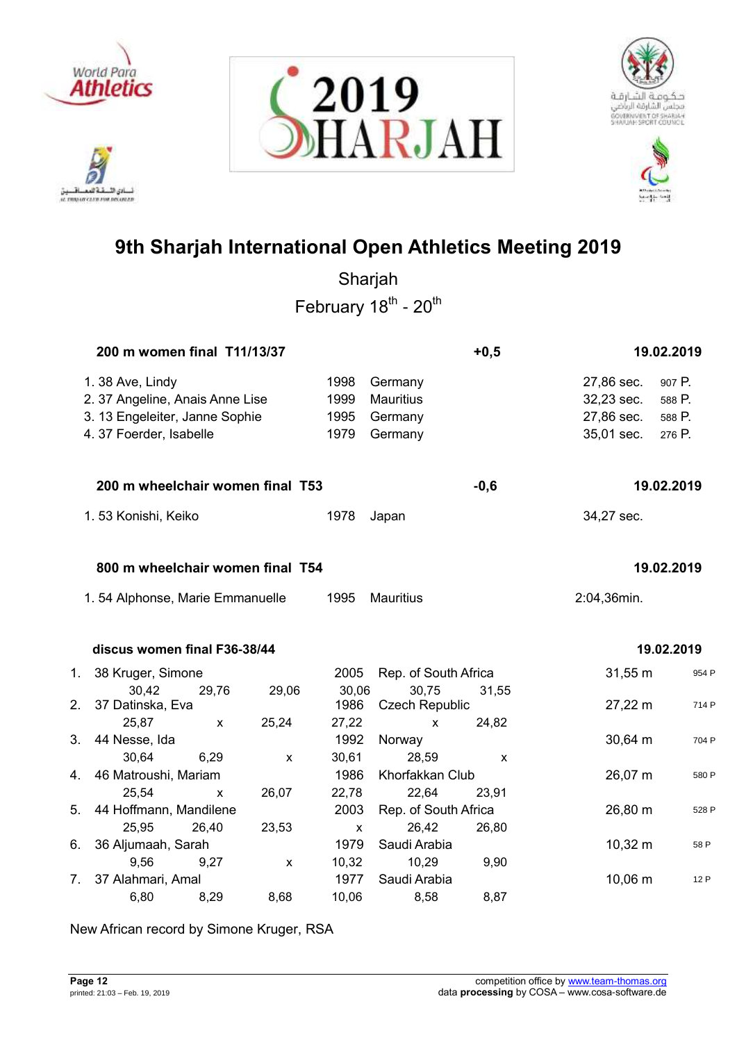

ادي الأ. تلافيد نسادی النسفیه العمسافسین<br>at movements rou reconter







# **9th Sharjah International Open Athletics Meeting 2019**

Sharjah February 18<sup>th</sup> - 20<sup>th</sup>

|    | 200 m women final T11/13/37                                                                                     |       |                    |                              |                                                   | $+0,5$ |                                                      | 19.02.2019                           |
|----|-----------------------------------------------------------------------------------------------------------------|-------|--------------------|------------------------------|---------------------------------------------------|--------|------------------------------------------------------|--------------------------------------|
|    | 1.38 Ave, Lindy<br>2. 37 Angeline, Anais Anne Lise<br>3. 13 Engeleiter, Janne Sophie<br>4. 37 Foerder, Isabelle |       |                    | 1998<br>1999<br>1995<br>1979 | Germany<br><b>Mauritius</b><br>Germany<br>Germany |        | 27,86 sec.<br>32,23 sec.<br>27,86 sec.<br>35,01 sec. | 907 P.<br>588 P.<br>588 P.<br>276 P. |
|    | 200 m wheelchair women final T53                                                                                |       |                    |                              |                                                   | $-0,6$ |                                                      | 19.02.2019                           |
|    | 1.53 Konishi, Keiko                                                                                             |       |                    | 1978                         | Japan                                             |        | 34,27 sec.                                           |                                      |
|    | 800 m wheelchair women final T54                                                                                |       |                    |                              |                                                   |        |                                                      | 19.02.2019                           |
|    | 1.54 Alphonse, Marie Emmanuelle                                                                                 |       |                    | 1995                         | <b>Mauritius</b>                                  |        | 2:04,36min.                                          |                                      |
|    | discus women final F36-38/44                                                                                    |       |                    |                              |                                                   |        | 19.02.2019                                           |                                      |
| 1. | 38 Kruger, Simone                                                                                               |       |                    | 2005                         | Rep. of South Africa                              |        | $31,55 \; m$                                         | 954 P                                |
| 2. | 30,42<br>37 Datinska, Eva                                                                                       | 29,76 | 29,06              | 30,06<br>1986                | 30,75<br><b>Czech Republic</b>                    | 31,55  | 27,22 m                                              | 714 P                                |
|    | 25,87                                                                                                           | X     | 25,24              | 27,22                        | X                                                 | 24,82  |                                                      |                                      |
| 3. | 44 Nesse, Ida                                                                                                   |       |                    | 1992                         | Norway                                            |        | 30,64 m                                              | 704 P                                |
| 4. | 30,64<br>46 Matroushi, Mariam                                                                                   | 6,29  | $\pmb{\mathsf{X}}$ | 30,61<br>1986                | 28,59<br>Khorfakkan Club                          | X      | 26,07 m                                              | 580 P                                |
|    | 25,54                                                                                                           | X     | 26,07              | 22,78                        | 22,64                                             | 23,91  |                                                      |                                      |
| 5. | 44 Hoffmann, Mandilene                                                                                          |       |                    | 2003                         | Rep. of South Africa                              |        | 26,80 m                                              | 528 P                                |
|    | 25,95                                                                                                           | 26,40 | 23,53              | X                            | 26,42                                             | 26,80  |                                                      |                                      |
| 6. | 36 Aljumaah, Sarah                                                                                              |       |                    | 1979                         | Saudi Arabia                                      |        | $10,32 \; m$                                         | 58 P                                 |
|    | 9,56                                                                                                            | 9,27  | $\pmb{\times}$     | 10,32                        | 10,29                                             | 9,90   |                                                      |                                      |
| 7. | 37 Alahmari, Amal                                                                                               |       |                    | 1977                         | Saudi Arabia                                      |        | 10,06 m                                              | 12 P                                 |
|    | 6,80                                                                                                            | 8,29  | 8,68               | 10,06                        | 8,58                                              | 8,87   |                                                      |                                      |

New African record by Simone Kruger, RSA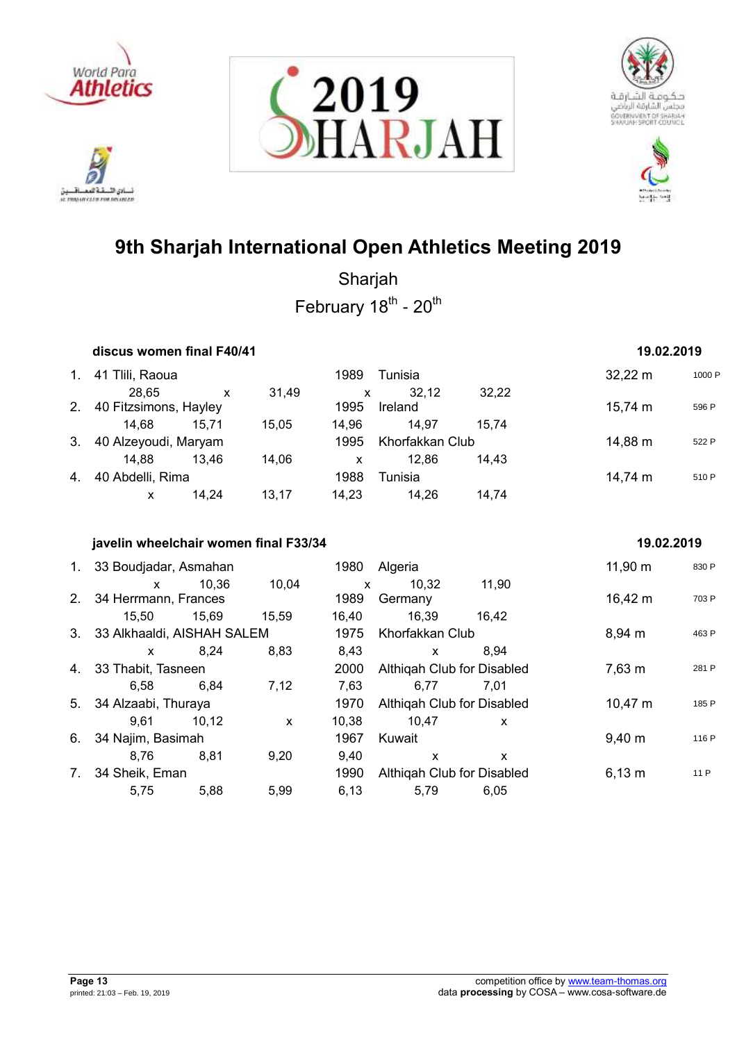

ادي الأ. تلافيد لسائق اللسفة العصافسين<br>a monocara rocrana







# **9th Sharjah International Open Athletics Meeting 2019**

Sharjah February 18<sup>th</sup> - 20<sup>th</sup>

| discus women final F40/41 |       |                                                                   |       |         |       |                 |            |
|---------------------------|-------|-------------------------------------------------------------------|-------|---------|-------|-----------------|------------|
| 41 Tlili, Raoua           |       |                                                                   | 1989  | Tunisia |       | $32,22 \, m$    | 1000 F     |
| 28.65                     | X     | 31.49                                                             | X     | 32.12   | 32,22 |                 |            |
|                           |       |                                                                   | 1995  | Ireland |       | 15,74 m         | 596 P      |
| 14.68                     | 15.71 | 15.05                                                             | 14.96 | 14.97   | 15.74 |                 |            |
|                           |       |                                                                   | 1995  |         |       | 14,88 m         | 522 P      |
| 14.88                     | 13.46 | 14,06                                                             | X     | 12.86   | 14.43 |                 |            |
|                           |       |                                                                   | 1988  | Tunisia |       | 14,74 m         | 510 P      |
| x                         | 14.24 | 13.17                                                             | 14.23 | 14,26   | 14,74 |                 |            |
|                           |       | 40 Fitzsimons, Hayley<br>40 Alzeyoudi, Maryam<br>40 Abdelli, Rima |       |         |       | Khorfakkan Club | 19.02.2019 |

## **javelin wheelchair women final F33/34 19.02.2019**

|    | 1. 33 Boudjadar, Asmahan      |       |              | 1980         | Algeria                    |              | $11,90 \; m$       | 830 P |
|----|-------------------------------|-------|--------------|--------------|----------------------------|--------------|--------------------|-------|
|    | $\mathsf{x}$                  | 10,36 | 10,04        | $\mathsf{x}$ | 10,32                      | 11,90        |                    |       |
|    | 2. 34 Herrmann, Frances       |       |              | 1989         | Germany                    |              | $16,42 \; m$       | 703 P |
|    | 15,50                         | 15,69 | 15.59        | 16.40        | 16,39                      | 16.42        |                    |       |
|    | 3. 33 Alkhaaldi, AISHAH SALEM |       |              | 1975         | Khorfakkan Club            |              | 8,94 m             | 463 P |
|    | X                             | 8.24  | 8,83         | 8,43         | X                          | 8.94         |                    |       |
|    | 4. 33 Thabit, Tasneen         |       |              | 2000         | Althigah Club for Disabled |              | 7,63 m             | 281 P |
|    | 6.58                          | 6.84  | 7,12         | 7.63         | 6.77                       | 7.01         |                    |       |
|    | 5. 34 Alzaabi, Thuraya        |       |              | 1970         | Althigah Club for Disabled |              | $10,47 \; m$       | 185 P |
|    | 9.61                          | 10.12 | $\mathsf{x}$ | 10.38        | 10.47                      | $\mathsf{x}$ |                    |       |
| 6. | 34 Najim, Basimah             |       |              | 1967         | Kuwait                     |              | $9,40 \; \text{m}$ | 116 P |
|    | 8.76                          | 8.81  | 9,20         | 9,40         | X                          | x            |                    |       |
|    | 7. 34 Sheik, Eman             |       |              | 1990         | Althigah Club for Disabled |              | $6,13 \; m$        | 11 P  |
|    | 5.75                          | 5,88  | 5,99         | 6.13         | 5,79                       | 6,05         |                    |       |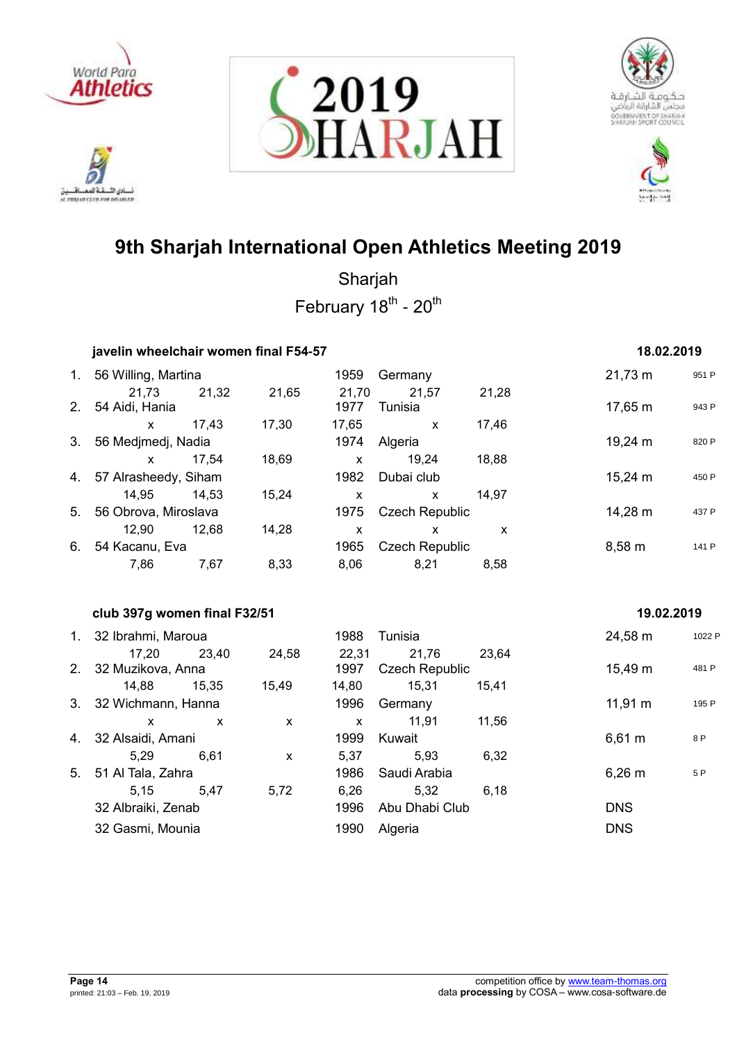

222 أدي الأ نسادي النسفية العمسافيين<br>ac responsive care response







# **9th Sharjah International Open Athletics Meeting 2019**

|    | javelin wheelchair women final F54-57 |              |                           |               |                                |              | 18.02.2019        |        |
|----|---------------------------------------|--------------|---------------------------|---------------|--------------------------------|--------------|-------------------|--------|
|    | 1. 56 Willing, Martina                |              |                           | 1959          | Germany                        |              | $21,73 \text{ m}$ | 951 P  |
| 2. | 21,73<br>54 Aidi, Hania               | 21,32        | 21,65                     | 21,70<br>1977 | 21,57<br>Tunisia               | 21,28        | 17,65 m           | 943 P  |
|    | $\mathsf{x}$                          | 17,43        | 17,30                     | 17,65         | $\mathsf{X}$                   | 17,46        |                   |        |
|    | 3. 56 Medjmedj, Nadia                 |              |                           | 1974          | Algeria                        |              | 19,24 m           | 820 P  |
|    | $\mathsf{x}$                          | 17,54        | 18,69                     | $\mathsf{x}$  | 19,24                          | 18,88        |                   |        |
|    | 4. 57 Alrasheedy, Siham               |              |                           | 1982          | Dubai club                     |              | 15,24 m           | 450 P  |
|    | 14,95                                 | 14,53        | 15,24                     | $\mathsf{x}$  | $\mathsf{x}$                   | 14,97        |                   |        |
| 5. | 56 Obrova, Miroslava                  |              |                           | 1975          | <b>Czech Republic</b>          |              | 14,28 m           | 437 P  |
|    | 12,90                                 | 12,68        | 14,28                     | $\mathsf{x}$  | $\mathsf{x}$                   | $\mathsf{x}$ |                   |        |
| 6. | 54 Kacanu, Eva                        |              |                           | 1965          | <b>Czech Republic</b>          |              | $8,58 \; m$       | 141 P  |
|    | 7,86                                  | 7,67         | 8,33                      | 8,06          | 8,21                           | 8,58         |                   |        |
|    | club 397g women final F32/51          |              |                           |               |                                |              | 19.02.2019        |        |
|    | 1. 32 Ibrahmi, Maroua                 |              |                           | 1988          | Tunisia                        |              | 24,58 m           | 1022 P |
| 2. | 17,20<br>32 Muzikova, Anna            | 23,40        | 24,58                     | 22,31<br>1997 | 21,76<br><b>Czech Republic</b> | 23,64        | 15,49 m           | 481 P  |
|    | 14,88  15,35                          |              | 15,49                     | 14,80         | 15,31                          | 15,41        |                   |        |
|    | 3. 32 Wichmann, Hanna                 |              |                           | 1996          | Germany                        |              | $11,91 \; m$      | 195 P  |
|    | $\mathsf{x}$                          | $\mathsf{x}$ | $\mathsf{x}$              | $\mathsf{x}$  | 11,91                          | 11,56        |                   |        |
| 4. | 32 Alsaidi, Amani                     |              |                           | 1999          | Kuwait                         |              | $6,61 \; m$       | 8 P    |
|    | 5,29                                  | 6,61         | $\boldsymbol{\mathsf{x}}$ | 5,37          | 5,93                           | 6,32         |                   |        |
| 5. | 51 Al Tala, Zahra                     |              |                           | 1986          | Saudi Arabia                   |              | $6,26 \; m$       | 5P     |
|    | 5,15                                  | 5,47         | 5,72                      | 6,26          | 5,32                           | 6,18         |                   |        |
|    | 32 Albraiki, Zenab                    |              |                           | 1996          | Abu Dhabi Club                 |              | <b>DNS</b>        |        |
|    | 32 Gasmi, Mounia                      |              |                           | 1990          | Algeria                        |              | <b>DNS</b>        |        |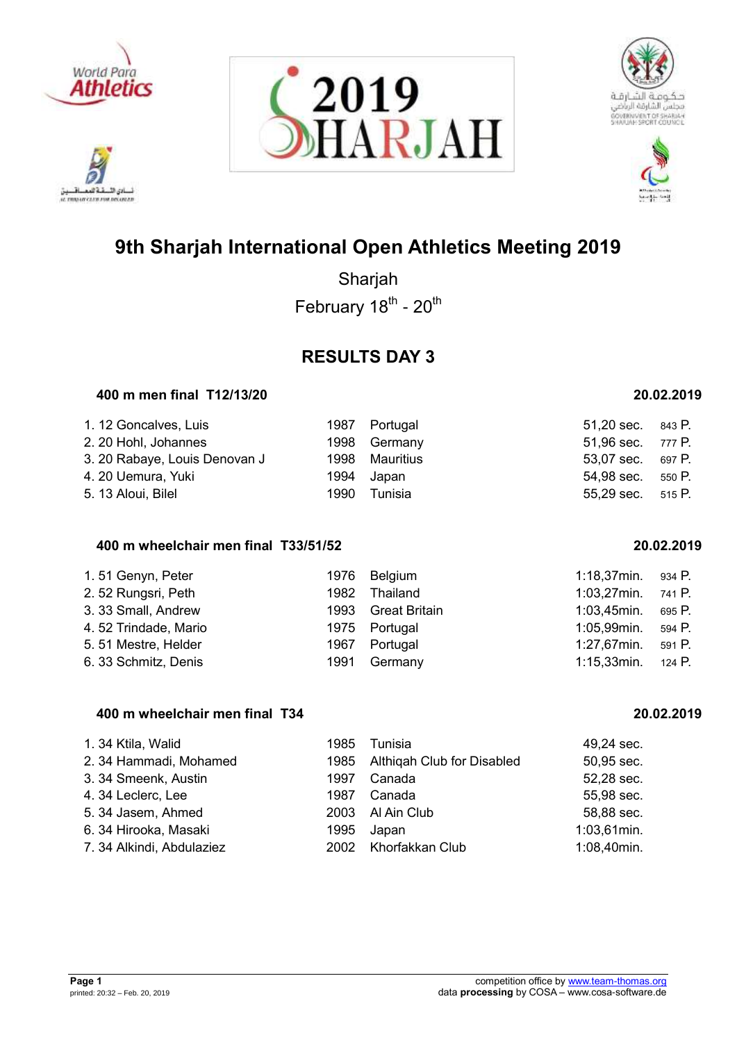

ادي الأ. تلافيد AL TRADAY CLEW FOR DELINIAR







# **9th Sharjah International Open Athletics Meeting 2019**

Sharjah February 18<sup>th</sup> - 20<sup>th</sup>

## **RESULTS DAY 3**

## **400 m men final T12/13/20 20.02.2019**

| 1. 12 Goncalves, Luis         |      | 1987 Portugal  | $51,20$ sec. $843$ P. |        |
|-------------------------------|------|----------------|-----------------------|--------|
| 2. 20 Hohl, Johannes          |      | 1998 Germany   | 51,96 sec. 777 P.     |        |
| 3. 20 Rabaye, Louis Denovan J |      | 1998 Mauritius | 53,07 sec. 697 P.     |        |
| 4. 20 Uemura, Yuki            |      | 1994 Japan     | 54,98 sec.            | 550 P. |
| 5. 13 Aloui, Bilel            | 1990 | Tunisia        | 55,29 sec. 515 P.     |        |

## **400 m wheelchair men final T33/51/52 20.02.2019**

| 1.51 Genyn, Peter    |      | 1976 Belgium       | $1:18,37$ min. | 934 P. |
|----------------------|------|--------------------|----------------|--------|
| 2.52 Rungsri, Peth   | 1982 | Thailand           | $1:03,27$ min. | 741 P. |
| 3. 33 Small, Andrew  |      | 1993 Great Britain | 1:03,45min.    | 695 P. |
| 4.52 Trindade, Mario |      | 1975 Portugal      | 1:05,99min.    | 594 P. |
| 5.51 Mestre, Helder  |      | 1967 Portugal      | 1:27,67min.    | 591 P. |
| 6. 33 Schmitz, Denis | 1991 | Germany            | $1:15,33$ min. | 124 P. |

## **400 m wheelchair men final T34 20.02.2019**

| 1. 34 Ktila, Walid        | 1985 | Tunisia                    | 49,24 sec.     |
|---------------------------|------|----------------------------|----------------|
| 2. 34 Hammadi, Mohamed    | 1985 | Althigah Club for Disabled | 50,95 sec.     |
| 3. 34 Smeenk, Austin      | 1997 | Canada                     | 52,28 sec.     |
| 4.34 Leclerc, Lee         | 1987 | Canada                     | 55,98 sec.     |
| 5. 34 Jasem, Ahmed        | 2003 | Al Ain Club                | 58,88 sec.     |
| 6. 34 Hirooka, Masaki     | 1995 | Japan                      | $1:03,61$ min. |
| 7. 34 Alkindi, Abdulaziez |      | 2002 Khorfakkan Club       | 1:08,40min.    |

| :03,27min. | 741 P. |
|------------|--------|
| :03,45min. | 695 P. |
| :05,99min. | 594 P. |
| :27,67min. | 591 P. |
| :15,33min. | 124 P. |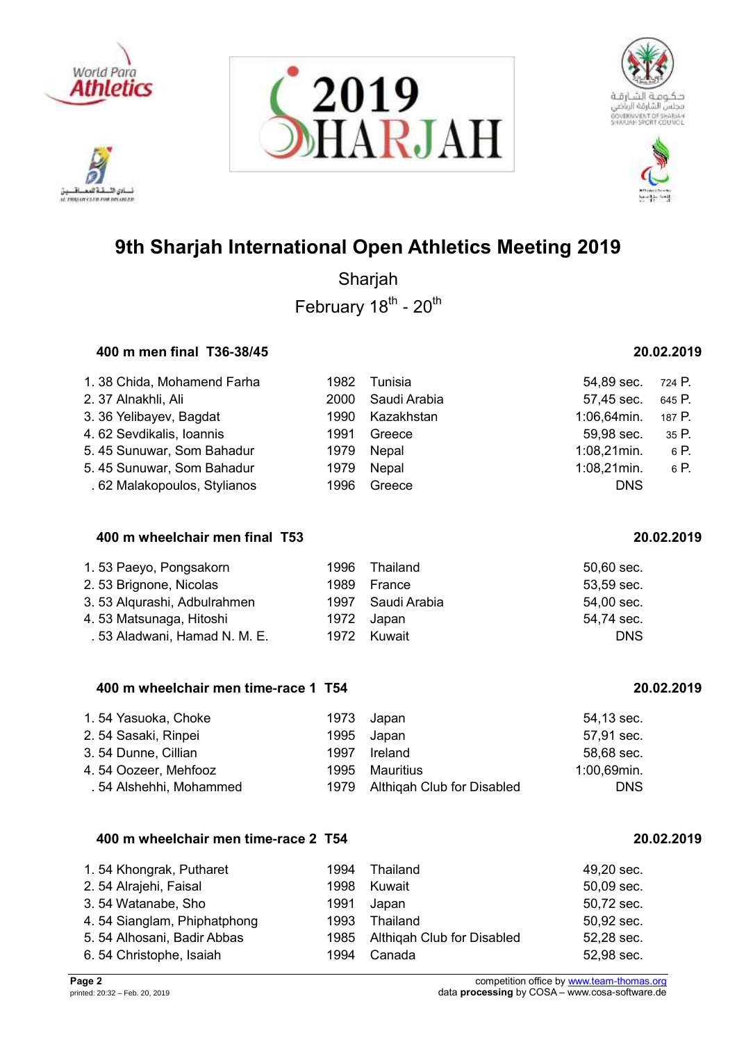







Sharjah February 18<sup>th</sup> - 20<sup>th</sup>

## **400 m men final T36-38/45 20.02.2019**

| 1.38 Chida, Mohamend Farha   | 1982 | Tunisia         | 54,89 sec.     | 724 P. |
|------------------------------|------|-----------------|----------------|--------|
| 2. 37 Alnakhli, Ali          | 2000 | Saudi Arabia    | 57,45 sec.     | 645 P. |
| 3.36 Yelibayev, Bagdat       |      | 1990 Kazakhstan | 1:06,64min.    | 187 P. |
| 4.62 Sevdikalis, Ioannis     | 1991 | Greece          | 59,98 sec.     | 35P.   |
| 5.45 Sunuwar, Som Bahadur    | 1979 | Nepal           | $1:08,21$ min. | 6 P.   |
| 5.45 Sunuwar, Som Bahadur    | 1979 | Nepal           | $1:08,21$ min. | 6 P.   |
| . 62 Malakopoulos, Stylianos | 1996 | Greece          | <b>DNS</b>     |        |

## **400 m wheelchair men final T53 20.02.2019**

| 1.53 Paeyo, Pongsakorn       |            | 1996 Thailand     | 50,60 sec. |
|------------------------------|------------|-------------------|------------|
| 2.53 Brignone, Nicolas       | 1989       | France            | 53,59 sec. |
| 3.53 Algurashi, Adbulrahmen  |            | 1997 Saudi Arabia | 54,00 sec. |
| 4. 53 Matsunaga, Hitoshi     | 1972 Japan |                   | 54,74 sec. |
| .53 Aladwani, Hamad N. M. E. |            | 1972 Kuwait       | <b>DNS</b> |

## **400 m wheelchair men time-race 1 T54 20.02.2019**

| 1.54 Yasuoka, Choke     | 1973 Japan                      | 54,13 sec.     |
|-------------------------|---------------------------------|----------------|
| 2.54 Sasaki, Rinpei     | 1995 Japan                      | 57,91 sec.     |
| 3.54 Dunne, Cillian     | 1997 Ireland                    | 58,68 sec.     |
| 4.54 Oozeer, Mehfooz    | 1995 Mauritius                  | $1:00,69$ min. |
| . 54 Alshehhi, Mohammed | 1979 Althigah Club for Disabled | <b>DNS</b>     |

## **400 m wheelchair men time-race 2 T54 20.02.2019**

| 1.54 Khongrak, Putharet     | 1994 | Thailand                   | 49,20 sec. |
|-----------------------------|------|----------------------------|------------|
| 2.54 Alrajehi, Faisal       | 1998 | Kuwait                     | 50,09 sec. |
| 3.54 Watanabe, Sho          | 1991 | Japan                      | 50,72 sec. |
| 4.54 Sianglam, Phiphatphong | 1993 | Thailand                   | 50,92 sec. |
| 5. 54 Alhosani, Badir Abbas | 1985 | Althigah Club for Disabled | 52,28 sec. |
| 6.54 Christophe, Isaiah     | 1994 | Canada                     | 52,98 sec. |

ادي الأ. تلافيد AL TRADAY CLEW FOR DELINIAR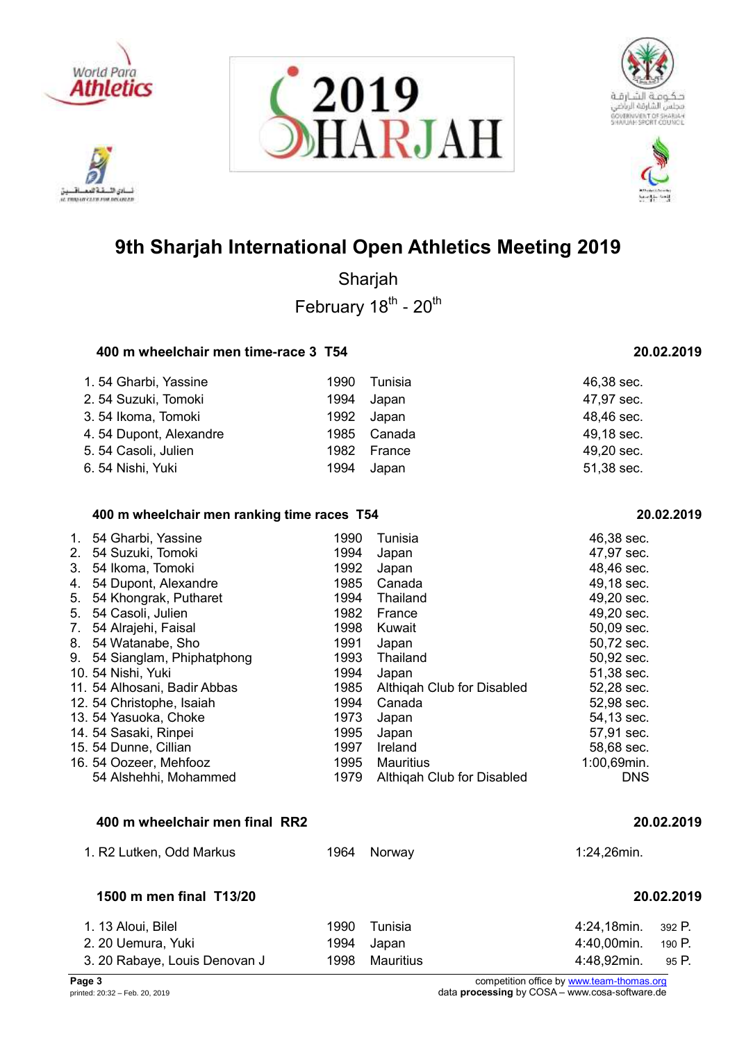

ادی الڈ AL TRADAY CLEW FOR DELINIAR







# **9th Sharjah International Open Athletics Meeting 2019**

Sharjah February 18<sup>th</sup> - 20<sup>th</sup>

## **400 m wheelchair men time-race 3 T54 20.02.2019**

| 1.54 Gharbi, Yassine   | 1990 | Tunisia     | 46,38 sec. |
|------------------------|------|-------------|------------|
| 2.54 Suzuki, Tomoki    | 1994 | Japan       | 47,97 sec. |
| 3.54 Ikoma, Tomoki     |      | 1992 Japan  | 48,46 sec. |
| 4.54 Dupont, Alexandre |      | 1985 Canada | 49,18 sec. |
| 5.54 Casoli, Julien    | 1982 | France      | 49,20 sec. |
| 6.54 Nishi, Yuki       | 1994 | Japan       | 51,38 sec. |

## **400 m wheelchair men ranking time races T54 20.02.2019**

| 1. | 54 Gharbi, Yassine           | 1990 | Tunisia                    | 46,38 sec.  |
|----|------------------------------|------|----------------------------|-------------|
| 2. | 54 Suzuki, Tomoki            | 1994 | Japan                      | 47,97 sec.  |
| 3. | 54 Ikoma, Tomoki             | 1992 | Japan                      | 48,46 sec.  |
| 4. | 54 Dupont, Alexandre         | 1985 | Canada                     | 49,18 sec.  |
| 5. | 54 Khongrak, Putharet        | 1994 | Thailand                   | 49,20 sec.  |
| 5. | 54 Casoli, Julien            | 1982 | France                     | 49,20 sec.  |
| 7. | 54 Alrajehi, Faisal          | 1998 | Kuwait                     | 50,09 sec.  |
| 8. | 54 Watanabe, Sho             | 1991 | Japan                      | 50,72 sec.  |
|    | 9. 54 Sianglam, Phiphatphong | 1993 | Thailand                   | 50,92 sec.  |
|    | 10. 54 Nishi, Yuki           | 1994 | Japan                      | 51,38 sec.  |
|    | 11. 54 Alhosani, Badir Abbas | 1985 | Althigah Club for Disabled | 52,28 sec.  |
|    | 12. 54 Christophe, Isaiah    | 1994 | Canada                     | 52,98 sec.  |
|    | 13. 54 Yasuoka, Choke        | 1973 | Japan                      | 54,13 sec.  |
|    | 14. 54 Sasaki, Rinpei        | 1995 | Japan                      | 57,91 sec.  |
|    | 15. 54 Dunne, Cillian        | 1997 | Ireland                    | 58,68 sec.  |
|    | 16. 54 Oozeer, Mehfooz       | 1995 | Mauritius                  | 1:00,69min. |
|    | 54 Alshehhi, Mohammed        | 1979 | Althigah Club for Disabled | <b>DNS</b>  |

## **400 m wheelchair men final RR2 20.02.2019**

| 1. R2 Lutken, Odd Markus | 1964         | Norway  | 1:24,26min.             |  |  |
|--------------------------|--------------|---------|-------------------------|--|--|
| 1500 m men final T13/20  |              |         | 20.02.2019              |  |  |
| 1. 13 Aloui, Bilel       | 1990         | Tunisia | $4:24,18$ min. $392$ P. |  |  |
| -2-20 Llemura Vuki       | 100 <i>1</i> |         | $4:40$ OOmin<br>100 P   |  |  |

2. 20 Uemura, Yuki 1994 Japan 4:40,00min. 190 P. 3. 20 Rabaye, Louis Denovan J 1998 Mauritius 4:48,92min. 95 P.

**Page 3** competition office by [www.team-thomas.org](http://www.team-thomas.org/)<br>
printed: 20:32 – Feb. 20, 2019<br>
data **processing** by COSA – www.cosa-software.de data **processing** by COSA – www.cosa-software.de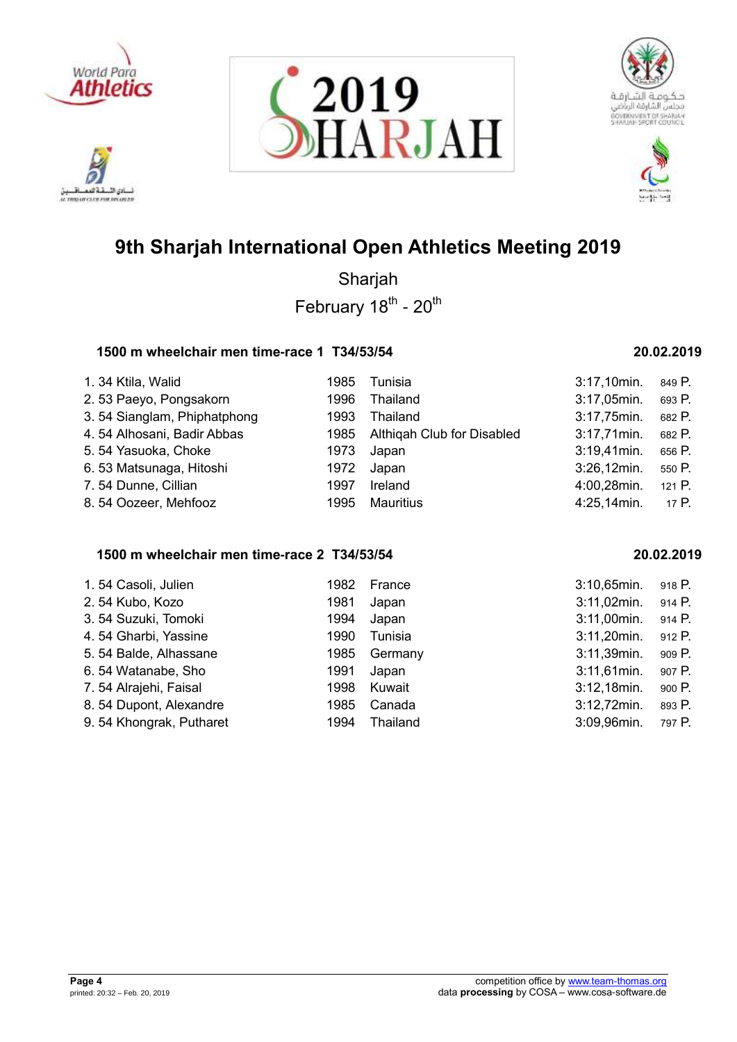

ادي الأ. تلافيد AL TRADAY CLEW FOR DELINIAR







# **9th Sharjah International Open Athletics Meeting 2019**

Sharjah February 18<sup>th</sup> - 20<sup>th</sup>

## **1500 m wheelchair men time-race 1 T34/53/54 20.02.2019**

| 1. 34 Ktila, Walid          | 1985 | Tunisia                         | $3:17,10$ min. | 849 P.   |
|-----------------------------|------|---------------------------------|----------------|----------|
| 2.53 Paeyo, Pongsakorn      | 1996 | Thailand                        | 3:17,05min.    | 693 P.   |
| 3.54 Sianglam, Phiphatphong | 1993 | Thailand                        | 3:17,75min.    | 682 P.   |
| 4.54 Alhosani, Badir Abbas  |      | 1985 Althigah Club for Disabled | $3:17,71$ min. | 682 P.   |
| 5.54 Yasuoka, Choke         | 1973 | Japan                           | $3:19,41$ min. | 656 P.   |
| 6.53 Matsunaga, Hitoshi     | 1972 | Japan                           | 3:26,12min.    | 550 P.   |
| 7.54 Dunne, Cillian         | 1997 | Ireland                         | 4:00,28min.    | 121 $P.$ |
| 8.54 Oozeer, Mehfooz        | 1995 | <b>Mauritius</b>                | 4:25,14min.    | 17 P.    |

## **1500 m wheelchair men time-race 2 T34/53/54 20.02.2019**

| 1.54 Casoli, Julien     | 1982 | France   | 3:10,65min.    | 918 P. |
|-------------------------|------|----------|----------------|--------|
| 2.54 Kubo, Kozo         | 1981 | Japan    | $3:11,02$ min. | 914 P. |
| 3.54 Suzuki, Tomoki     | 1994 | Japan    | 3:11,00min.    | 914 P. |
| 4.54 Gharbi, Yassine    | 1990 | Tunisia  | $3:11,20$ min. | 912 P. |
| 5.54 Balde, Alhassane   | 1985 | Germany  | 3:11,39min.    | 909 P. |
| 6.54 Watanabe, Sho      | 1991 | Japan    | $3:11,61$ min. | 907 P. |
| 7.54 Alrajehi, Faisal   | 1998 | Kuwait   | $3:12,18$ min. | 900 P. |
| 8.54 Dupont, Alexandre  | 1985 | Canada   | 3:12,72min.    | 893 P. |
| 9.54 Khongrak, Putharet | 1994 | Thailand | 3:09,96min.    | 797 P. |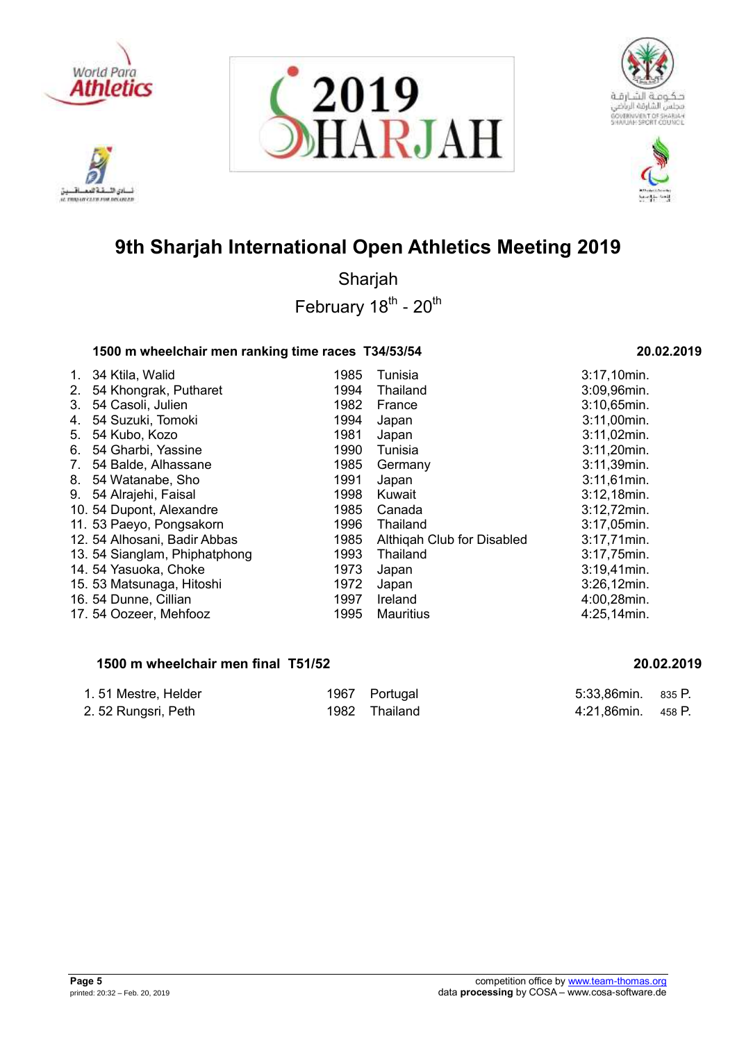

ادي الأ. تلافيد AL TRADAY CLEW FOR DELINIAR







# **9th Sharjah International Open Athletics Meeting 2019**

Sharjah February 18<sup>th</sup> - 20<sup>th</sup>

## **1500 m wheelchair men ranking time races T34/53/54 20.02.2019**

| $1_{\cdot}$ | 34 Ktila, Walid              | 1985 | Tunisia                    | 3:17,10min.    |
|-------------|------------------------------|------|----------------------------|----------------|
| 2.          | 54 Khongrak, Putharet        | 1994 | Thailand                   | 3:09,96min.    |
| 3.          | 54 Casoli, Julien            | 1982 | France                     | 3:10,65min.    |
| 4.          | 54 Suzuki, Tomoki            | 1994 | Japan                      | 3:11,00min.    |
| 5.          | 54 Kubo, Kozo                | 1981 | Japan                      | 3:11,02min.    |
| 6.          | 54 Gharbi, Yassine           | 1990 | Tunisia                    | 3:11,20min.    |
| 7.          | 54 Balde, Alhassane          | 1985 | Germany                    | 3:11,39min.    |
|             | 8. 54 Watanabe, Sho          | 1991 | Japan                      | $3:11,61$ min. |
|             | 9. 54 Alrajehi, Faisal       | 1998 | Kuwait                     | 3:12,18min.    |
|             | 10. 54 Dupont, Alexandre     | 1985 | Canada                     | 3:12,72min.    |
|             | 11. 53 Paeyo, Pongsakorn     | 1996 | Thailand                   | 3:17,05min.    |
|             | 12. 54 Alhosani, Badir Abbas | 1985 | Althigah Club for Disabled | 3:17,71min.    |
|             | 13.54 Sianglam, Phiphatphong | 1993 | Thailand                   | 3:17,75min.    |
|             | 14. 54 Yasuoka, Choke        | 1973 | Japan                      | 3:19,41min.    |
|             | 15. 53 Matsunaga, Hitoshi    | 1972 | Japan                      | 3:26,12min.    |
|             | 16. 54 Dunne, Cillian        | 1997 | Ireland                    | 4:00,28min.    |
|             | 17. 54 Oozeer, Mehfooz       | 1995 | <b>Mauritius</b>           | 4:25,14min.    |
|             |                              |      |                            |                |

## **1500 m wheelchair men final T51/52 20.02.2019**

| 1.51 Mestre, Helder | 1967 Portugal | 5:33,86min. 835 P. |  |
|---------------------|---------------|--------------------|--|
| 2.52 Rungsri, Peth  | 1982 Thailand | 4:21,86min. 458 P. |  |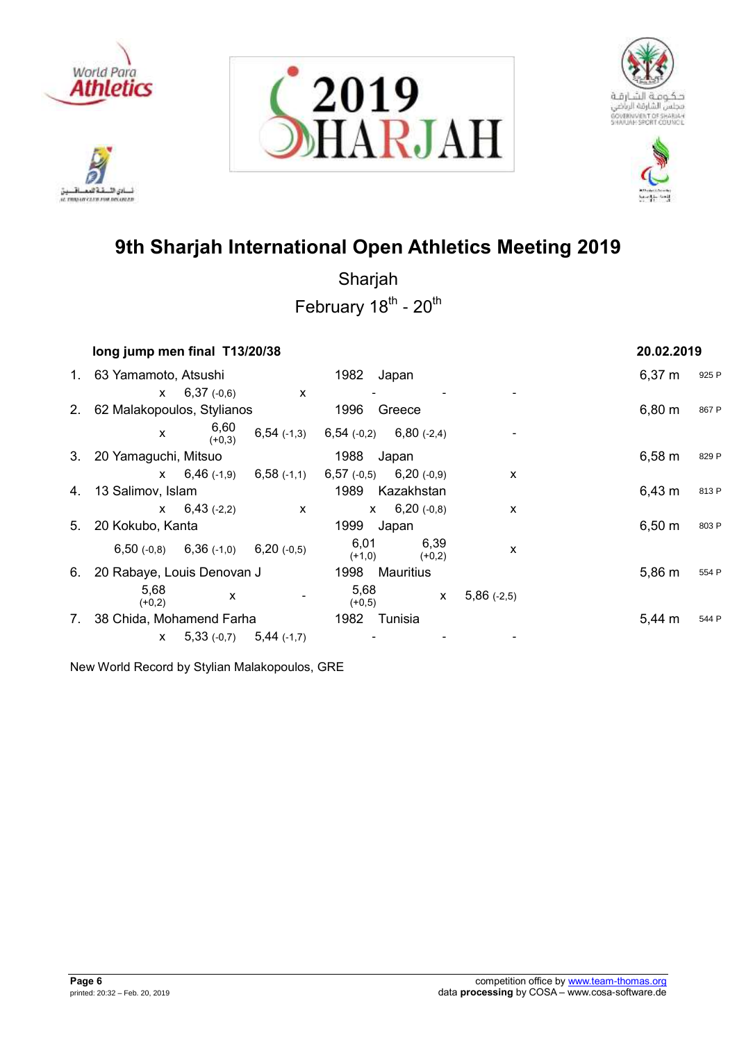









Sharjah February 18<sup>th</sup> - 20<sup>th</sup>

|    | long jump men final T13/20/38 |                                           |                           |                                                              |                  |                           | 20.02.2019         |       |
|----|-------------------------------|-------------------------------------------|---------------------------|--------------------------------------------------------------|------------------|---------------------------|--------------------|-------|
|    | 1. 63 Yamamoto, Atsushi       |                                           |                           | 1982                                                         | Japan            |                           | $6,37 \; m$        | 925 P |
|    |                               | $x = 6,37(-0,6)$                          | $\mathsf{X}$              |                                                              |                  |                           |                    |       |
|    | 2. 62 Malakopoulos, Stylianos |                                           |                           | 1996                                                         | Greece           |                           | $6,80 \; m$        | 867 P |
|    | $\mathsf{x}$                  | 6,60<br>(+0,3)                            |                           | $6,54$ (-1,3) $6,54$ (-0,2) $6,80$ (-2,4)                    |                  |                           |                    |       |
|    | 3. 20 Yamaguchi, Mitsuo       |                                           |                           | 1988                                                         | Japan            |                           | $6,58 \; m$        | 829 P |
|    |                               |                                           |                           | $\mathsf{x}$ 6,46 (-1,9) 6,58 (-1,1) 6,57 (-0,5) 6,20 (-0,9) |                  | $\boldsymbol{\mathsf{x}}$ |                    |       |
| 4. | 13 Salimov, Islam             |                                           |                           | 1989                                                         | Kazakhstan       |                           | $6,43 \; m$        | 813 P |
|    |                               | $x = 6,43(-2,2)$                          | $\boldsymbol{\mathsf{x}}$ |                                                              | $x = 6,20(-0,8)$ | X                         |                    |       |
|    | 5. 20 Kokubo, Kanta           |                                           |                           | 1999                                                         | Japan            |                           | $6,50 \; \text{m}$ | 803 P |
|    |                               | $6,50$ (-0,8) $6,36$ (-1,0) $6,20$ (-0,5) |                           | 6,01<br>$(+1,0)$                                             | 6,39<br>$(+0,2)$ | X                         |                    |       |
| 6. | 20 Rabaye, Louis Denovan J    |                                           |                           | 1998                                                         | Mauritius        |                           | 5,86 m             | 554 P |
|    | 5,68<br>$(+0,2)$              | X                                         |                           | 5,68<br>$(+0,5)$                                             | $\mathsf{X}$     | $5,86(-2,5)$              |                    |       |
| 7. | 38 Chida, Mohamend Farha      |                                           |                           | 1982                                                         | Tunisia          |                           | 5.44 m             | 544 P |
|    | X.                            | $5,33(-0,7)$ $5,44(-1,7)$                 |                           |                                                              |                  |                           |                    |       |

New World Record by Stylian Malakopoulos, GRE

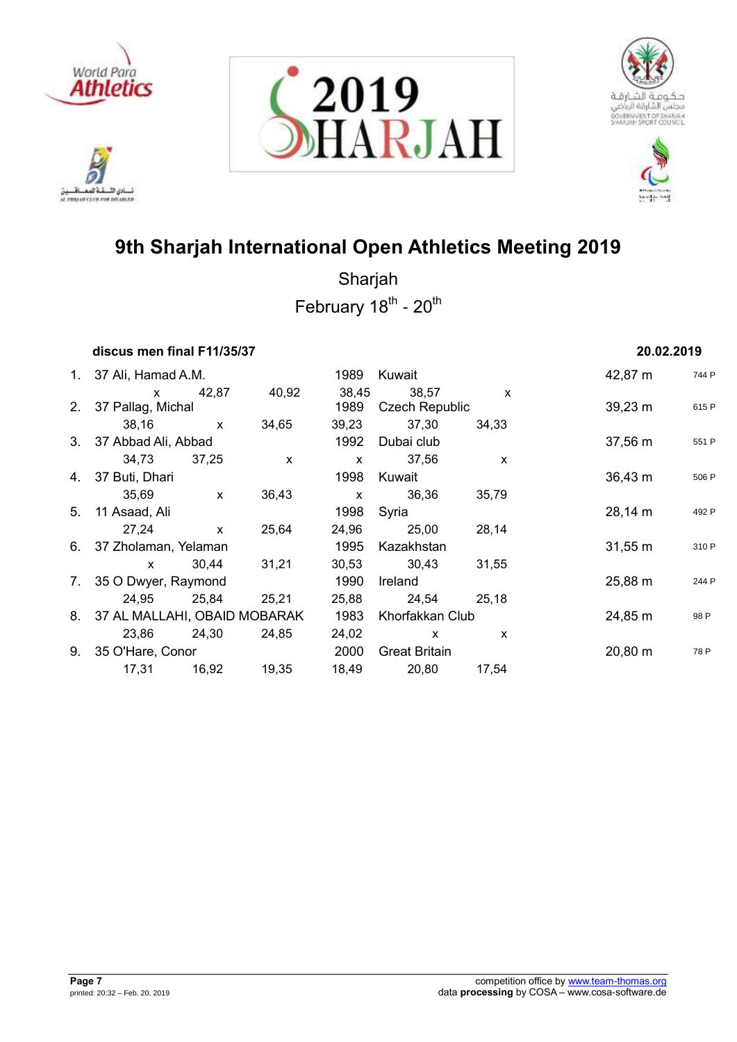

222 أدي الأ نسادي النسفية العمسافيين<br>ac responsive care response







# **9th Sharjah International Open Athletics Meeting 2019**

| discus men final F11/35/37      |              |              |              |                       |              | 20.02.2019          |       |
|---------------------------------|--------------|--------------|--------------|-----------------------|--------------|---------------------|-------|
| 1. 37 Ali, Hamad A.M.           |              |              | 1989         | Kuwait                |              | 42,87 m             | 744 P |
| $\mathsf{X}$                    | 42,87        | 40,92        | 38,45        | 38,57                 | $\mathsf{x}$ |                     |       |
| 2. 37 Pallag, Michal            |              |              | 1989         | <b>Czech Republic</b> |              | $39,23 \; m$        | 615 P |
| 38,16                           | $\mathsf{X}$ | 34,65        | 39,23        | 37,30                 | 34,33        |                     |       |
| 3. 37 Abbad Ali, Abbad          |              |              | 1992         | Dubai club            |              | $37,56 \; m$        | 551 P |
| 34,73 37,25                     |              | $\mathsf{x}$ | $\mathsf{x}$ | 37,56                 | X            |                     |       |
| 4. 37 Buti, Dhari               |              |              | 1998         | Kuwait                |              | $36,43 \; m$        | 506 P |
| 35,69                           | $\mathsf{x}$ | 36,43        | $\mathsf{x}$ | 36,36                 | 35,79        |                     |       |
| 5. 11 Asaad, Ali                |              |              | 1998         | Syria                 |              | $28,14 \; m$        | 492 P |
| 27,24                           | $\mathsf{x}$ | 25,64        | 24,96        | 25,00                 | 28,14        |                     |       |
| 6. 37 Zholaman, Yelaman         |              |              | 1995         | Kazakhstan            |              | $31,55 \; m$        | 310 P |
| $\mathsf{x}$                    | 30,44        | 31,21        |              | 30,53 30,43           | 31,55        |                     |       |
| 7. 35 O Dwyer, Raymond          |              |              | 1990         | Ireland               |              | 25,88 m             | 244 P |
| 24,95 25,84                     |              | 25,21        |              | 25,88 24,54           | 25,18        |                     |       |
| 8. 37 AL MALLAHI, OBAID MOBARAK |              |              | 1983         | Khorfakkan Club       |              | 24,85 m             | 98 P  |
| 23,86 24,30                     |              | 24,85        | 24,02        | $\mathsf{x}$          | X            |                     |       |
| 9. 35 O'Hare, Conor             |              |              | 2000         | <b>Great Britain</b>  |              | $20,80 \; \text{m}$ | 78 P  |
| 17,31                           | 16,92        | 19,35        | 18,49        | 20,80                 | 17,54        |                     |       |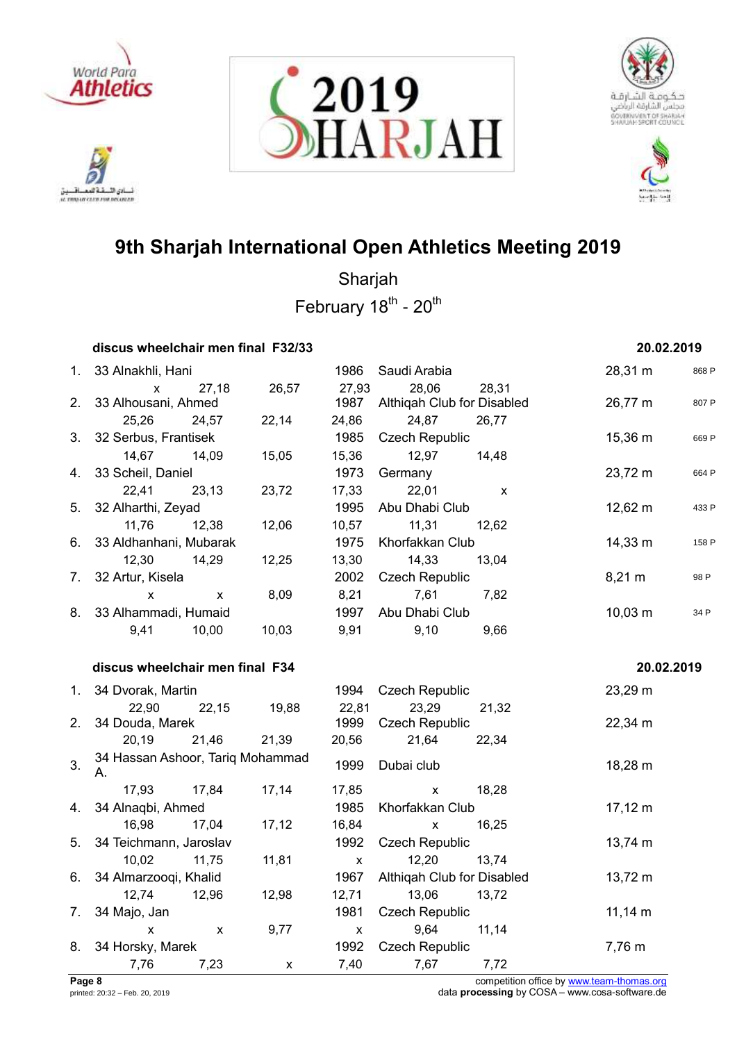

خةهم نادي الأ ئسانی اللسفة العمسافسيل<br>ac movement care rou recurses







# **9th Sharjah International Open Athletics Meeting 2019**

Sharjah February 18<sup>th</sup> - 20<sup>th</sup>

|    | discus wheelchair men final F32/33     |                    |       |               |                                     |       | 20.02.2019       |       |
|----|----------------------------------------|--------------------|-------|---------------|-------------------------------------|-------|------------------|-------|
|    | 1. 33 Alnakhli, Hani                   |                    |       | 1986          | Saudi Arabia                        |       | 28,31 m          | 868 P |
| 2. | X<br>33 Alhousani, Ahmed               | 27,18              | 26,57 | 27,93<br>1987 | 28,06<br>Althiqah Club for Disabled | 28,31 | 26,77 m          | 807 P |
|    | 25,26                                  | 24,57              | 22,14 | 24,86         | 24,87                               | 26,77 |                  |       |
| 3. | 32 Serbus, Frantisek                   |                    |       | 1985          | <b>Czech Republic</b>               |       | 15,36 m          | 669 P |
|    | 14,67<br>33 Scheil, Daniel             | 14,09              | 15,05 | 15,36<br>1973 | 12,97                               | 14,48 | 23,72 m          |       |
| 4. | 22,41                                  | 23,13              | 23,72 | 17,33         | Germany<br>22,01                    |       |                  | 664 P |
| 5. | 32 Alharthi, Zeyad                     |                    |       | 1995          | Abu Dhabi Club                      | X     | 12,62 m          | 433 P |
|    | 11,76                                  | 12,38              | 12,06 | 10,57         | 11,31                               | 12,62 |                  |       |
| 6. | 33 Aldhanhani, Mubarak                 |                    |       | 1975          | Khorfakkan Club                     |       | 14,33 m          | 158 P |
|    | 12,30                                  | 14,29              | 12,25 | 13,30         | 14,33                               | 13,04 |                  |       |
| 7. | 32 Artur, Kisela                       |                    |       | 2002          | <b>Czech Republic</b>               |       | $8,21 \text{ m}$ | 98 P  |
|    | X                                      | $\pmb{\mathsf{X}}$ | 8,09  | 8,21          | 7,61                                | 7,82  |                  |       |
| 8. | 33 Alhammadi, Humaid                   |                    |       | 1997          | Abu Dhabi Club                      |       | $10,03 \; m$     | 34 P  |
|    | 9,41                                   | 10,00              | 10,03 | 9,91          | 9,10                                | 9,66  |                  |       |
|    |                                        |                    |       |               |                                     |       |                  |       |
|    | discus wheelchair men final F34        |                    |       |               |                                     |       | 20.02.2019       |       |
| 1. |                                        |                    |       |               |                                     |       |                  |       |
|    | 34 Dvorak, Martin<br>22,90             |                    | 19,88 | 1994          | <b>Czech Republic</b><br>23,29      |       | 23,29 m          |       |
| 2. | 34 Douda, Marek                        | 22,15              |       | 22,81<br>1999 | <b>Czech Republic</b>               | 21,32 | 22,34 m          |       |
|    | 20,19                                  | 21,46              | 21,39 | 20,56         | 21,64                               | 22,34 |                  |       |
| 3. | 34 Hassan Ashoor, Tariq Mohammad<br>А. |                    |       | 1999          | Dubai club                          |       | 18,28 m          |       |
|    | 17,93                                  | 17,84              | 17,14 | 17,85         | X                                   | 18,28 |                  |       |
| 4. | 34 Alnaqbi, Ahmed                      |                    |       | 1985          | Khorfakkan Club                     |       | $17,12 \; m$     |       |
|    | 16,98                                  | 17,04              | 17,12 | 16,84         | $\mathsf{X}$                        | 16,25 |                  |       |
| 5. | 34 Teichmann, Jaroslav                 |                    |       | 1992          | <b>Czech Republic</b>               |       | 13,74 m          |       |
|    | 10,02                                  | 11,75              | 11,81 | X             | 12,20                               | 13,74 |                  |       |
| 6. | 34 Almarzooqi, Khalid                  |                    |       | 1967          | Althiqah Club for Disabled          |       | 13,72 m          |       |
|    | 12,74                                  | 12,96              | 12,98 | 12,71         | 13,06                               | 13,72 |                  |       |
| 7. | 34 Majo, Jan                           |                    |       | 1981          | <b>Czech Republic</b>               |       | $11,14 \; m$     |       |
|    | X                                      | $\pmb{\mathsf{X}}$ | 9,77  | X             | 9,64                                | 11,14 |                  |       |
| 8. | 34 Horsky, Marek<br>7,76               | 7,23               |       | 1992<br>7,40  | <b>Czech Republic</b><br>7,67       | 7,72  | 7,76 m           |       |

**Page 8** competition office by [www.team-thomas.org](http://www.team-thomas.org/)<br>
printed: 20:32 – Feb. 20, 2019<br>
data **processing** by COSA – www.cosa-software.de data **processing** by COSA – www.cosa-software.de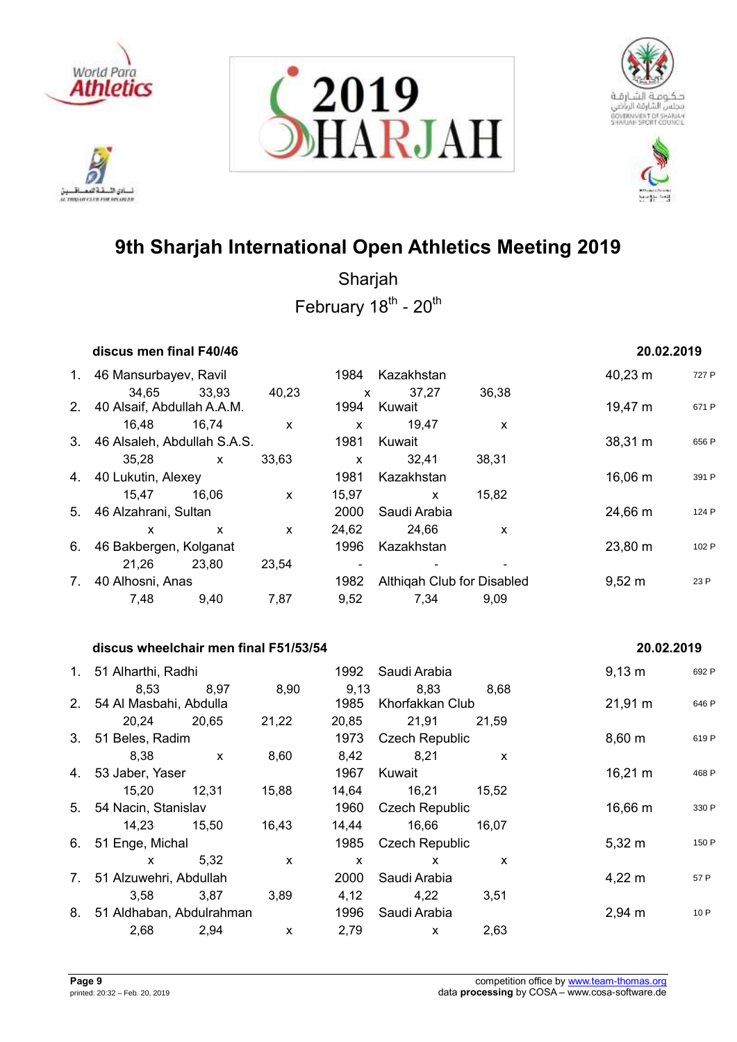

نی ( **IL TRANSIT CLED FOR DELINIER** 







# **9th Sharjah International Open Athletics Meeting 2019**

Sharjah February 18<sup>th</sup> - 20<sup>th</sup>

|             | discus men final F40/46        |              |              |              |                            |       | 20.02.2019          |       |
|-------------|--------------------------------|--------------|--------------|--------------|----------------------------|-------|---------------------|-------|
| $1_{\cdot}$ | 46 Mansurbayev, Ravil          |              |              | 1984         | Kazakhstan                 |       | $40,23 \; \text{m}$ | 727 P |
|             | 34.65                          | 33,93        | 40,23        | X            | 37,27                      | 36,38 |                     |       |
|             | 2. 40 Alsaif, Abdullah A.A.M.  |              |              | 1994         | Kuwait                     |       | 19,47 m             | 671 P |
|             | 16.48                          | 16,74        | $\mathsf{x}$ | $\mathsf{x}$ | 19,47                      | X     |                     |       |
|             | 3. 46 Alsaleh, Abdullah S.A.S. |              |              | 1981         | Kuwait                     |       | 38,31 m             | 656 P |
|             | 35,28                          | $\mathsf{x}$ | 33,63        | X            | 32,41                      | 38,31 |                     |       |
|             | 4. 40 Lukutin, Alexey          |              |              | 1981         | Kazakhstan                 |       | $16,06 \; m$        | 391 P |
|             | 15.47                          | 16.06        | $\mathsf{x}$ | 15,97        | $\mathsf{x}$               | 15,82 |                     |       |
| 5.          | 46 Alzahrani, Sultan           |              |              | 2000         | Saudi Arabia               |       | 24,66 m             | 124 P |
|             | X                              | $\mathsf{x}$ | $\mathsf{x}$ | 24,62        | 24.66                      | X     |                     |       |
| 6.          | 46 Bakbergen, Kolganat         |              |              | 1996         | Kazakhstan                 |       | 23,80 m             | 102 P |
|             | 21,26                          | 23,80        | 23,54        |              |                            |       |                     |       |
| 7.          | 40 Alhosni, Anas               |              |              | 1982         | Althigah Club for Disabled |       | $9,52 \; m$         | 23 P  |
|             | 7.48                           | 9.40         | 7,87         | 9,52         | 7,34                       | 9.09  |                     |       |
|             |                                |              |              |              |                            |       |                     |       |

## **discus wheelchair men final F51/53/54 20.02.2019**

## 1. 51 Alharthi, Radhi 1992 Saudi Arabia 9,13 m <sup>692</sup> <sup>P</sup> 8,53 8,97 8,90 9,13 8,83 8,68 2. 54 Al Masbahi, Abdulla 1985 Khorfakkan Club 21,91 m <sup>646</sup> <sup>P</sup> 20,24 20,65 21,22 20,85 21,91 21,59 3. 51 Beles, Radim 619 Percent Care and 1973 Czech Republic 619 Percent 8,60 m 619 Percent 619 Percent 8,60 m 8,38 x 8,60 8,42 8,21 x 4. 53 Jaber, Yaser 1967 Kuwait 16,21 m <sup>468</sup> <sup>P</sup> 15,20 12,31 15,88 14,64 16,21 15,52 5. 54 Nacin, Stanislav **1960** Czech Republic 16,66 m 330 P 14,23 15,50 16,43 14,44 16,66 16,07 6. 51 Enge, Michal 1985 Czech Republic 1985 Czech Republic 5,32 m 150 P  $x$  5,32  $x$   $x$   $x$   $x$ 7. 51 Alzuwehri, Abdullah 2000 Saudi Arabia 4,22 m <sup>57</sup> <sup>P</sup> 3,58 3,87 3,89 4,12 4,22 3,51 8. 51 Aldhaban, Abdulrahman 1996 Saudi Arabia 2008 2,94 m 10 P 2,68 2,94 x 2,79 x 2,63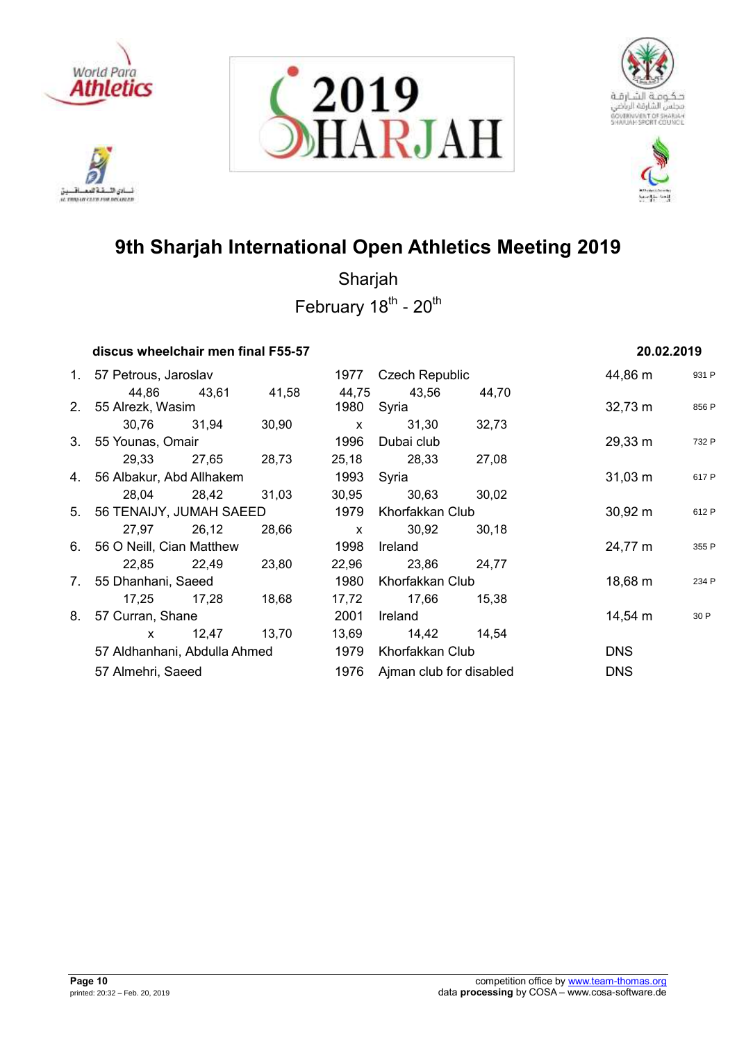

222 أدي الأ نسادي النسفية العمسافيين<br>ac responsive care response







# **9th Sharjah International Open Athletics Meeting 2019**

|    | discus wheelchair men final F55-57 |       |       |              |                         |                 | 20.02.2019   |       |
|----|------------------------------------|-------|-------|--------------|-------------------------|-----------------|--------------|-------|
|    | 1. 57 Petrous, Jaroslav            |       |       |              | 1977 Czech Republic     |                 | 44,86 m      | 931 P |
|    | 44,86                              | 43,61 | 41,58 | 44,75        | 43,56                   | 44,70           |              |       |
|    | 2. 55 Alrezk, Wasim                |       |       | 1980         | Syria                   |                 | $32,73 \; m$ | 856 P |
|    | 30,76                              | 31,94 | 30,90 | $\mathsf{x}$ | 31,30                   | 32,73           |              |       |
|    | 3. 55 Younas, Omair                |       |       | 1996         | Dubai club              |                 | 29,33 m      | 732 P |
|    | 29,33                              | 27,65 | 28,73 | 25,18        | 28,33                   | 27,08           |              |       |
|    | 4. 56 Albakur, Abd Allhakem        |       |       | 1993         | Syria                   |                 | $31,03 \; m$ | 617 P |
|    | 28,04                              | 28,42 | 31,03 | 30,95        | 30,63                   | 30,02           |              |       |
|    | 5. 56 TENAIJY, JUMAH SAEED         |       |       | 1979         | Khorfakkan Club         |                 | $30,92 \; m$ | 612 P |
|    | 27,97 26,12                        |       | 28,66 | $\mathbf{x}$ | 30,92                   | 30,18           |              |       |
|    | 6. 56 O Neill, Cian Matthew        |       |       | 1998         | Ireland                 |                 | 24,77 m      | 355 P |
|    | 22,85 22,49                        |       | 23,80 | 22,96        | 23,86                   | 24,77           |              |       |
|    | 7. 55 Dhanhani, Saeed              |       |       | 1980         |                         | Khorfakkan Club |              | 234 P |
|    | 17,25                              | 17,28 | 18,68 | 17,72        | 17,66                   | 15,38           |              |       |
| 8. | 57 Curran, Shane                   |       |       | 2001         | Ireland                 |                 | 14,54 m      | 30 P  |
|    | $\mathsf{x}$                       | 12,47 | 13,70 |              | 13,69 14,42             | 14.54           |              |       |
|    | 57 Aldhanhani, Abdulla Ahmed       |       |       | 1979         | Khorfakkan Club         |                 | <b>DNS</b>   |       |
|    | 57 Almehri, Saeed                  |       |       | 1976         | Ajman club for disabled |                 | <b>DNS</b>   |       |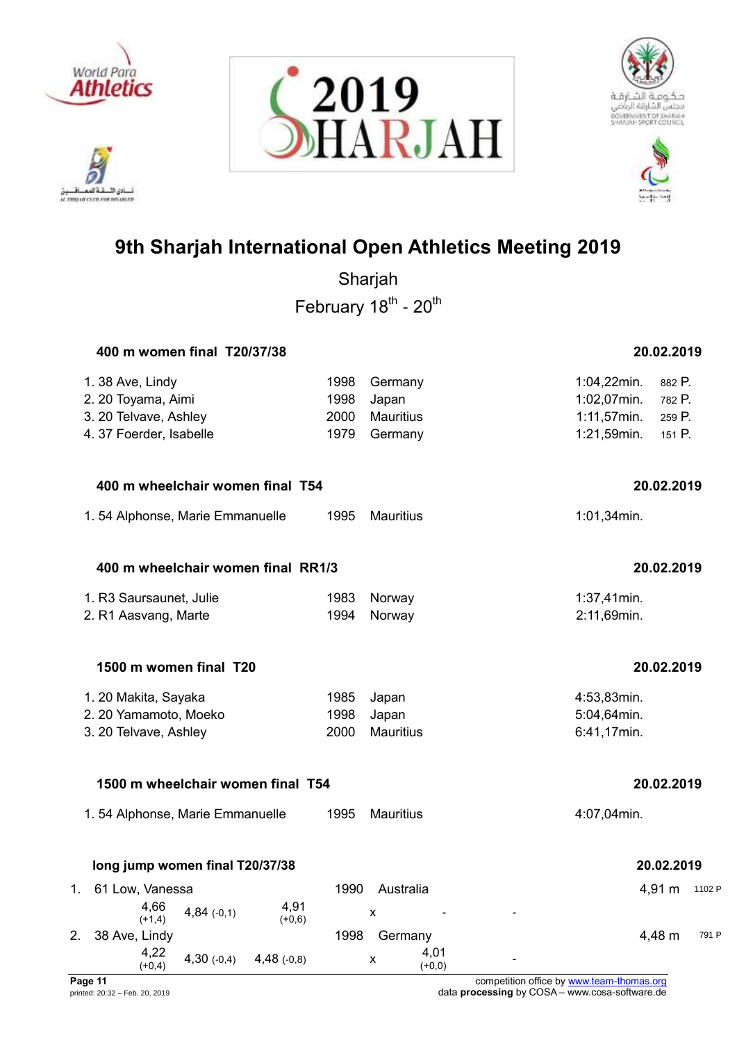

تلافيد أدي الأ نسادي النسفية العمسافيين<br>ac responsive care response







# **9th Sharjah International Open Athletics Meeting 2019**

Sharjah February 18<sup>th</sup> - 20<sup>th</sup>

|    | 400 m women final T20/37/38                          |      |                  | 20.02.2019               |
|----|------------------------------------------------------|------|------------------|--------------------------|
|    | 1.38 Ave, Lindy                                      | 1998 | Germany          | 1:04,22min.<br>882 P.    |
|    | 2. 20 Toyama, Aimi                                   | 1998 | Japan            | 1:02,07min.<br>782 P.    |
|    | 3. 20 Telvave, Ashley                                | 2000 | <b>Mauritius</b> | $1:11,57$ min.<br>259 P. |
|    | 4. 37 Foerder, Isabelle                              | 1979 | Germany          | 1:21,59min.<br>151 P.    |
|    | 400 m wheelchair women final T54                     |      |                  | 20.02.2019               |
|    | 1.54 Alphonse, Marie Emmanuelle                      | 1995 | Mauritius        | 1:01,34min.              |
|    | 400 m wheelchair women final RR1/3                   |      |                  | 20.02.2019               |
|    | 1. R3 Saursaunet, Julie                              | 1983 | Norway           | 1:37,41min.              |
|    | 2. R1 Aasvang, Marte                                 | 1994 | Norway           | 2:11,69min.              |
|    | 1500 m women final T20                               |      |                  | 20.02.2019               |
|    | 1. 20 Makita, Sayaka                                 | 1985 | Japan            | 4:53,83min.              |
|    | 2. 20 Yamamoto, Moeko                                | 1998 | Japan            | 5:04,64min.              |
|    | 3. 20 Telvave, Ashley                                | 2000 | <b>Mauritius</b> | 6:41,17min.              |
|    | 1500 m wheelchair women final T54                    |      |                  | 20.02.2019               |
|    | 1.54 Alphonse, Marie Emmanuelle                      | 1995 | <b>Mauritius</b> | 4:07,04min.              |
|    | long jump women final T20/37/38                      |      |                  | 20.02.2019               |
| 1. | 61 Low, Vanessa                                      | 1990 | Australia        | 4,91 m<br>1102 P         |
|    | 4,91<br>4,66<br>$4,84(-0,1)$<br>$(+1,4)$<br>$(+0,6)$ |      | X                |                          |
| 2. | 38 Ave, Lindy                                        | 1998 | Germany          | 4,48 m<br>791 F          |
|    | 4,22<br>$4,30(-0,4)$<br>$4,48$ (-0,8)                |      | 4,01<br>X        |                          |

 $(+0,0)$ 

 $(+0,4)$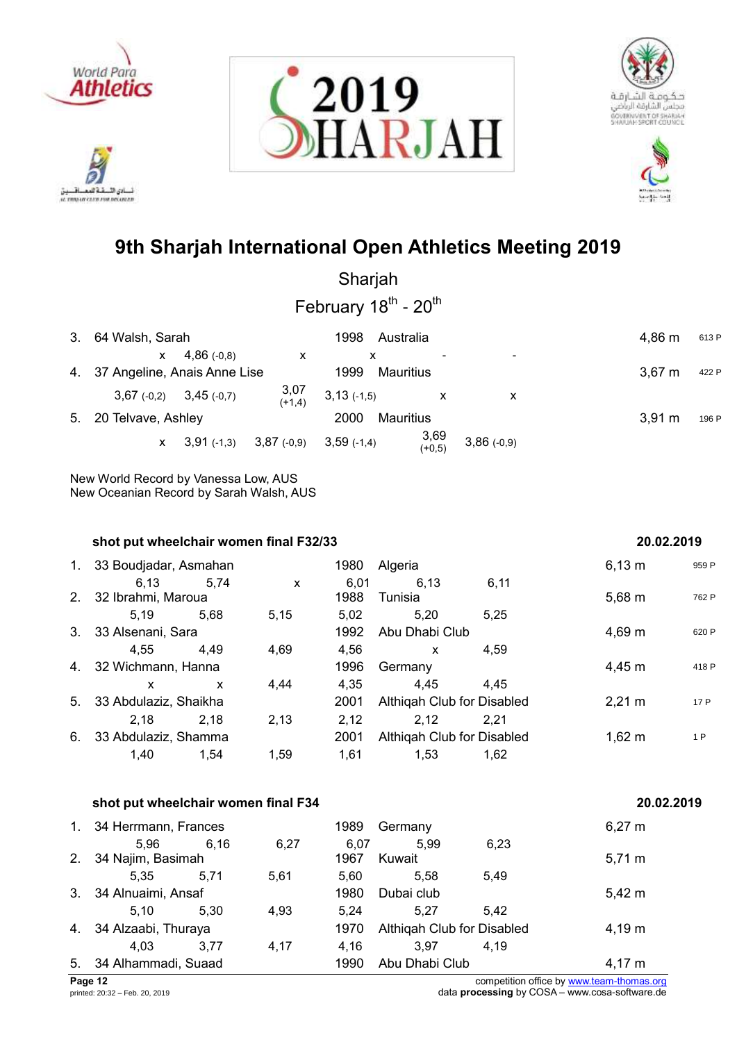









Sharjah February 18<sup>th</sup> - 20<sup>th</sup>

| 3. 64 Walsh, Sarah                            | 1998<br>Australia                                 | 4,86 m<br>613 P      |
|-----------------------------------------------|---------------------------------------------------|----------------------|
| $4,86$ (-0.8)<br>$\mathsf{X}$<br>X            | ۰                                                 |                      |
| 4. 37 Angeline, Anais Anne Lise               | 1999<br><b>Mauritius</b>                          | $3,67 \; m$<br>422 P |
| $3,07$<br>(+1,4)<br>$3,67(-0,2)$ $3,45(-0,7)$ | $3,13$ (-1,5)<br>$\boldsymbol{\mathsf{x}}$<br>X   |                      |
| 5. 20 Telvave, Ashley                         | <b>Mauritius</b><br>2000                          | 3.91 m<br>196 P      |
| $3,87$ (-0,9)<br>$3,91$ (-1,3)<br>X.          | $3,69$<br>(+0,5)<br>$3,86(-0,9)$<br>$3,59$ (-1,4) |                      |

New World Record by Vanessa Low, AUS New Oceanian Record by Sarah Walsh, AUS

|    | shot put wheelchair women final F32/33 |      | 20.02.2019 |              |                            |      |                  |       |
|----|----------------------------------------|------|------------|--------------|----------------------------|------|------------------|-------|
| 1. | 33 Boudjadar, Asmahan                  |      |            | 1980         | Algeria                    |      | $6,13 \; m$      | 959 P |
|    | 6.13<br>2. 32 Ibrahmi, Maroua          | 5.74 | X          | 6,01<br>1988 | 6,13<br>Tunisia            | 6,11 | $5,68 \; m$      | 762 P |
|    | 5.19 5.68                              |      | 5,15       | 5,02         | 5.20                       | 5,25 |                  |       |
|    | 3. 33 Alsenani, Sara                   |      |            | 1992         | Abu Dhabi Club             |      | $4,69 \; m$      | 620 P |
|    | 4.55                                   | 4.49 | 4.69       | 4.56         | X                          | 4.59 |                  |       |
|    | 4. 32 Wichmann, Hanna                  |      |            | 1996         | Germany                    |      | 4,45 m           | 418 P |
|    | X                                      | X    | 4.44       | 4,35         | 4.45                       | 4.45 |                  |       |
|    | 5. 33 Abdulaziz, Shaikha               |      |            | 2001         | Althigah Club for Disabled |      | $2,21 \text{ m}$ | 17 P  |
|    | 2,18                                   | 2,18 | 2,13       | 2,12         | 2,12                       | 2.21 |                  |       |
|    | 6. 33 Abdulaziz, Shamma                |      |            | 2001         | Althigah Club for Disabled |      | $1,62 \; m$      | 1 P   |
|    | 1,40                                   | 1,54 | 1,59       | 1,61         | 1,53                       | 1,62 |                  |       |

|    | shot put wheelchair women final F34 |      | 20.02.2019 |      |                            |      |             |
|----|-------------------------------------|------|------------|------|----------------------------|------|-------------|
| 1. | 34 Herrmann, Frances                |      |            | 1989 | Germany                    |      | $6,27 \; m$ |
|    | 5.96                                | 6.16 | 6,27       | 6.07 | 5.99                       | 6,23 |             |
| 2. | 34 Najim, Basimah                   |      |            | 1967 | Kuwait                     |      | $5,71 \; m$ |
|    | 5.35                                | 5,71 | 5,61       | 5,60 | 5.58                       | 5.49 |             |
|    | 3. 34 Alnuaimi, Ansaf               |      |            | 1980 | Dubai club                 |      | $5,42 \; m$ |
|    | 5.10                                | 5.30 | 4,93       | 5.24 | 5.27                       | 5.42 |             |
| 4. | 34 Alzaabi, Thuraya                 |      |            | 1970 | Althigah Club for Disabled |      | $4,19 \; m$ |
|    | 4.03                                | 3.77 | 4,17       | 4,16 | 3.97                       | 4.19 |             |
|    | 5. 34 Alhammadi, Suaad              |      |            | 1990 | Abu Dhabi Club             |      | 4,17 m      |
|    |                                     |      |            |      |                            |      |             |

**Page 12** competition office by [www.team-thomas.org](http://www.team-thomas.org/)<br>
printed: 20:32 – Feb. 20, 2019<br>
data **processing** by COSA – www.cosa-software.de data **processing** by COSA – www.cosa-software.de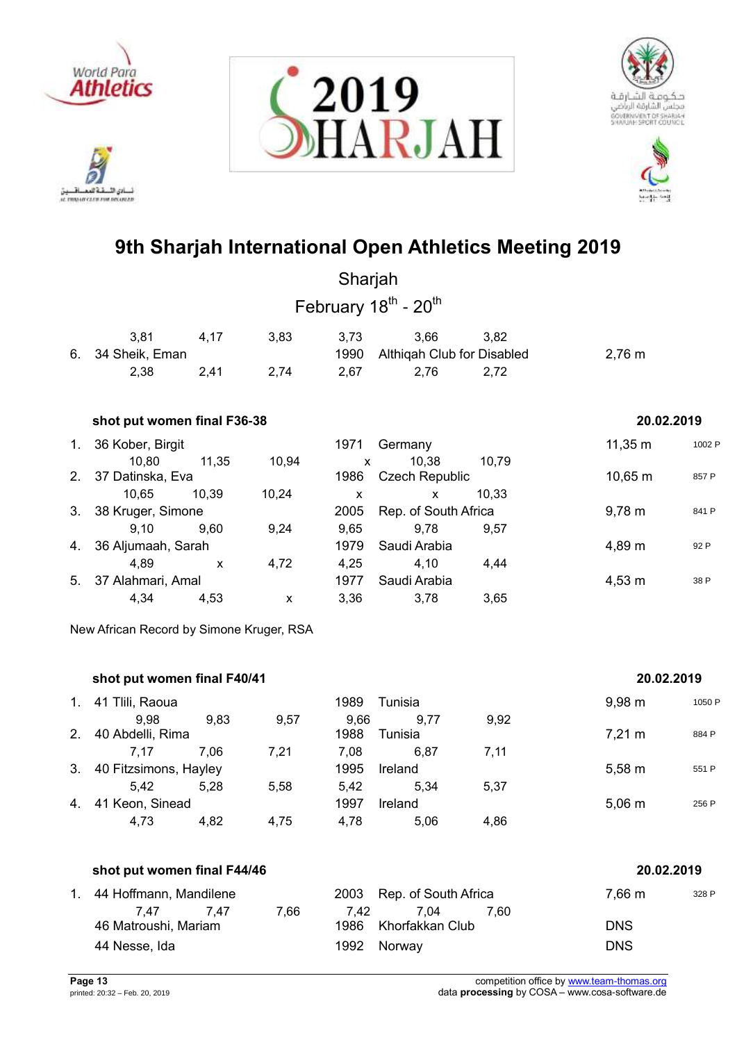

خةهم نادي الأ ئسانی اللسفة العمسافسيل<br>ac movement care rou recurses







# **9th Sharjah International Open Athletics Meeting 2019**

|                                           |                                          |              |                    | Sharjah              |                                              |       |                    |        |  |  |  |
|-------------------------------------------|------------------------------------------|--------------|--------------------|----------------------|----------------------------------------------|-------|--------------------|--------|--|--|--|
|                                           |                                          |              |                    |                      | February 18 <sup>th</sup> - 20 <sup>th</sup> |       |                    |        |  |  |  |
|                                           | 3,81                                     | 4,17         | 3,83               | 3,73                 | 3,66                                         | 3,82  |                    |        |  |  |  |
| 6.                                        | 34 Sheik, Eman<br>2,38                   | 2,41         | 2,74               | 1990<br>2,67         | Althiqah Club for Disabled<br>2,76           | 2,72  | $2,76 \; m$        |        |  |  |  |
|                                           |                                          |              |                    |                      |                                              |       |                    |        |  |  |  |
| shot put women final F36-38<br>20.02.2019 |                                          |              |                    |                      |                                              |       |                    |        |  |  |  |
| 1.                                        | 36 Kober, Birgit                         |              |                    | 1971                 | Germany                                      |       | $11,35 \; m$       | 1002 P |  |  |  |
| 2.                                        | 10,80<br>37 Datinska, Eva                | 11,35        | 10,94              | $\mathsf{x}$<br>1986 | 10,38<br><b>Czech Republic</b>               | 10,79 | $10,65 \; m$       | 857 P  |  |  |  |
|                                           | 10,65                                    | 10,39        | 10,24              | X                    | $\mathsf{x}$                                 | 10,33 |                    |        |  |  |  |
| 3.                                        | 38 Kruger, Simone                        |              |                    | 2005                 | Rep. of South Africa                         |       | $9,78 \; m$        | 841 P  |  |  |  |
|                                           | 9,10                                     | 9,60         | 9,24               | 9,65                 | 9,78                                         | 9,57  |                    |        |  |  |  |
| 4.                                        | 36 Aljumaah, Sarah                       |              |                    | 1979                 | Saudi Arabia                                 |       | 4,89 m             | 92 P   |  |  |  |
|                                           | 4,89                                     | $\mathsf{x}$ | 4,72               | 4,25                 | 4,10                                         | 4,44  |                    |        |  |  |  |
| 5.                                        | 37 Alahmari, Amal                        |              |                    | 1977                 | Saudi Arabia                                 |       | $4,53 \; m$        | 38 P   |  |  |  |
|                                           | 4,34                                     | 4,53         | $\pmb{\mathsf{X}}$ | 3,36                 | 3,78                                         | 3,65  |                    |        |  |  |  |
|                                           | New African Record by Simone Kruger, RSA |              |                    |                      |                                              |       |                    |        |  |  |  |
|                                           |                                          |              |                    |                      |                                              |       |                    |        |  |  |  |
|                                           | shot put women final F40/41              |              |                    |                      |                                              |       | 20.02.2019         |        |  |  |  |
| 1.                                        | 41 Tlili, Raoua                          |              |                    | 1989                 | Tunisia                                      |       | $9,98 \, \text{m}$ | 1050 P |  |  |  |
|                                           | വ വ വ                                    | റ മാ         | 0.57               | 0.GG                 | $\sim$ 0.77                                  | വ റാ  |                    |        |  |  |  |

|    | shot put women final F44/46 | 20.02.2019 |      |      |         |      |                  |       |
|----|-----------------------------|------------|------|------|---------|------|------------------|-------|
|    | 4,73                        | 4,82       | 4,75 | 4,78 | 5,06    | 4,86 |                  |       |
| 4. | 41 Keon, Sinead             |            |      | 1997 | Ireland |      | $5,06 \; m$      | 256 P |
|    | 5.42                        | 5.28       | 5,58 | 5.42 | 5,34    | 5,37 |                  |       |
|    | 3. 40 Fitzsimons, Hayley    |            |      | 1995 | Ireland |      | $5,58 \; m$      | 551 P |
|    | 7.17                        | 7.06       | 7,21 | 7,08 | 6.87    | 7,11 |                  |       |
| 2. | 40 Abdelli, Rima            |            |      | 1988 | Tunisia |      | $7,21 \text{ m}$ | 884 P |
|    | 9,98                        | 9,83       | 9,57 | 9,66 | 9.77    | 9,92 |                  |       |

| 1. 44 Hoffmann, Mandilene |      |      |      | 2003 Rep. of South Africa |      | 7,66 m     | 328 F |
|---------------------------|------|------|------|---------------------------|------|------------|-------|
| 7.47                      | 7.47 | 7.66 | 7.42 | 7.04                      | 7.60 |            |       |
| 46 Matroushi, Mariam      |      |      |      | 1986 Khorfakkan Club      |      | <b>DNS</b> |       |
| 44 Nesse, Ida             |      |      |      | 1992 Norway               |      | <b>DNS</b> |       |